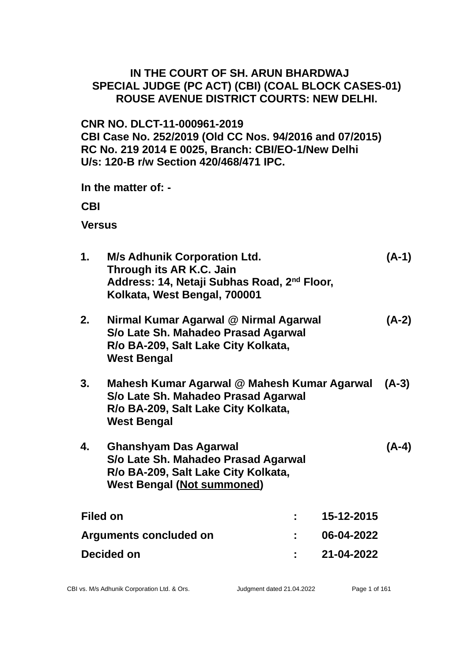### **IN THE COURT OF SH. ARUN BHARDWAJ SPECIAL JUDGE (PC ACT) (CBI) (COAL BLOCK CASES-01) ROUSE AVENUE DISTRICT COURTS: NEW DELHI.**

# **CNR NO. DLCT-11-000961-2019 CBI Case No. 252/2019 (Old CC Nos. 94/2016 and 07/2015) RC No. 219 2014 E 0025, Branch: CBI/EO-1/New Delhi U/s: 120-B r/w Section 420/468/471 IPC.**

**In the matter of: -**

**CBI**

**Versus**

| 1.                     | <b>M/s Adhunik Corporation Ltd.</b><br>Through its AR K.C. Jain<br>Address: 14, Netaji Subhas Road, 2 <sup>nd</sup> Floor,<br>Kolkata, West Bengal, 700001 |            |            | (A-1)   |
|------------------------|------------------------------------------------------------------------------------------------------------------------------------------------------------|------------|------------|---------|
| 2.                     | Nirmal Kumar Agarwal @ Nirmal Agarwal<br>S/o Late Sh. Mahadeo Prasad Agarwal<br>R/o BA-209, Salt Lake City Kolkata,<br><b>West Bengal</b>                  |            |            | $(A-2)$ |
| 3.                     | Mahesh Kumar Agarwal @ Mahesh Kumar Agarwal<br>S/o Late Sh. Mahadeo Prasad Agarwal<br>R/o BA-209, Salt Lake City Kolkata,<br><b>West Bengal</b>            |            |            | $(A-3)$ |
| 4.                     | <b>Ghanshyam Das Agarwal</b><br>S/o Late Sh. Mahadeo Prasad Agarwal<br>R/o BA-209, Salt Lake City Kolkata,<br><b>West Bengal (Not summoned)</b>            |            |            | (A-4)   |
| <b>Filed on</b>        |                                                                                                                                                            |            | 15-12-2015 |         |
| Arguments concluded on |                                                                                                                                                            | 06-04-2022 |            |         |
| Decided on             |                                                                                                                                                            | 21-04-2022 |            |         |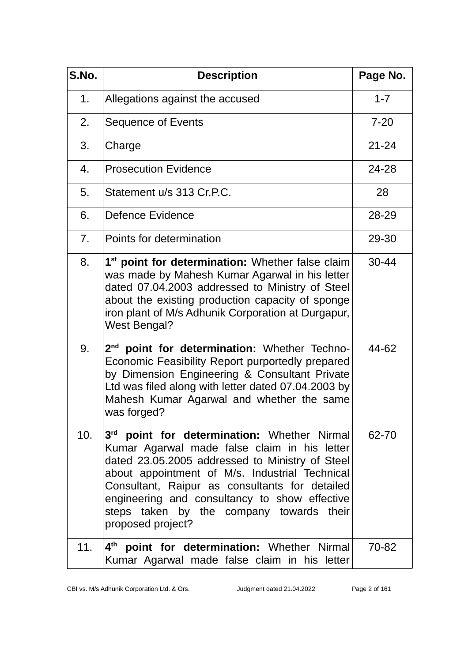| S.No.          | <b>Description</b>                                                                                                                                                                                                                                                                                                                                                               | Page No.  |
|----------------|----------------------------------------------------------------------------------------------------------------------------------------------------------------------------------------------------------------------------------------------------------------------------------------------------------------------------------------------------------------------------------|-----------|
| 1.             | Allegations against the accused                                                                                                                                                                                                                                                                                                                                                  | $1 - 7$   |
| 2.             | Sequence of Events                                                                                                                                                                                                                                                                                                                                                               | $7 - 20$  |
| 3.             | Charge                                                                                                                                                                                                                                                                                                                                                                           | $21 - 24$ |
| 4.             | <b>Prosecution Evidence</b>                                                                                                                                                                                                                                                                                                                                                      | 24-28     |
| 5.             | Statement u/s 313 Cr.P.C.                                                                                                                                                                                                                                                                                                                                                        | 28        |
| 6.             | Defence Evidence                                                                                                                                                                                                                                                                                                                                                                 | 28-29     |
| 7 <sub>1</sub> | Points for determination                                                                                                                                                                                                                                                                                                                                                         | 29-30     |
| 8.             | 1 <sup>st</sup> point for determination: Whether false claim<br>was made by Mahesh Kumar Agarwal in his letter<br>dated 07.04.2003 addressed to Ministry of Steel<br>about the existing production capacity of sponge<br>iron plant of M/s Adhunik Corporation at Durgapur,<br><b>West Bengal?</b>                                                                               | $30 - 44$ |
| 9.             | 2 <sup>nd</sup> point for determination: Whether Techno-<br>Economic Feasibility Report purportedly prepared<br>by Dimension Engineering & Consultant Private<br>Ltd was filed along with letter dated 07.04.2003 by<br>Mahesh Kumar Agarwal and whether the same<br>was forged?                                                                                                 | 44-62     |
| 10.            | 3 <sup>rd</sup> point for determination: Whether Nirmal<br>Kumar Agarwal made false claim in his letter<br>dated 23.05.2005 addressed to Ministry of Steel<br>about appointment of M/s. Industrial Technical<br>Consultant, Raipur as consultants for detailed<br>engineering and consultancy to show effective<br>steps taken by the company towards their<br>proposed project? | 62-70     |
| 11.            | 4 <sup>th</sup> point for determination: Whether Nirmal<br>Kumar Agarwal made false claim in his letter                                                                                                                                                                                                                                                                          | 70-82     |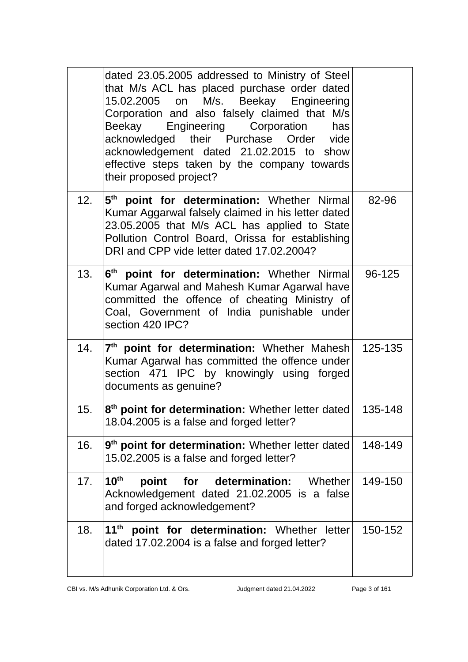|     | dated 23.05.2005 addressed to Ministry of Steel<br>that M/s ACL has placed purchase order dated<br>15.02.2005 on M/s. Beekay Engineering<br>Corporation and also falsely claimed that M/s<br>Beekay Engineering Corporation<br>has<br>acknowledged their Purchase Order vide<br>acknowledgement dated 21.02.2015 to show<br>effective steps taken by the company towards<br>their proposed project? |         |
|-----|-----------------------------------------------------------------------------------------------------------------------------------------------------------------------------------------------------------------------------------------------------------------------------------------------------------------------------------------------------------------------------------------------------|---------|
| 12. | 5 <sup>th</sup> point for determination: Whether Nirmal<br>Kumar Aggarwal falsely claimed in his letter dated<br>23.05.2005 that M/s ACL has applied to State<br>Pollution Control Board, Orissa for establishing<br>DRI and CPP vide letter dated 17.02.2004?                                                                                                                                      | 82-96   |
| 13. | 6 <sup>th</sup> point for determination: Whether Nirmal<br>Kumar Agarwal and Mahesh Kumar Agarwal have<br>committed the offence of cheating Ministry of<br>Coal, Government of India punishable under<br>section 420 IPC?                                                                                                                                                                           | 96-125  |
| 14. | 7 <sup>th</sup> point for determination: Whether Mahesh<br>Kumar Agarwal has committed the offence under<br>section 471 IPC by knowingly using forged<br>documents as genuine?                                                                                                                                                                                                                      | 125-135 |
| 15. | 8 <sup>th</sup> point for determination: Whether letter dated<br>18.04.2005 is a false and forged letter?                                                                                                                                                                                                                                                                                           | 135-148 |
| 16. | $9th$ point for determination: Whether letter dated<br>15.02.2005 is a false and forged letter?                                                                                                                                                                                                                                                                                                     | 148-149 |
| 17. | 10 <sup>th</sup><br>for determination: Whether<br>point<br>Acknowledgement dated 21.02.2005 is a false<br>and forged acknowledgement?                                                                                                                                                                                                                                                               | 149-150 |
| 18. | $11th$ point for determination: Whether letter<br>dated 17.02.2004 is a false and forged letter?                                                                                                                                                                                                                                                                                                    | 150-152 |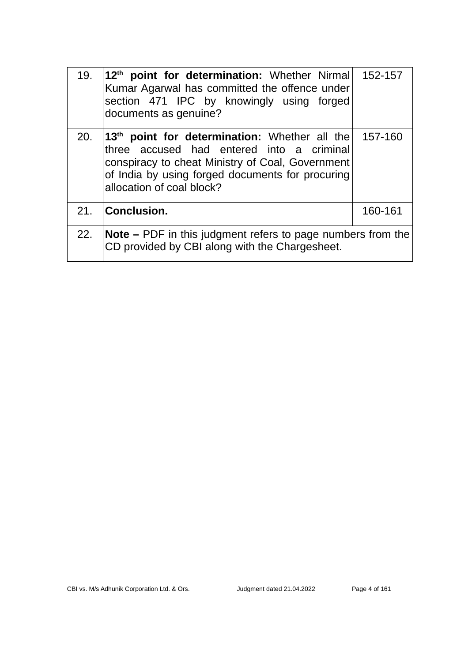| 19. | 12 <sup>th</sup> point for determination: Whether Nirmal<br>Kumar Agarwal has committed the offence under<br>section 471 IPC by knowingly using forged<br>documents as genuine?                                                             | 152-157 |
|-----|---------------------------------------------------------------------------------------------------------------------------------------------------------------------------------------------------------------------------------------------|---------|
| 20. | 13 <sup>th</sup> point for determination: Whether all the<br>three accused had entered into a criminal<br>conspiracy to cheat Ministry of Coal, Government<br>of India by using forged documents for procuring<br>allocation of coal block? | 157-160 |
|     | 21. Conclusion.                                                                                                                                                                                                                             | 160-161 |
| 22. | <b>Note</b> $-$ PDF in this judgment refers to page numbers from the<br>CD provided by CBI along with the Chargesheet.                                                                                                                      |         |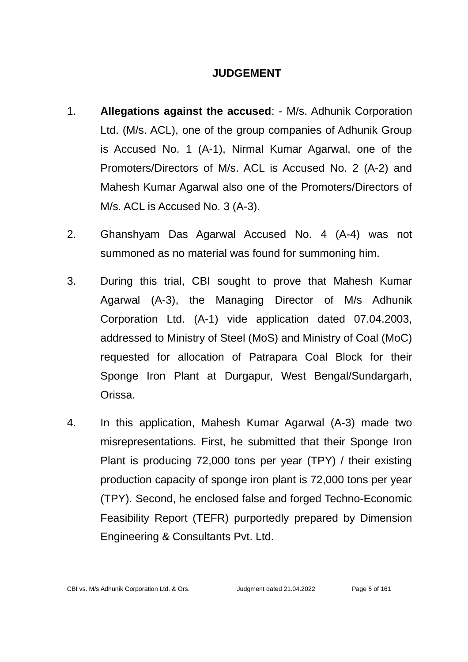#### **JUDGEMENT**

- 1. **Allegations against the accused**: M/s. Adhunik Corporation Ltd. (M/s. ACL), one of the group companies of Adhunik Group is Accused No. 1 (A-1), Nirmal Kumar Agarwal, one of the Promoters/Directors of M/s. ACL is Accused No. 2 (A-2) and Mahesh Kumar Agarwal also one of the Promoters/Directors of M/s. ACL is Accused No. 3 (A-3).
- 2. Ghanshyam Das Agarwal Accused No. 4 (A-4) was not summoned as no material was found for summoning him.
- 3. During this trial, CBI sought to prove that Mahesh Kumar Agarwal (A-3), the Managing Director of M/s Adhunik Corporation Ltd. (A-1) vide application dated 07.04.2003, addressed to Ministry of Steel (MoS) and Ministry of Coal (MoC) requested for allocation of Patrapara Coal Block for their Sponge Iron Plant at Durgapur, West Bengal/Sundargarh, Orissa.
- 4. In this application, Mahesh Kumar Agarwal (A-3) made two misrepresentations. First, he submitted that their Sponge Iron Plant is producing 72,000 tons per year (TPY) / their existing production capacity of sponge iron plant is 72,000 tons per year (TPY). Second, he enclosed false and forged Techno-Economic Feasibility Report (TEFR) purportedly prepared by Dimension Engineering & Consultants Pvt. Ltd.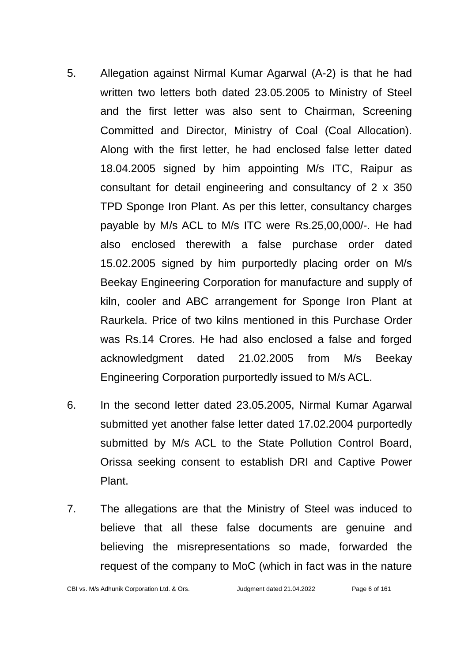- 5. Allegation against Nirmal Kumar Agarwal (A-2) is that he had written two letters both dated 23.05.2005 to Ministry of Steel and the first letter was also sent to Chairman, Screening Committed and Director, Ministry of Coal (Coal Allocation). Along with the first letter, he had enclosed false letter dated 18.04.2005 signed by him appointing M/s ITC, Raipur as consultant for detail engineering and consultancy of 2 x 350 TPD Sponge Iron Plant. As per this letter, consultancy charges payable by M/s ACL to M/s ITC were Rs.25,00,000/-. He had also enclosed therewith a false purchase order dated 15.02.2005 signed by him purportedly placing order on M/s Beekay Engineering Corporation for manufacture and supply of kiln, cooler and ABC arrangement for Sponge Iron Plant at Raurkela. Price of two kilns mentioned in this Purchase Order was Rs.14 Crores. He had also enclosed a false and forged acknowledgment dated 21.02.2005 from M/s Beekay Engineering Corporation purportedly issued to M/s ACL.
- 6. In the second letter dated 23.05.2005, Nirmal Kumar Agarwal submitted yet another false letter dated 17.02.2004 purportedly submitted by M/s ACL to the State Pollution Control Board, Orissa seeking consent to establish DRI and Captive Power Plant.
- 7. The allegations are that the Ministry of Steel was induced to believe that all these false documents are genuine and believing the misrepresentations so made, forwarded the request of the company to MoC (which in fact was in the nature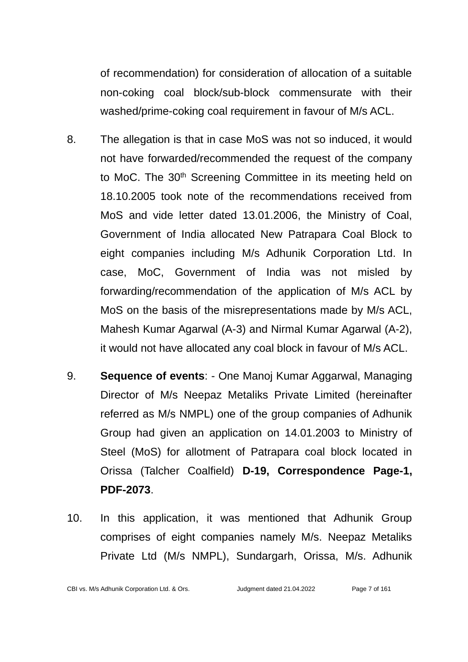of recommendation) for consideration of allocation of a suitable non-coking coal block/sub-block commensurate with their washed/prime-coking coal requirement in favour of M/s ACL.

- 8. The allegation is that in case MoS was not so induced, it would not have forwarded/recommended the request of the company to MoC. The 30<sup>th</sup> Screening Committee in its meeting held on 18.10.2005 took note of the recommendations received from MoS and vide letter dated 13.01.2006, the Ministry of Coal, Government of India allocated New Patrapara Coal Block to eight companies including M/s Adhunik Corporation Ltd. In case, MoC, Government of India was not misled by forwarding/recommendation of the application of M/s ACL by MoS on the basis of the misrepresentations made by M/s ACL, Mahesh Kumar Agarwal (A-3) and Nirmal Kumar Agarwal (A-2), it would not have allocated any coal block in favour of M/s ACL.
- 9. **Sequence of events**: One Manoj Kumar Aggarwal, Managing Director of M/s Neepaz Metaliks Private Limited (hereinafter referred as M/s NMPL) one of the group companies of Adhunik Group had given an application on 14.01.2003 to Ministry of Steel (MoS) for allotment of Patrapara coal block located in Orissa (Talcher Coalfield) **D-19, Correspondence Page-1, PDF-2073**.
- 10. In this application, it was mentioned that Adhunik Group comprises of eight companies namely M/s. Neepaz Metaliks Private Ltd (M/s NMPL), Sundargarh, Orissa, M/s. Adhunik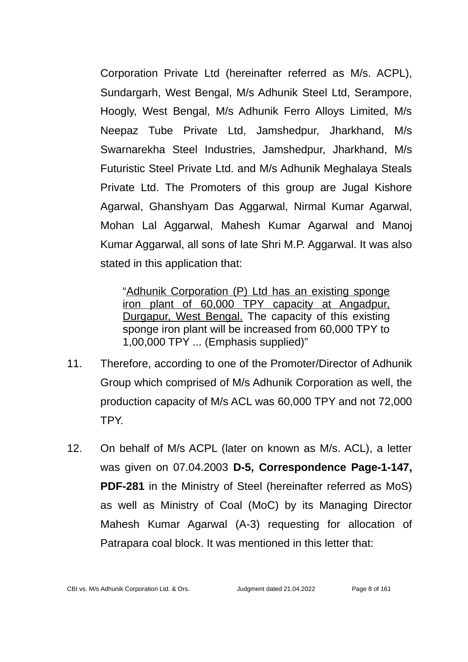Corporation Private Ltd (hereinafter referred as M/s. ACPL), Sundargarh, West Bengal, M/s Adhunik Steel Ltd, Serampore, Hoogly, West Bengal, M/s Adhunik Ferro Alloys Limited, M/s Neepaz Tube Private Ltd, Jamshedpur, Jharkhand, M/s Swarnarekha Steel Industries, Jamshedpur, Jharkhand, M/s Futuristic Steel Private Ltd. and M/s Adhunik Meghalaya Steals Private Ltd. The Promoters of this group are Jugal Kishore Agarwal, Ghanshyam Das Aggarwal, Nirmal Kumar Agarwal, Mohan Lal Aggarwal, Mahesh Kumar Agarwal and Manoj Kumar Aggarwal, all sons of late Shri M.P. Aggarwal. It was also stated in this application that:

"Adhunik Corporation (P) Ltd has an existing sponge iron plant of 60,000 TPY capacity at Angadpur, Durgapur, West Bengal. The capacity of this existing sponge iron plant will be increased from 60,000 TPY to 1,00,000 TPY ... (Emphasis supplied)"

- 11. Therefore, according to one of the Promoter/Director of Adhunik Group which comprised of M/s Adhunik Corporation as well, the production capacity of M/s ACL was 60,000 TPY and not 72,000 TPY.
- 12. On behalf of M/s ACPL (later on known as M/s. ACL), a letter was given on 07.04.2003 **D-5, Correspondence Page-1-147, PDF-281** in the Ministry of Steel (hereinafter referred as MoS) as well as Ministry of Coal (MoC) by its Managing Director Mahesh Kumar Agarwal (A-3) requesting for allocation of Patrapara coal block. It was mentioned in this letter that: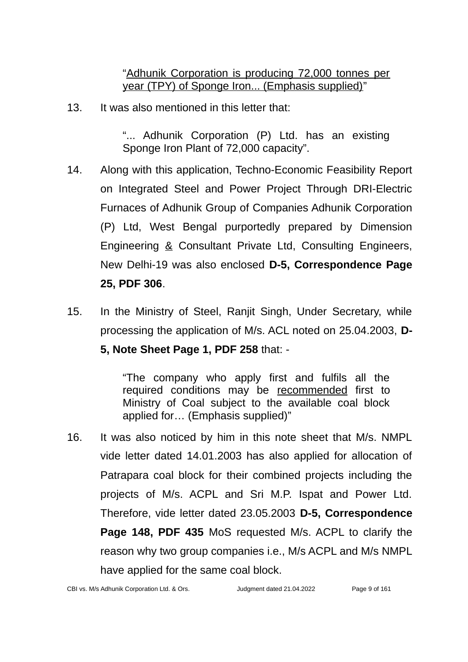"Adhunik Corporation is producing 72,000 tonnes per year (TPY) of Sponge Iron... (Emphasis supplied)"

13. It was also mentioned in this letter that:

"... Adhunik Corporation (P) Ltd. has an existing Sponge Iron Plant of 72,000 capacity".

- 14. Along with this application, Techno-Economic Feasibility Report on Integrated Steel and Power Project Through DRI-Electric Furnaces of Adhunik Group of Companies Adhunik Corporation (P) Ltd, West Bengal purportedly prepared by Dimension Engineering & Consultant Private Ltd, Consulting Engineers, New Delhi-19 was also enclosed **D-5, Correspondence Page 25, PDF 306**.
- 15. In the Ministry of Steel, Ranjit Singh, Under Secretary, while processing the application of M/s. ACL noted on 25.04.2003, **D-**

**5, Note Sheet Page 1, PDF 258** that: -

"The company who apply first and fulfils all the required conditions may be recommended first to Ministry of Coal subject to the available coal block applied for… (Emphasis supplied)"

16. It was also noticed by him in this note sheet that M/s. NMPL vide letter dated 14.01.2003 has also applied for allocation of Patrapara coal block for their combined projects including the projects of M/s. ACPL and Sri M.P. Ispat and Power Ltd. Therefore, vide letter dated 23.05.2003 **D-5, Correspondence Page 148, PDF 435** MoS requested M/s. ACPL to clarify the reason why two group companies i.e., M/s ACPL and M/s NMPL have applied for the same coal block.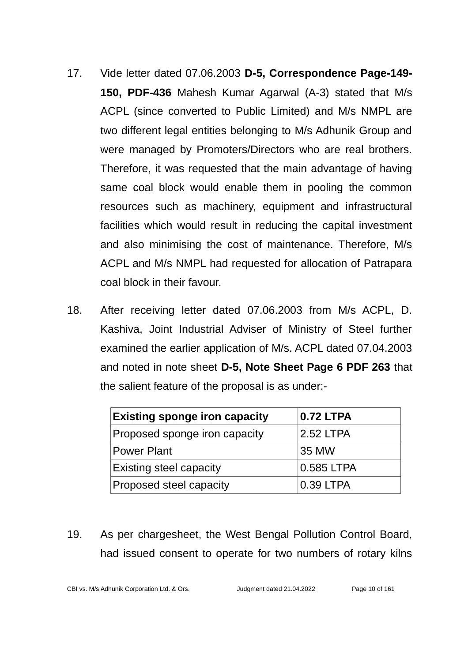- 17. Vide letter dated 07.06.2003 **D-5, Correspondence Page-149- 150, PDF-436** Mahesh Kumar Agarwal (A-3) stated that M/s ACPL (since converted to Public Limited) and M/s NMPL are two different legal entities belonging to M/s Adhunik Group and were managed by Promoters/Directors who are real brothers. Therefore, it was requested that the main advantage of having same coal block would enable them in pooling the common resources such as machinery, equipment and infrastructural facilities which would result in reducing the capital investment and also minimising the cost of maintenance. Therefore, M/s ACPL and M/s NMPL had requested for allocation of Patrapara coal block in their favour.
- 18. After receiving letter dated 07.06.2003 from M/s ACPL, D. Kashiva, Joint Industrial Adviser of Ministry of Steel further examined the earlier application of M/s. ACPL dated 07.04.2003 and noted in note sheet **D-5, Note Sheet Page 6 PDF 263** that the salient feature of the proposal is as under:-

| <b>Existing sponge iron capacity</b> | <b>0.72 LTPA</b> |
|--------------------------------------|------------------|
| Proposed sponge iron capacity        | 2.52 LTPA        |
| <b>Power Plant</b>                   | 35 MW            |
| <b>Existing steel capacity</b>       | 0.585 LTPA       |
| <b>Proposed steel capacity</b>       | $0.39$ LTPA      |

19. As per chargesheet, the West Bengal Pollution Control Board, had issued consent to operate for two numbers of rotary kilns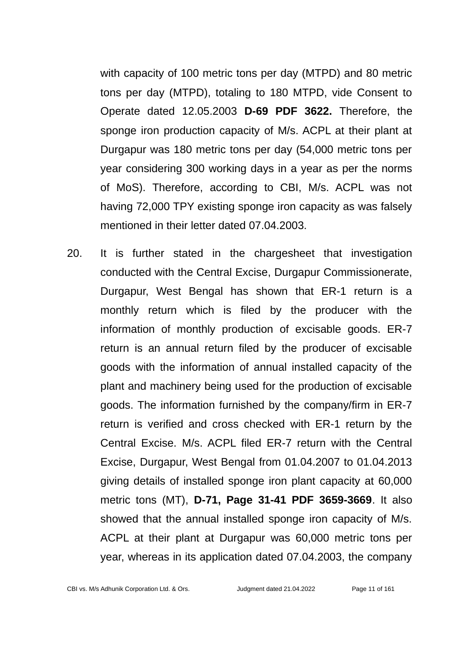with capacity of 100 metric tons per day (MTPD) and 80 metric tons per day (MTPD), totaling to 180 MTPD, vide Consent to Operate dated 12.05.2003 **D-69 PDF 3622.** Therefore, the sponge iron production capacity of M/s. ACPL at their plant at Durgapur was 180 metric tons per day (54,000 metric tons per year considering 300 working days in a year as per the norms of MoS). Therefore, according to CBI, M/s. ACPL was not having 72,000 TPY existing sponge iron capacity as was falsely mentioned in their letter dated 07.04.2003.

20. It is further stated in the chargesheet that investigation conducted with the Central Excise, Durgapur Commissionerate, Durgapur, West Bengal has shown that ER-1 return is a monthly return which is filed by the producer with the information of monthly production of excisable goods. ER-7 return is an annual return filed by the producer of excisable goods with the information of annual installed capacity of the plant and machinery being used for the production of excisable goods. The information furnished by the company/firm in ER-7 return is verified and cross checked with ER-1 return by the Central Excise. M/s. ACPL filed ER-7 return with the Central Excise, Durgapur, West Bengal from 01.04.2007 to 01.04.2013 giving details of installed sponge iron plant capacity at 60,000 metric tons (MT), **D-71, Page 31-41 PDF 3659-3669**. It also showed that the annual installed sponge iron capacity of M/s. ACPL at their plant at Durgapur was 60,000 metric tons per year, whereas in its application dated 07.04.2003, the company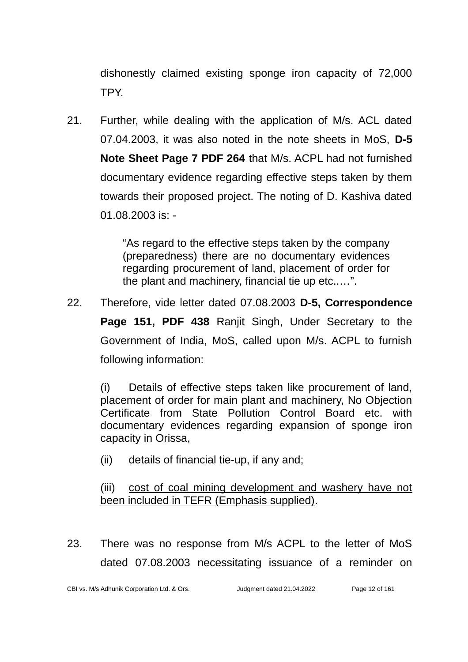dishonestly claimed existing sponge iron capacity of 72,000 TPY.

21. Further, while dealing with the application of M/s. ACL dated 07.04.2003, it was also noted in the note sheets in MoS, **D-5 Note Sheet Page 7 PDF 264** that M/s. ACPL had not furnished documentary evidence regarding effective steps taken by them towards their proposed project. The noting of D. Kashiva dated 01.08.2003 is: -

> "As regard to the effective steps taken by the company (preparedness) there are no documentary evidences regarding procurement of land, placement of order for the plant and machinery, financial tie up etc..…".

22. Therefore, vide letter dated 07.08.2003 **D-5, Correspondence Page 151, PDF 438** Ranjit Singh, Under Secretary to the Government of India, MoS, called upon M/s. ACPL to furnish following information:

(i) Details of effective steps taken like procurement of land, placement of order for main plant and machinery, No Objection Certificate from State Pollution Control Board etc. with documentary evidences regarding expansion of sponge iron capacity in Orissa,

(ii) details of financial tie-up, if any and;

(iii) cost of coal mining development and washery have not been included in TEFR (Emphasis supplied).

23. There was no response from M/s ACPL to the letter of MoS dated 07.08.2003 necessitating issuance of a reminder on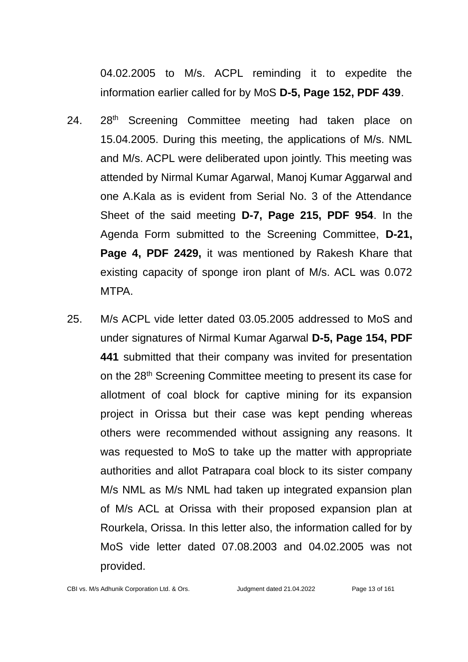04.02.2005 to M/s. ACPL reminding it to expedite the information earlier called for by MoS **D-5, Page 152, PDF 439**.

- 24. 28<sup>th</sup> Screening Committee meeting had taken place on 15.04.2005. During this meeting, the applications of M/s. NML and M/s. ACPL were deliberated upon jointly. This meeting was attended by Nirmal Kumar Agarwal, Manoj Kumar Aggarwal and one A.Kala as is evident from Serial No. 3 of the Attendance Sheet of the said meeting **D-7, Page 215, PDF 954**. In the Agenda Form submitted to the Screening Committee, **D-21, Page 4, PDF 2429,** it was mentioned by Rakesh Khare that existing capacity of sponge iron plant of M/s. ACL was 0.072 MTPA.
- 25. M/s ACPL vide letter dated 03.05.2005 addressed to MoS and under signatures of Nirmal Kumar Agarwal **D-5, Page 154, PDF 441** submitted that their company was invited for presentation on the 28<sup>th</sup> Screening Committee meeting to present its case for allotment of coal block for captive mining for its expansion project in Orissa but their case was kept pending whereas others were recommended without assigning any reasons. It was requested to MoS to take up the matter with appropriate authorities and allot Patrapara coal block to its sister company M/s NML as M/s NML had taken up integrated expansion plan of M/s ACL at Orissa with their proposed expansion plan at Rourkela, Orissa. In this letter also, the information called for by MoS vide letter dated 07.08.2003 and 04.02.2005 was not provided.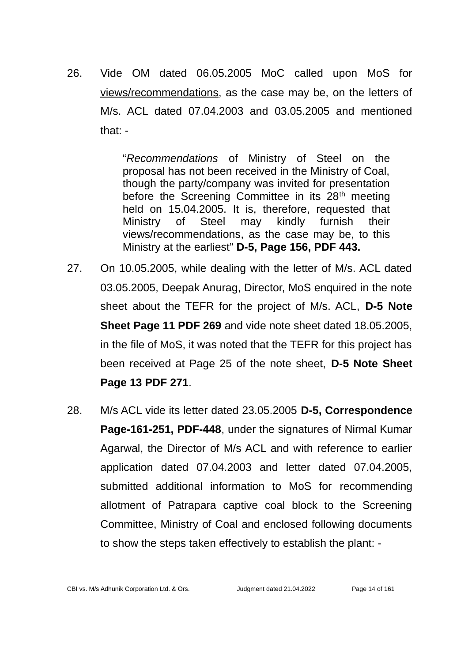26. Vide OM dated 06.05.2005 MoC called upon MoS for views/recommendations, as the case may be, on the letters of M/s. ACL dated 07.04.2003 and 03.05.2005 and mentioned that: -

> "*Recommendations* of Ministry of Steel on the proposal has not been received in the Ministry of Coal, though the party/company was invited for presentation before the Screening Committee in its 28<sup>th</sup> meeting held on 15.04.2005. It is, therefore, requested that Ministry of Steel may kindly furnish their views/recommendations, as the case may be, to this Ministry at the earliest" **D-5, Page 156, PDF 443.**

- 27. On 10.05.2005, while dealing with the letter of M/s. ACL dated 03.05.2005, Deepak Anurag, Director, MoS enquired in the note sheet about the TEFR for the project of M/s. ACL, **D-5 Note Sheet Page 11 PDF 269** and vide note sheet dated 18.05.2005, in the file of MoS, it was noted that the TEFR for this project has been received at Page 25 of the note sheet, **D-5 Note Sheet Page 13 PDF 271**.
- 28. M/s ACL vide its letter dated 23.05.2005 **D-5, Correspondence Page-161-251, PDF-448**, under the signatures of Nirmal Kumar Agarwal, the Director of M/s ACL and with reference to earlier application dated 07.04.2003 and letter dated 07.04.2005, submitted additional information to MoS for recommending allotment of Patrapara captive coal block to the Screening Committee, Ministry of Coal and enclosed following documents to show the steps taken effectively to establish the plant: -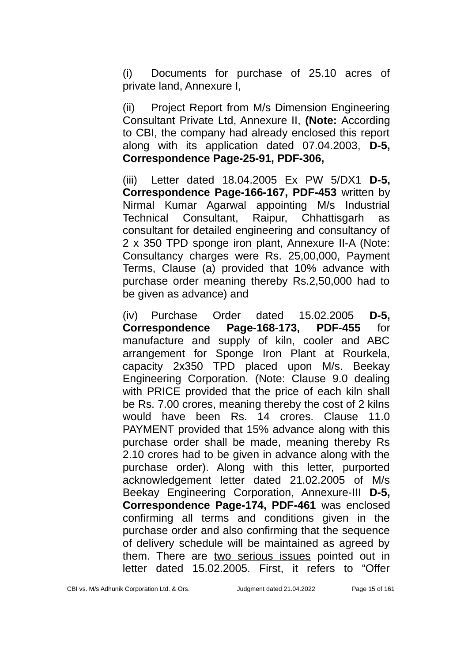(i) Documents for purchase of 25.10 acres of private land, Annexure I,

(ii) Project Report from M/s Dimension Engineering Consultant Private Ltd, Annexure II, **(Note:** According to CBI, the company had already enclosed this report along with its application dated 07.04.2003, **D-5, Correspondence Page-25-91, PDF-306,**

(iii) Letter dated 18.04.2005 Ex PW 5/DX1 **D-5, Correspondence Page-166-167, PDF-453** written by Nirmal Kumar Agarwal appointing M/s Industrial Technical Consultant, Raipur, Chhattisgarh as consultant for detailed engineering and consultancy of 2 x 350 TPD sponge iron plant, Annexure II-A (Note: Consultancy charges were Rs. 25,00,000, Payment Terms, Clause (a) provided that 10% advance with purchase order meaning thereby Rs.2,50,000 had to be given as advance) and

(iv) Purchase Order dated 15.02.2005 **D-5, Correspondence Page-168-173, PDF-455** for manufacture and supply of kiln, cooler and ABC arrangement for Sponge Iron Plant at Rourkela, capacity 2x350 TPD placed upon M/s. Beekay Engineering Corporation. (Note: Clause 9.0 dealing with PRICE provided that the price of each kiln shall be Rs. 7.00 crores, meaning thereby the cost of 2 kilns would have been Rs. 14 crores. Clause 11.0 PAYMENT provided that 15% advance along with this purchase order shall be made, meaning thereby Rs 2.10 crores had to be given in advance along with the purchase order). Along with this letter, purported acknowledgement letter dated 21.02.2005 of M/s Beekay Engineering Corporation, Annexure-III **D-5, Correspondence Page-174, PDF-461** was enclosed confirming all terms and conditions given in the purchase order and also confirming that the sequence of delivery schedule will be maintained as agreed by them. There are two serious issues pointed out in letter dated 15.02.2005. First, it refers to "Offer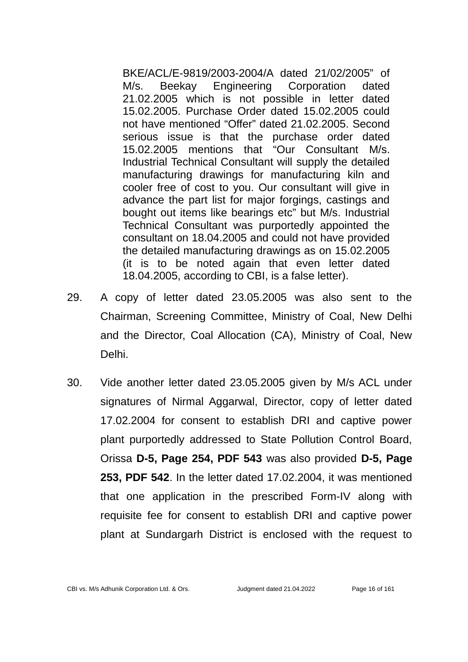BKE/ACL/E-9819/2003-2004/A dated 21/02/2005" of M/s. Beekay Engineering Corporation dated 21.02.2005 which is not possible in letter dated 15.02.2005. Purchase Order dated 15.02.2005 could not have mentioned "Offer" dated 21.02.2005. Second serious issue is that the purchase order dated 15.02.2005 mentions that "Our Consultant M/s. Industrial Technical Consultant will supply the detailed manufacturing drawings for manufacturing kiln and cooler free of cost to you. Our consultant will give in advance the part list for major forgings, castings and bought out items like bearings etc" but M/s. Industrial Technical Consultant was purportedly appointed the consultant on 18.04.2005 and could not have provided the detailed manufacturing drawings as on 15.02.2005 (it is to be noted again that even letter dated 18.04.2005, according to CBI, is a false letter).

- 29. A copy of letter dated 23.05.2005 was also sent to the Chairman, Screening Committee, Ministry of Coal, New Delhi and the Director, Coal Allocation (CA), Ministry of Coal, New Delhi.
- 30. Vide another letter dated 23.05.2005 given by M/s ACL under signatures of Nirmal Aggarwal, Director, copy of letter dated 17.02.2004 for consent to establish DRI and captive power plant purportedly addressed to State Pollution Control Board, Orissa **D-5, Page 254, PDF 543** was also provided **D-5, Page 253, PDF 542**. In the letter dated 17.02.2004, it was mentioned that one application in the prescribed Form-IV along with requisite fee for consent to establish DRI and captive power plant at Sundargarh District is enclosed with the request to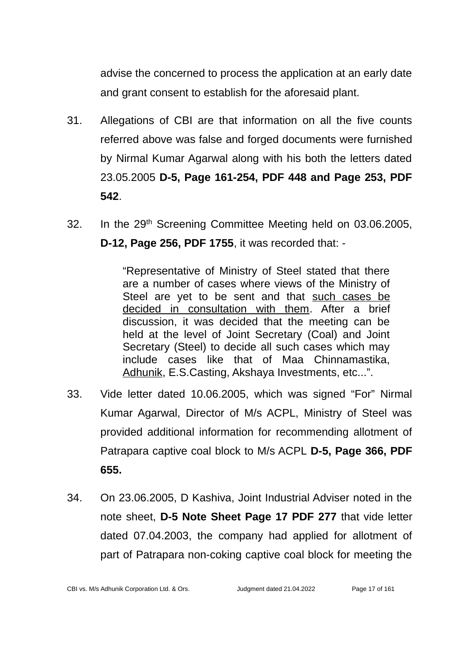advise the concerned to process the application at an early date and grant consent to establish for the aforesaid plant.

- 31. Allegations of CBI are that information on all the five counts referred above was false and forged documents were furnished by Nirmal Kumar Agarwal along with his both the letters dated 23.05.2005 **D-5, Page 161-254, PDF 448 and Page 253, PDF 542**.
- 32. In the 29th Screening Committee Meeting held on 03.06.2005, **D-12, Page 256, PDF 1755**, it was recorded that: -

"Representative of Ministry of Steel stated that there are a number of cases where views of the Ministry of Steel are yet to be sent and that such cases be decided in consultation with them. After a brief discussion, it was decided that the meeting can be held at the level of Joint Secretary (Coal) and Joint Secretary (Steel) to decide all such cases which may include cases like that of Maa Chinnamastika, Adhunik, E.S.Casting, Akshaya Investments, etc...".

- 33. Vide letter dated 10.06.2005, which was signed "For" Nirmal Kumar Agarwal, Director of M/s ACPL, Ministry of Steel was provided additional information for recommending allotment of Patrapara captive coal block to M/s ACPL **D-5, Page 366, PDF 655.**
- 34. On 23.06.2005, D Kashiva, Joint Industrial Adviser noted in the note sheet, **D-5 Note Sheet Page 17 PDF 277** that vide letter dated 07.04.2003, the company had applied for allotment of part of Patrapara non-coking captive coal block for meeting the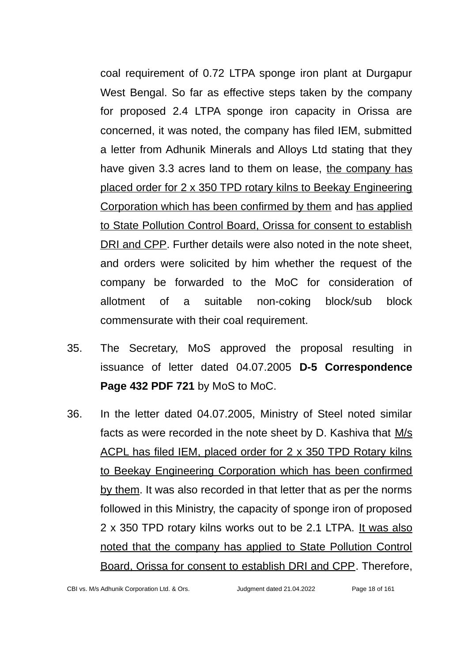coal requirement of 0.72 LTPA sponge iron plant at Durgapur West Bengal. So far as effective steps taken by the company for proposed 2.4 LTPA sponge iron capacity in Orissa are concerned, it was noted, the company has filed IEM, submitted a letter from Adhunik Minerals and Alloys Ltd stating that they have given 3.3 acres land to them on lease, the company has placed order for 2 x 350 TPD rotary kilns to Beekay Engineering Corporation which has been confirmed by them and has applied to State Pollution Control Board, Orissa for consent to establish DRI and CPP. Further details were also noted in the note sheet, and orders were solicited by him whether the request of the company be forwarded to the MoC for consideration of allotment of a suitable non-coking block/sub block commensurate with their coal requirement.

- 35. The Secretary, MoS approved the proposal resulting in issuance of letter dated 04.07.2005 **D-5 Correspondence Page 432 PDF 721** by MoS to MoC.
- 36. In the letter dated 04.07.2005, Ministry of Steel noted similar facts as were recorded in the note sheet by D. Kashiva that M/s ACPL has filed IEM, placed order for 2 x 350 TPD Rotary kilns to Beekay Engineering Corporation which has been confirmed by them. It was also recorded in that letter that as per the norms followed in this Ministry, the capacity of sponge iron of proposed 2 x 350 TPD rotary kilns works out to be 2.1 LTPA. It was also noted that the company has applied to State Pollution Control Board, Orissa for consent to establish DRI and CPP. Therefore,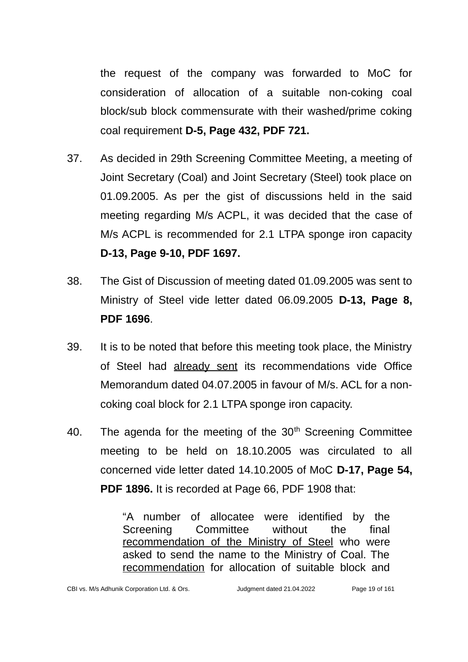the request of the company was forwarded to MoC for consideration of allocation of a suitable non-coking coal block/sub block commensurate with their washed/prime coking coal requirement **D-5, Page 432, PDF 721.**

- 37. As decided in 29th Screening Committee Meeting, a meeting of Joint Secretary (Coal) and Joint Secretary (Steel) took place on 01.09.2005. As per the gist of discussions held in the said meeting regarding M/s ACPL, it was decided that the case of M/s ACPL is recommended for 2.1 LTPA sponge iron capacity **D-13, Page 9-10, PDF 1697.**
- 38. The Gist of Discussion of meeting dated 01.09.2005 was sent to Ministry of Steel vide letter dated 06.09.2005 **D-13, Page 8, PDF 1696**.
- 39. It is to be noted that before this meeting took place, the Ministry of Steel had already sent its recommendations vide Office Memorandum dated 04.07.2005 in favour of M/s. ACL for a noncoking coal block for 2.1 LTPA sponge iron capacity.
- 40. The agenda for the meeting of the  $30<sup>th</sup>$  Screening Committee meeting to be held on 18.10.2005 was circulated to all concerned vide letter dated 14.10.2005 of MoC **D-17, Page 54, PDF 1896.** It is recorded at Page 66, PDF 1908 that:

"A number of allocatee were identified by the Screening Committee without the final recommendation of the Ministry of Steel who were asked to send the name to the Ministry of Coal. The recommendation for allocation of suitable block and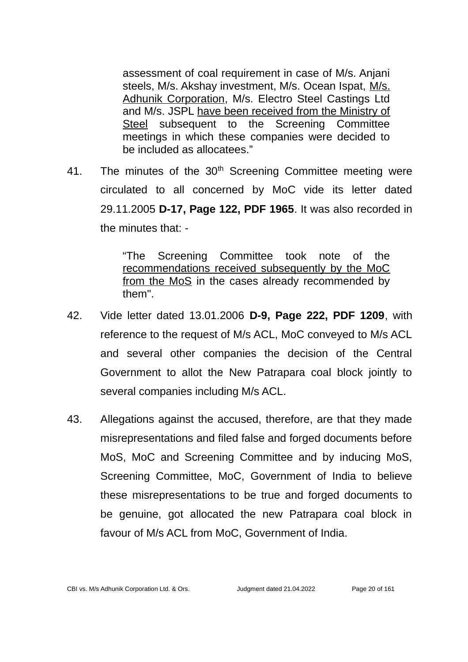assessment of coal requirement in case of M/s. Anjani steels, M/s. Akshay investment, M/s. Ocean Ispat, M/s. Adhunik Corporation, M/s. Electro Steel Castings Ltd and M/s. JSPL have been received from the Ministry of Steel subsequent to the Screening Committee meetings in which these companies were decided to be included as allocatees."

41. The minutes of the  $30<sup>th</sup>$  Screening Committee meeting were circulated to all concerned by MoC vide its letter dated 29.11.2005 **D-17, Page 122, PDF 1965**. It was also recorded in the minutes that: -

> "The Screening Committee took note of the recommendations received subsequently by the MoC from the MoS in the cases already recommended by them".

- 42. Vide letter dated 13.01.2006 **D-9, Page 222, PDF 1209**, with reference to the request of M/s ACL, MoC conveyed to M/s ACL and several other companies the decision of the Central Government to allot the New Patrapara coal block jointly to several companies including M/s ACL.
- 43. Allegations against the accused, therefore, are that they made misrepresentations and filed false and forged documents before MoS, MoC and Screening Committee and by inducing MoS, Screening Committee, MoC, Government of India to believe these misrepresentations to be true and forged documents to be genuine, got allocated the new Patrapara coal block in favour of M/s ACL from MoC, Government of India.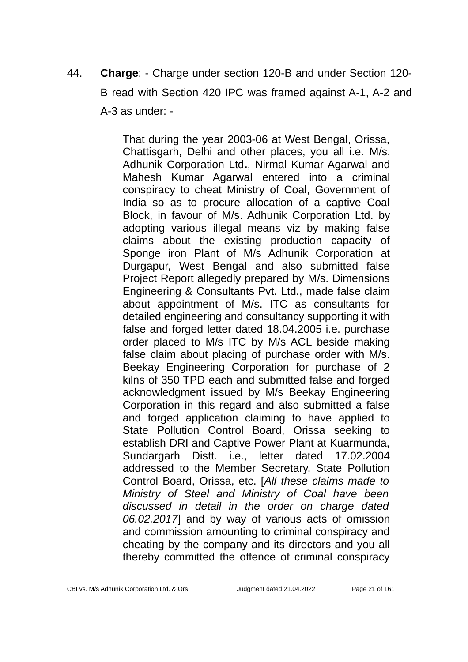44. **Charge**: - Charge under section 120-B and under Section 120- B read with Section 420 IPC was framed against A-1, A-2 and A-3 as under: -

> That during the year 2003-06 at West Bengal, Orissa, Chattisgarh, Delhi and other places, you all i.e. M/s. Adhunik Corporation Ltd**.**, Nirmal Kumar Agarwal and Mahesh Kumar Agarwal entered into a criminal conspiracy to cheat Ministry of Coal, Government of India so as to procure allocation of a captive Coal Block, in favour of M/s. Adhunik Corporation Ltd. by adopting various illegal means viz by making false claims about the existing production capacity of Sponge iron Plant of M/s Adhunik Corporation at Durgapur, West Bengal and also submitted false Project Report allegedly prepared by M/s. Dimensions Engineering & Consultants Pvt. Ltd., made false claim about appointment of M/s. ITC as consultants for detailed engineering and consultancy supporting it with false and forged letter dated 18.04.2005 i.e. purchase order placed to M/s ITC by M/s ACL beside making false claim about placing of purchase order with M/s. Beekay Engineering Corporation for purchase of 2 kilns of 350 TPD each and submitted false and forged acknowledgment issued by M/s Beekay Engineering Corporation in this regard and also submitted a false and forged application claiming to have applied to State Pollution Control Board, Orissa seeking to establish DRI and Captive Power Plant at Kuarmunda, Sundargarh Distt. i.e., letter dated 17.02.2004 addressed to the Member Secretary, State Pollution Control Board, Orissa, etc. [*All these claims made to Ministry of Steel and Ministry of Coal have been discussed in detail in the order on charge dated 06.02.2017*] and by way of various acts of omission and commission amounting to criminal conspiracy and cheating by the company and its directors and you all thereby committed the offence of criminal conspiracy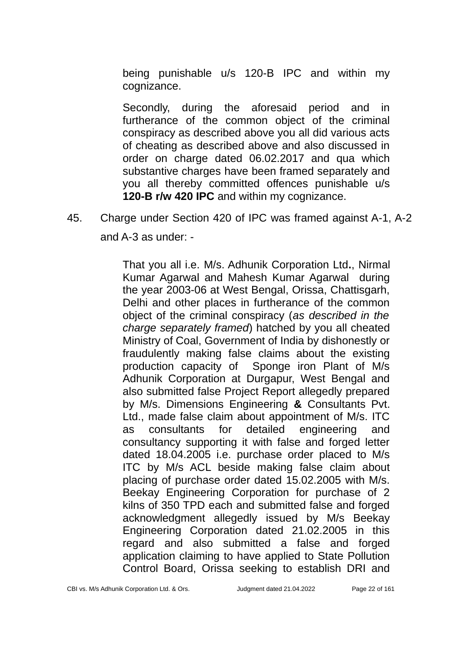being punishable u/s 120-B IPC and within my cognizance.

Secondly, during the aforesaid period and in furtherance of the common object of the criminal conspiracy as described above you all did various acts of cheating as described above and also discussed in order on charge dated 06.02.2017 and qua which substantive charges have been framed separately and you all thereby committed offences punishable u/s **120-B r/w 420 IPC** and within my cognizance.

# 45. Charge under Section 420 of IPC was framed against A-1, A-2

and A-3 as under: -

That you all i.e. M/s. Adhunik Corporation Ltd**.**, Nirmal Kumar Agarwal and Mahesh Kumar Agarwal during the year 2003-06 at West Bengal, Orissa, Chattisgarh, Delhi and other places in furtherance of the common object of the criminal conspiracy (*as described in the charge separately framed*) hatched by you all cheated Ministry of Coal, Government of India by dishonestly or fraudulently making false claims about the existing production capacity of Sponge iron Plant of M/s Adhunik Corporation at Durgapur, West Bengal and also submitted false Project Report allegedly prepared by M/s. Dimensions Engineering **&** Consultants Pvt. Ltd., made false claim about appointment of M/s. ITC as consultants for detailed engineering and consultancy supporting it with false and forged letter dated 18.04.2005 i.e. purchase order placed to M/s ITC by M/s ACL beside making false claim about placing of purchase order dated 15.02.2005 with M/s. Beekay Engineering Corporation for purchase of 2 kilns of 350 TPD each and submitted false and forged acknowledgment allegedly issued by M/s Beekay Engineering Corporation dated 21.02.2005 in this regard and also submitted a false and forged application claiming to have applied to State Pollution Control Board, Orissa seeking to establish DRI and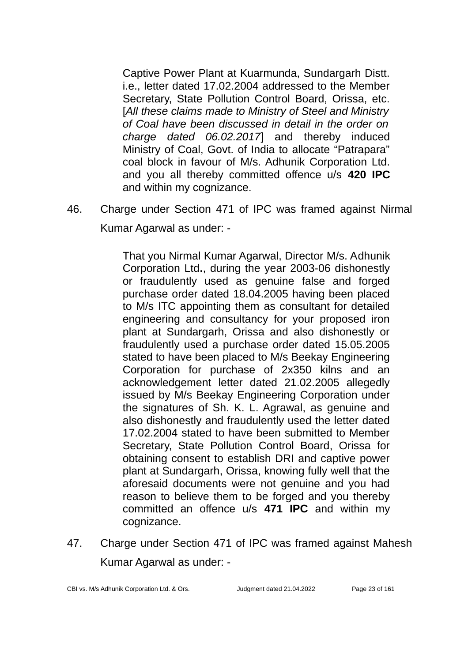Captive Power Plant at Kuarmunda, Sundargarh Distt. i.e., letter dated 17.02.2004 addressed to the Member Secretary, State Pollution Control Board, Orissa, etc. [*All these claims made to Ministry of Steel and Ministry of Coal have been discussed in detail in the order on charge dated 06.02.2017*] and thereby induced Ministry of Coal, Govt. of India to allocate "Patrapara" coal block in favour of M/s. Adhunik Corporation Ltd. and you all thereby committed offence u/s **420 IPC** and within my cognizance.

46. Charge under Section 471 of IPC was framed against Nirmal Kumar Agarwal as under: -

> That you Nirmal Kumar Agarwal, Director M/s. Adhunik Corporation Ltd**.**, during the year 2003-06 dishonestly or fraudulently used as genuine false and forged purchase order dated 18.04.2005 having been placed to M/s ITC appointing them as consultant for detailed engineering and consultancy for your proposed iron plant at Sundargarh, Orissa and also dishonestly or fraudulently used a purchase order dated 15.05.2005 stated to have been placed to M/s Beekay Engineering Corporation for purchase of 2x350 kilns and an acknowledgement letter dated 21.02.2005 allegedly issued by M/s Beekay Engineering Corporation under the signatures of Sh. K. L. Agrawal, as genuine and also dishonestly and fraudulently used the letter dated 17.02.2004 stated to have been submitted to Member Secretary, State Pollution Control Board, Orissa for obtaining consent to establish DRI and captive power plant at Sundargarh, Orissa, knowing fully well that the aforesaid documents were not genuine and you had reason to believe them to be forged and you thereby committed an offence u/s **471 IPC** and within my cognizance.

47. Charge under Section 471 of IPC was framed against Mahesh Kumar Agarwal as under: -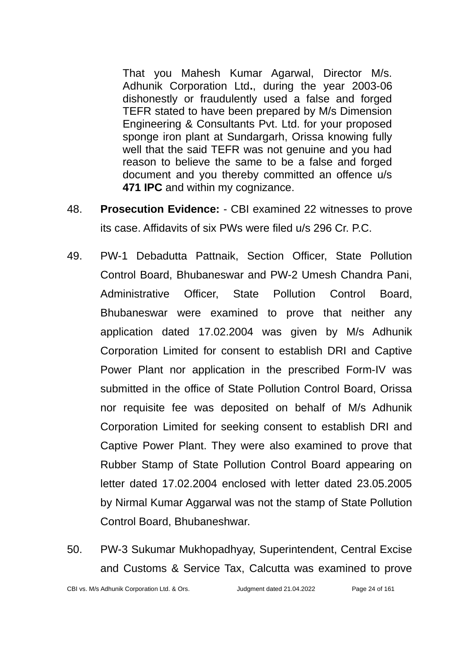That you Mahesh Kumar Agarwal, Director M/s. Adhunik Corporation Ltd**.**, during the year 2003-06 dishonestly or fraudulently used a false and forged TEFR stated to have been prepared by M/s Dimension Engineering & Consultants Pvt. Ltd. for your proposed sponge iron plant at Sundargarh, Orissa knowing fully well that the said TEFR was not genuine and you had reason to believe the same to be a false and forged document and you thereby committed an offence u/s **471 IPC** and within my cognizance.

- 48. **Prosecution Evidence:** CBI examined 22 witnesses to prove its case. Affidavits of six PWs were filed u/s 296 Cr. P.C.
- 49. PW-1 Debadutta Pattnaik, Section Officer, State Pollution Control Board, Bhubaneswar and PW-2 Umesh Chandra Pani, Administrative Officer, State Pollution Control Board, Bhubaneswar were examined to prove that neither any application dated 17.02.2004 was given by M/s Adhunik Corporation Limited for consent to establish DRI and Captive Power Plant nor application in the prescribed Form-IV was submitted in the office of State Pollution Control Board, Orissa nor requisite fee was deposited on behalf of M/s Adhunik Corporation Limited for seeking consent to establish DRI and Captive Power Plant. They were also examined to prove that Rubber Stamp of State Pollution Control Board appearing on letter dated 17.02.2004 enclosed with letter dated 23.05.2005 by Nirmal Kumar Aggarwal was not the stamp of State Pollution Control Board, Bhubaneshwar.
- 50. PW-3 Sukumar Mukhopadhyay, Superintendent, Central Excise and Customs & Service Tax, Calcutta was examined to prove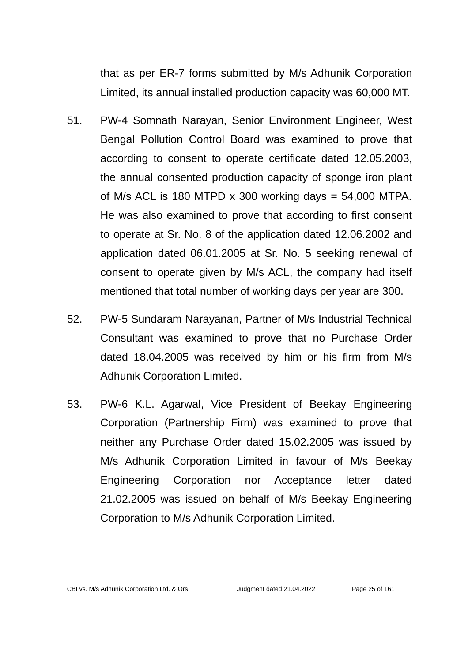that as per ER-7 forms submitted by M/s Adhunik Corporation Limited, its annual installed production capacity was 60,000 MT.

- 51. PW-4 Somnath Narayan, Senior Environment Engineer, West Bengal Pollution Control Board was examined to prove that according to consent to operate certificate dated 12.05.2003, the annual consented production capacity of sponge iron plant of M/s ACL is 180 MTPD  $\times$  300 working days = 54,000 MTPA. He was also examined to prove that according to first consent to operate at Sr. No. 8 of the application dated 12.06.2002 and application dated 06.01.2005 at Sr. No. 5 seeking renewal of consent to operate given by M/s ACL, the company had itself mentioned that total number of working days per year are 300.
- 52. PW-5 Sundaram Narayanan, Partner of M/s Industrial Technical Consultant was examined to prove that no Purchase Order dated 18.04.2005 was received by him or his firm from M/s Adhunik Corporation Limited.
- 53. PW-6 K.L. Agarwal, Vice President of Beekay Engineering Corporation (Partnership Firm) was examined to prove that neither any Purchase Order dated 15.02.2005 was issued by M/s Adhunik Corporation Limited in favour of M/s Beekay Engineering Corporation nor Acceptance letter dated 21.02.2005 was issued on behalf of M/s Beekay Engineering Corporation to M/s Adhunik Corporation Limited.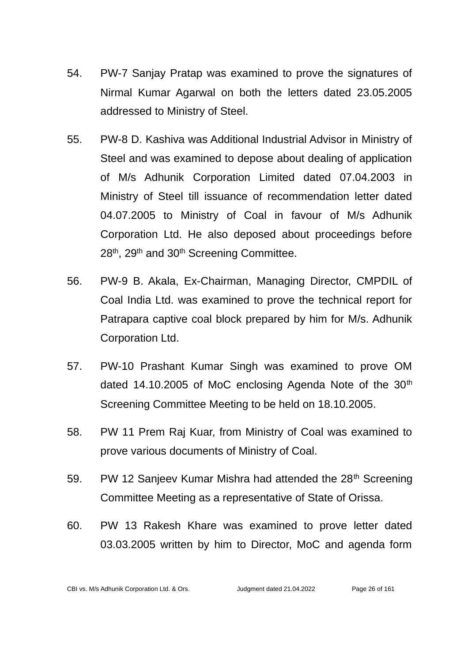- 54. PW-7 Sanjay Pratap was examined to prove the signatures of Nirmal Kumar Agarwal on both the letters dated 23.05.2005 addressed to Ministry of Steel.
- 55. PW-8 D. Kashiva was Additional Industrial Advisor in Ministry of Steel and was examined to depose about dealing of application of M/s Adhunik Corporation Limited dated 07.04.2003 in Ministry of Steel till issuance of recommendation letter dated 04.07.2005 to Ministry of Coal in favour of M/s Adhunik Corporation Ltd. He also deposed about proceedings before 28<sup>th</sup>, 29<sup>th</sup> and 30<sup>th</sup> Screening Committee.
- 56. PW-9 B. Akala, Ex-Chairman, Managing Director, CMPDIL of Coal India Ltd. was examined to prove the technical report for Patrapara captive coal block prepared by him for M/s. Adhunik Corporation Ltd.
- 57. PW-10 Prashant Kumar Singh was examined to prove OM dated 14.10.2005 of MoC enclosing Agenda Note of the 30<sup>th</sup> Screening Committee Meeting to be held on 18.10.2005.
- 58. PW 11 Prem Raj Kuar, from Ministry of Coal was examined to prove various documents of Ministry of Coal.
- 59. PW 12 Sanjeev Kumar Mishra had attended the  $28<sup>th</sup>$  Screening Committee Meeting as a representative of State of Orissa.
- 60. PW 13 Rakesh Khare was examined to prove letter dated 03.03.2005 written by him to Director, MoC and agenda form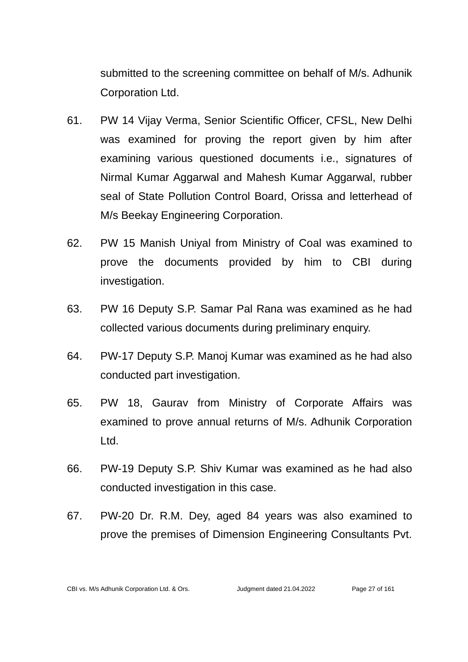submitted to the screening committee on behalf of M/s. Adhunik Corporation Ltd.

- 61. PW 14 Vijay Verma, Senior Scientific Officer, CFSL, New Delhi was examined for proving the report given by him after examining various questioned documents i.e., signatures of Nirmal Kumar Aggarwal and Mahesh Kumar Aggarwal, rubber seal of State Pollution Control Board, Orissa and letterhead of M/s Beekay Engineering Corporation.
- 62. PW 15 Manish Uniyal from Ministry of Coal was examined to prove the documents provided by him to CBI during investigation.
- 63. PW 16 Deputy S.P. Samar Pal Rana was examined as he had collected various documents during preliminary enquiry.
- 64. PW-17 Deputy S.P. Manoj Kumar was examined as he had also conducted part investigation.
- 65. PW 18, Gaurav from Ministry of Corporate Affairs was examined to prove annual returns of M/s. Adhunik Corporation Ltd.
- 66. PW-19 Deputy S.P. Shiv Kumar was examined as he had also conducted investigation in this case.
- 67. PW-20 Dr. R.M. Dey, aged 84 years was also examined to prove the premises of Dimension Engineering Consultants Pvt.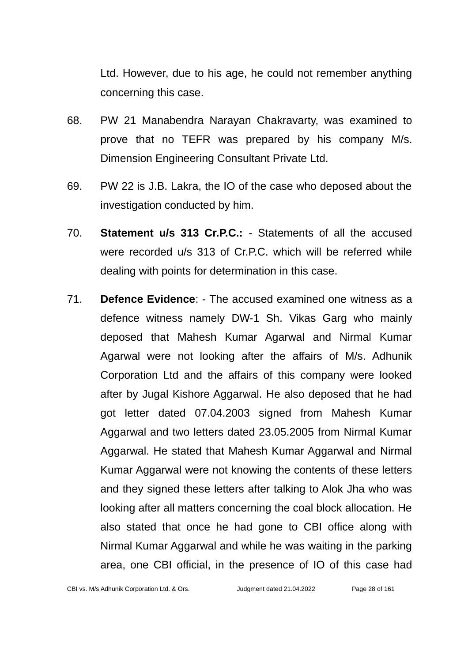Ltd. However, due to his age, he could not remember anything concerning this case.

- 68. PW 21 Manabendra Narayan Chakravarty, was examined to prove that no TEFR was prepared by his company M/s. Dimension Engineering Consultant Private Ltd.
- 69. PW 22 is J.B. Lakra, the IO of the case who deposed about the investigation conducted by him.
- 70. **Statement u/s 313 Cr.P.C.:** Statements of all the accused were recorded u/s 313 of Cr.P.C. which will be referred while dealing with points for determination in this case.
- 71. **Defence Evidence**: The accused examined one witness as a defence witness namely DW-1 Sh. Vikas Garg who mainly deposed that Mahesh Kumar Agarwal and Nirmal Kumar Agarwal were not looking after the affairs of M/s. Adhunik Corporation Ltd and the affairs of this company were looked after by Jugal Kishore Aggarwal. He also deposed that he had got letter dated 07.04.2003 signed from Mahesh Kumar Aggarwal and two letters dated 23.05.2005 from Nirmal Kumar Aggarwal. He stated that Mahesh Kumar Aggarwal and Nirmal Kumar Aggarwal were not knowing the contents of these letters and they signed these letters after talking to Alok Jha who was looking after all matters concerning the coal block allocation. He also stated that once he had gone to CBI office along with Nirmal Kumar Aggarwal and while he was waiting in the parking area, one CBI official, in the presence of IO of this case had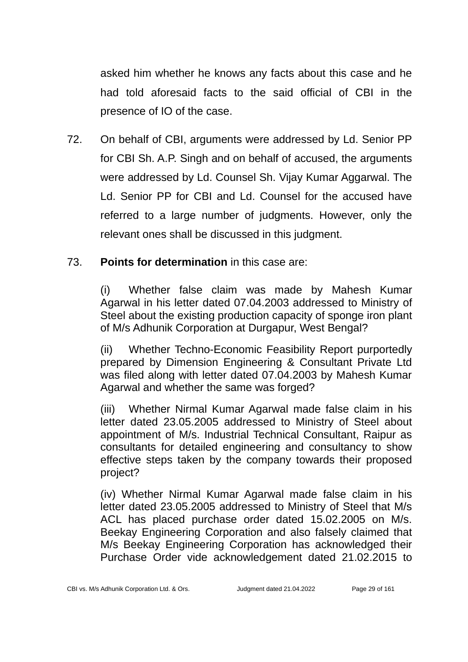asked him whether he knows any facts about this case and he had told aforesaid facts to the said official of CBI in the presence of IO of the case.

72. On behalf of CBI, arguments were addressed by Ld. Senior PP for CBI Sh. A.P. Singh and on behalf of accused, the arguments were addressed by Ld. Counsel Sh. Vijay Kumar Aggarwal. The Ld. Senior PP for CBI and Ld. Counsel for the accused have referred to a large number of judgments. However, only the relevant ones shall be discussed in this judgment.

# 73. **Points for determination** in this case are:

(i) Whether false claim was made by Mahesh Kumar Agarwal in his letter dated 07.04.2003 addressed to Ministry of Steel about the existing production capacity of sponge iron plant of M/s Adhunik Corporation at Durgapur, West Bengal?

(ii) Whether Techno-Economic Feasibility Report purportedly prepared by Dimension Engineering & Consultant Private Ltd was filed along with letter dated 07.04.2003 by Mahesh Kumar Agarwal and whether the same was forged?

(iii) Whether Nirmal Kumar Agarwal made false claim in his letter dated 23.05.2005 addressed to Ministry of Steel about appointment of M/s. Industrial Technical Consultant, Raipur as consultants for detailed engineering and consultancy to show effective steps taken by the company towards their proposed project?

(iv) Whether Nirmal Kumar Agarwal made false claim in his letter dated 23.05.2005 addressed to Ministry of Steel that M/s ACL has placed purchase order dated 15.02.2005 on M/s. Beekay Engineering Corporation and also falsely claimed that M/s Beekay Engineering Corporation has acknowledged their Purchase Order vide acknowledgement dated 21.02.2015 to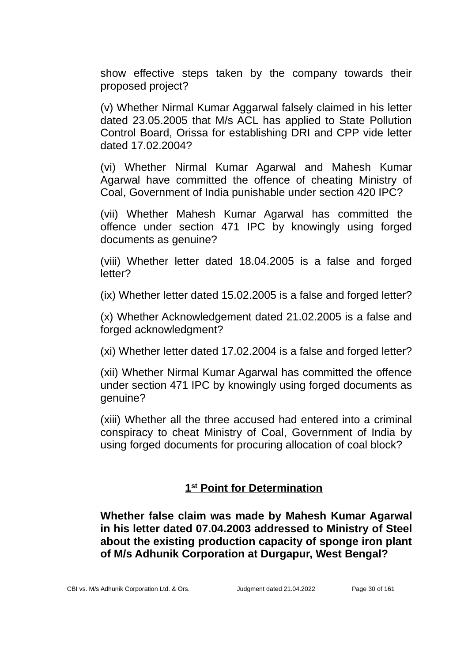show effective steps taken by the company towards their proposed project?

(v) Whether Nirmal Kumar Aggarwal falsely claimed in his letter dated 23.05.2005 that M/s ACL has applied to State Pollution Control Board, Orissa for establishing DRI and CPP vide letter dated 17.02.2004?

(vi) Whether Nirmal Kumar Agarwal and Mahesh Kumar Agarwal have committed the offence of cheating Ministry of Coal, Government of India punishable under section 420 IPC?

(vii) Whether Mahesh Kumar Agarwal has committed the offence under section 471 IPC by knowingly using forged documents as genuine?

(viii) Whether letter dated 18.04.2005 is a false and forged letter?

(ix) Whether letter dated 15.02.2005 is a false and forged letter?

(x) Whether Acknowledgement dated 21.02.2005 is a false and forged acknowledgment?

(xi) Whether letter dated 17.02.2004 is a false and forged letter?

(xii) Whether Nirmal Kumar Agarwal has committed the offence under section 471 IPC by knowingly using forged documents as genuine?

(xiii) Whether all the three accused had entered into a criminal conspiracy to cheat Ministry of Coal, Government of India by using forged documents for procuring allocation of coal block?

# **1 st Point for Determination**

**Whether false claim was made by Mahesh Kumar Agarwal in his letter dated 07.04.2003 addressed to Ministry of Steel about the existing production capacity of sponge iron plant of M/s Adhunik Corporation at Durgapur, West Bengal?**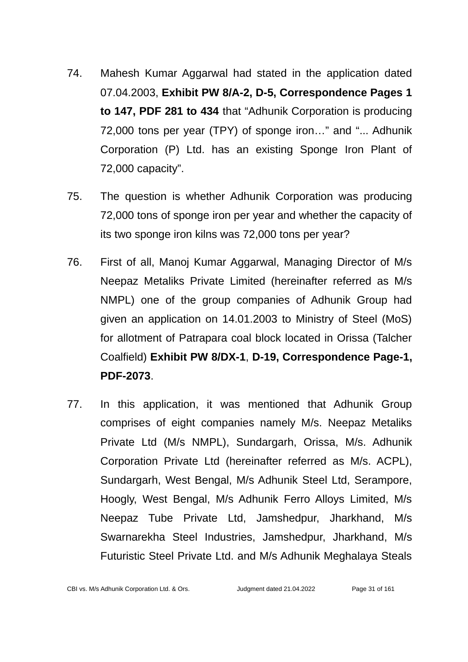- 74. Mahesh Kumar Aggarwal had stated in the application dated 07.04.2003, **Exhibit PW 8/A-2, D-5, Correspondence Pages 1 to 147, PDF 281 to 434** that "Adhunik Corporation is producing 72,000 tons per year (TPY) of sponge iron…" and "... Adhunik Corporation (P) Ltd. has an existing Sponge Iron Plant of 72,000 capacity".
- 75. The question is whether Adhunik Corporation was producing 72,000 tons of sponge iron per year and whether the capacity of its two sponge iron kilns was 72,000 tons per year?
- 76. First of all, Manoj Kumar Aggarwal, Managing Director of M/s Neepaz Metaliks Private Limited (hereinafter referred as M/s NMPL) one of the group companies of Adhunik Group had given an application on 14.01.2003 to Ministry of Steel (MoS) for allotment of Patrapara coal block located in Orissa (Talcher Coalfield) **Exhibit PW 8/DX-1**, **D-19, Correspondence Page-1, PDF-2073**.
- 77. In this application, it was mentioned that Adhunik Group comprises of eight companies namely M/s. Neepaz Metaliks Private Ltd (M/s NMPL), Sundargarh, Orissa, M/s. Adhunik Corporation Private Ltd (hereinafter referred as M/s. ACPL), Sundargarh, West Bengal, M/s Adhunik Steel Ltd, Serampore, Hoogly, West Bengal, M/s Adhunik Ferro Alloys Limited, M/s Neepaz Tube Private Ltd, Jamshedpur, Jharkhand, M/s Swarnarekha Steel Industries, Jamshedpur, Jharkhand, M/s Futuristic Steel Private Ltd. and M/s Adhunik Meghalaya Steals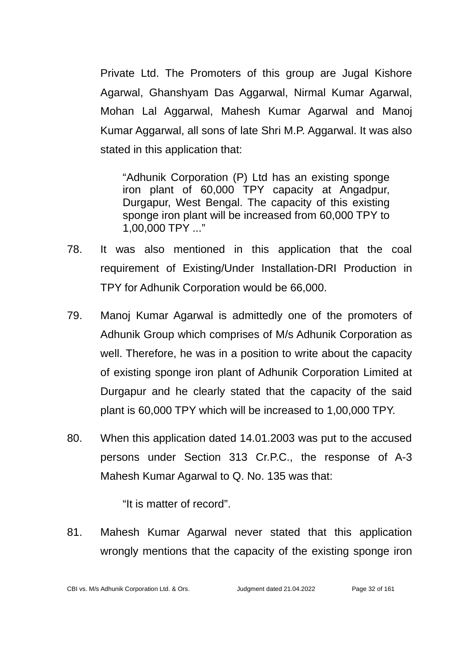Private Ltd. The Promoters of this group are Jugal Kishore Agarwal, Ghanshyam Das Aggarwal, Nirmal Kumar Agarwal, Mohan Lal Aggarwal, Mahesh Kumar Agarwal and Manoj Kumar Aggarwal, all sons of late Shri M.P. Aggarwal. It was also stated in this application that:

"Adhunik Corporation (P) Ltd has an existing sponge iron plant of 60,000 TPY capacity at Angadpur, Durgapur, West Bengal. The capacity of this existing sponge iron plant will be increased from 60,000 TPY to 1,00,000 TPY ..."

- 78. It was also mentioned in this application that the coal requirement of Existing/Under Installation-DRI Production in TPY for Adhunik Corporation would be 66,000.
- 79. Manoj Kumar Agarwal is admittedly one of the promoters of Adhunik Group which comprises of M/s Adhunik Corporation as well. Therefore, he was in a position to write about the capacity of existing sponge iron plant of Adhunik Corporation Limited at Durgapur and he clearly stated that the capacity of the said plant is 60,000 TPY which will be increased to 1,00,000 TPY.
- 80. When this application dated 14.01.2003 was put to the accused persons under Section 313 Cr.P.C., the response of A-3 Mahesh Kumar Agarwal to Q. No. 135 was that:

"It is matter of record".

81. Mahesh Kumar Agarwal never stated that this application wrongly mentions that the capacity of the existing sponge iron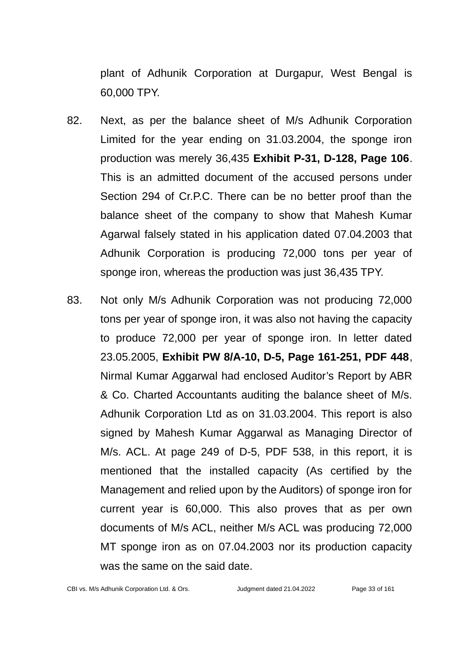plant of Adhunik Corporation at Durgapur, West Bengal is 60,000 TPY.

- 82. Next, as per the balance sheet of M/s Adhunik Corporation Limited for the year ending on 31.03.2004, the sponge iron production was merely 36,435 **Exhibit P-31, D-128, Page 106**. This is an admitted document of the accused persons under Section 294 of Cr.P.C. There can be no better proof than the balance sheet of the company to show that Mahesh Kumar Agarwal falsely stated in his application dated 07.04.2003 that Adhunik Corporation is producing 72,000 tons per year of sponge iron, whereas the production was just 36,435 TPY.
- 83. Not only M/s Adhunik Corporation was not producing 72,000 tons per year of sponge iron, it was also not having the capacity to produce 72,000 per year of sponge iron. In letter dated 23.05.2005, **Exhibit PW 8/A-10, D-5, Page 161-251, PDF 448**, Nirmal Kumar Aggarwal had enclosed Auditor's Report by ABR & Co. Charted Accountants auditing the balance sheet of M/s. Adhunik Corporation Ltd as on 31.03.2004. This report is also signed by Mahesh Kumar Aggarwal as Managing Director of M/s. ACL. At page 249 of D-5, PDF 538, in this report, it is mentioned that the installed capacity (As certified by the Management and relied upon by the Auditors) of sponge iron for current year is 60,000. This also proves that as per own documents of M/s ACL, neither M/s ACL was producing 72,000 MT sponge iron as on 07.04.2003 nor its production capacity was the same on the said date.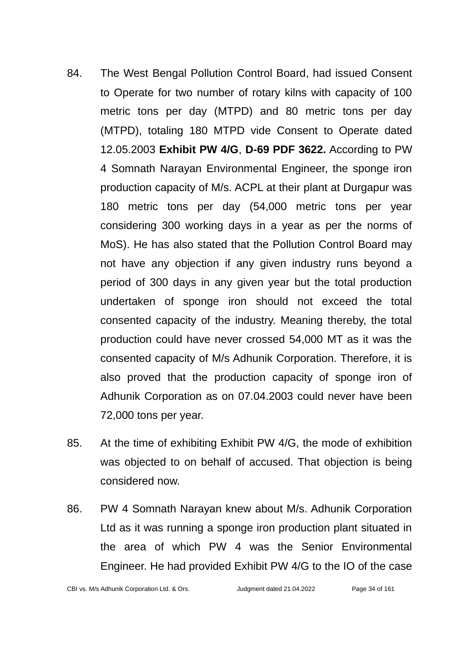- 84. The West Bengal Pollution Control Board, had issued Consent to Operate for two number of rotary kilns with capacity of 100 metric tons per day (MTPD) and 80 metric tons per day (MTPD), totaling 180 MTPD vide Consent to Operate dated 12.05.2003 **Exhibit PW 4/G**, **D-69 PDF 3622.** According to PW 4 Somnath Narayan Environmental Engineer, the sponge iron production capacity of M/s. ACPL at their plant at Durgapur was 180 metric tons per day (54,000 metric tons per year considering 300 working days in a year as per the norms of MoS). He has also stated that the Pollution Control Board may not have any objection if any given industry runs beyond a period of 300 days in any given year but the total production undertaken of sponge iron should not exceed the total consented capacity of the industry. Meaning thereby, the total production could have never crossed 54,000 MT as it was the consented capacity of M/s Adhunik Corporation. Therefore, it is also proved that the production capacity of sponge iron of Adhunik Corporation as on 07.04.2003 could never have been 72,000 tons per year.
- 85. At the time of exhibiting Exhibit PW 4/G, the mode of exhibition was objected to on behalf of accused. That objection is being considered now.
- 86. PW 4 Somnath Narayan knew about M/s. Adhunik Corporation Ltd as it was running a sponge iron production plant situated in the area of which PW 4 was the Senior Environmental Engineer. He had provided Exhibit PW 4/G to the IO of the case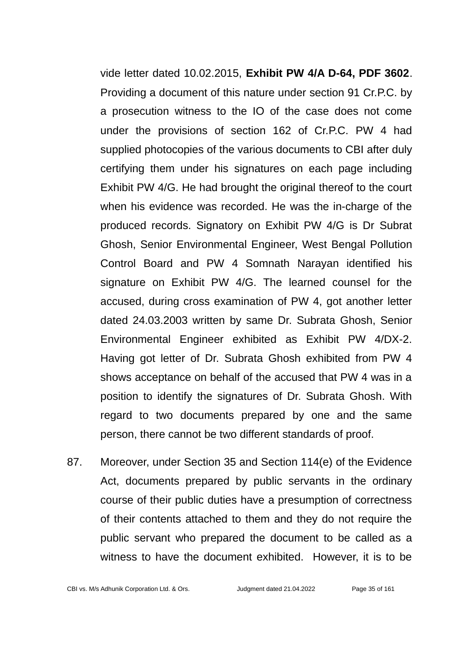vide letter dated 10.02.2015, **Exhibit PW 4/A D-64, PDF 3602**. Providing a document of this nature under section 91 Cr.P.C. by a prosecution witness to the IO of the case does not come under the provisions of section 162 of Cr.P.C. PW 4 had supplied photocopies of the various documents to CBI after duly certifying them under his signatures on each page including Exhibit PW 4/G. He had brought the original thereof to the court when his evidence was recorded. He was the in-charge of the produced records. Signatory on Exhibit PW 4/G is Dr Subrat Ghosh, Senior Environmental Engineer, West Bengal Pollution Control Board and PW 4 Somnath Narayan identified his signature on Exhibit PW 4/G. The learned counsel for the accused, during cross examination of PW 4, got another letter dated 24.03.2003 written by same Dr. Subrata Ghosh, Senior Environmental Engineer exhibited as Exhibit PW 4/DX-2. Having got letter of Dr. Subrata Ghosh exhibited from PW 4 shows acceptance on behalf of the accused that PW 4 was in a position to identify the signatures of Dr. Subrata Ghosh. With regard to two documents prepared by one and the same person, there cannot be two different standards of proof.

87. Moreover, under Section 35 and Section 114(e) of the Evidence Act, documents prepared by public servants in the ordinary course of their public duties have a presumption of correctness of their contents attached to them and they do not require the public servant who prepared the document to be called as a witness to have the document exhibited. However, it is to be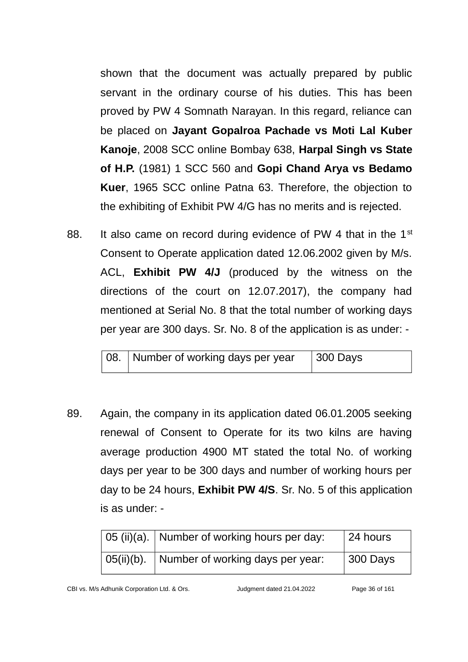shown that the document was actually prepared by public servant in the ordinary course of his duties. This has been proved by PW 4 Somnath Narayan. In this regard, reliance can be placed on **Jayant Gopalroa Pachade vs Moti Lal Kuber Kanoje**, 2008 SCC online Bombay 638, **Harpal Singh vs State of H.P.** (1981) 1 SCC 560 and **Gopi Chand Arya vs Bedamo Kuer**, 1965 SCC online Patna 63. Therefore, the objection to the exhibiting of Exhibit PW 4/G has no merits and is rejected.

88. It also came on record during evidence of PW 4 that in the  $1<sup>st</sup>$ Consent to Operate application dated 12.06.2002 given by M/s. ACL, **Exhibit PW 4/J** (produced by the witness on the directions of the court on 12.07.2017), the company had mentioned at Serial No. 8 that the total number of working days per year are 300 days. Sr. No. 8 of the application is as under: -

| 08. Number of working days per year | 300 Days |
|-------------------------------------|----------|
|                                     |          |

89. Again, the company in its application dated 06.01.2005 seeking renewal of Consent to Operate for its two kilns are having average production 4900 MT stated the total No. of working days per year to be 300 days and number of working hours per day to be 24 hours, **Exhibit PW 4/S**. Sr. No. 5 of this application is as under: -

|               | $\,$ 05 (ii)(a).   Number of working hours per day: | 24 hours |
|---------------|-----------------------------------------------------|----------|
| $05(ii)(b)$ . | Number of working days per year:                    | 300 Days |

CBI vs. M/s Adhunik Corporation Ltd. & Ors. Judgment dated 21.04.2022 Page 36 of 161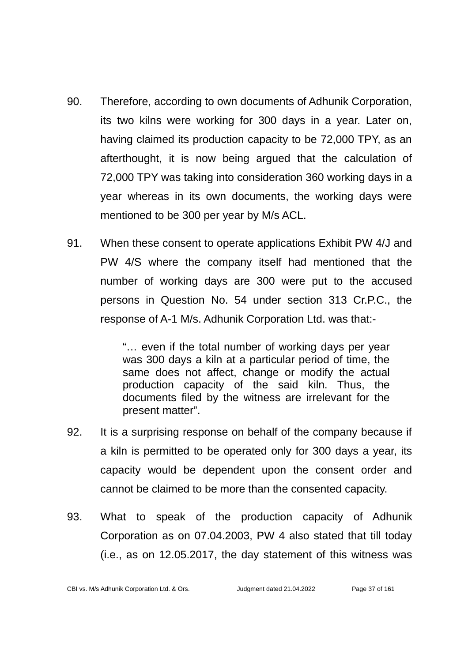- 90. Therefore, according to own documents of Adhunik Corporation, its two kilns were working for 300 days in a year. Later on, having claimed its production capacity to be 72,000 TPY, as an afterthought, it is now being argued that the calculation of 72,000 TPY was taking into consideration 360 working days in a year whereas in its own documents, the working days were mentioned to be 300 per year by M/s ACL.
- 91. When these consent to operate applications Exhibit PW 4/J and PW 4/S where the company itself had mentioned that the number of working days are 300 were put to the accused persons in Question No. 54 under section 313 Cr.P.C., the response of A-1 M/s. Adhunik Corporation Ltd. was that:-

"… even if the total number of working days per year was 300 days a kiln at a particular period of time, the same does not affect, change or modify the actual production capacity of the said kiln. Thus, the documents filed by the witness are irrelevant for the present matter".

- 92. It is a surprising response on behalf of the company because if a kiln is permitted to be operated only for 300 days a year, its capacity would be dependent upon the consent order and cannot be claimed to be more than the consented capacity.
- 93. What to speak of the production capacity of Adhunik Corporation as on 07.04.2003, PW 4 also stated that till today (i.e., as on 12.05.2017, the day statement of this witness was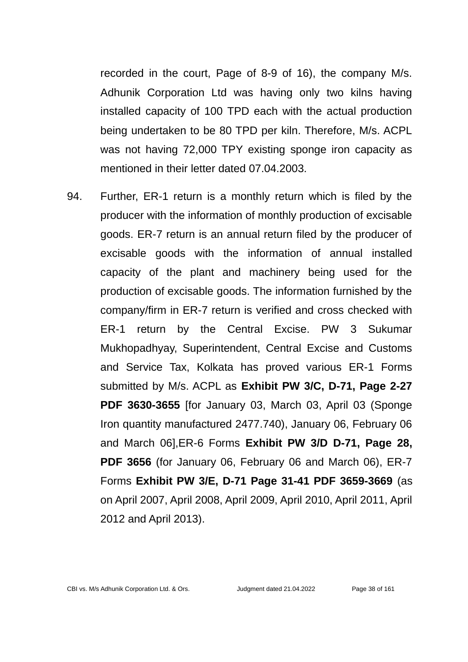recorded in the court, Page of 8-9 of 16), the company M/s. Adhunik Corporation Ltd was having only two kilns having installed capacity of 100 TPD each with the actual production being undertaken to be 80 TPD per kiln. Therefore, M/s. ACPL was not having 72,000 TPY existing sponge iron capacity as mentioned in their letter dated 07.04.2003.

94. Further, ER-1 return is a monthly return which is filed by the producer with the information of monthly production of excisable goods. ER-7 return is an annual return filed by the producer of excisable goods with the information of annual installed capacity of the plant and machinery being used for the production of excisable goods. The information furnished by the company/firm in ER-7 return is verified and cross checked with ER-1 return by the Central Excise. PW 3 Sukumar Mukhopadhyay, Superintendent, Central Excise and Customs and Service Tax, Kolkata has proved various ER-1 Forms submitted by M/s. ACPL as **Exhibit PW 3/C, D-71, Page 2-27 PDF 3630-3655** [for January 03, March 03, April 03 (Sponge Iron quantity manufactured 2477.740), January 06, February 06 and March 06],ER-6 Forms **Exhibit PW 3/D D-71, Page 28, PDF 3656** (for January 06, February 06 and March 06), ER-7 Forms **Exhibit PW 3/E, D-71 Page 31-41 PDF 3659-3669** (as on April 2007, April 2008, April 2009, April 2010, April 2011, April 2012 and April 2013).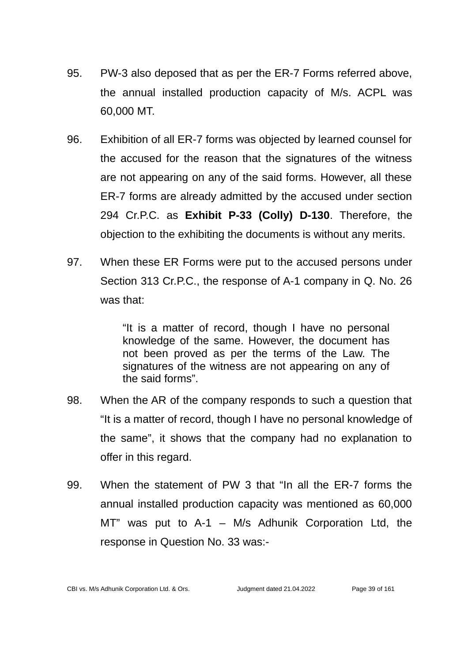- 95. PW-3 also deposed that as per the ER-7 Forms referred above, the annual installed production capacity of M/s. ACPL was 60,000 MT.
- 96. Exhibition of all ER-7 forms was objected by learned counsel for the accused for the reason that the signatures of the witness are not appearing on any of the said forms. However, all these ER-7 forms are already admitted by the accused under section 294 Cr.P.C. as **Exhibit P-33 (Colly) D-130**. Therefore, the objection to the exhibiting the documents is without any merits.
- 97. When these ER Forms were put to the accused persons under Section 313 Cr.P.C., the response of A-1 company in Q. No. 26 was that:

"It is a matter of record, though I have no personal knowledge of the same. However, the document has not been proved as per the terms of the Law. The signatures of the witness are not appearing on any of the said forms".

- 98. When the AR of the company responds to such a question that "It is a matter of record, though I have no personal knowledge of the same", it shows that the company had no explanation to offer in this regard.
- 99. When the statement of PW 3 that "In all the ER-7 forms the annual installed production capacity was mentioned as 60,000 MT" was put to A-1 – M/s Adhunik Corporation Ltd, the response in Question No. 33 was:-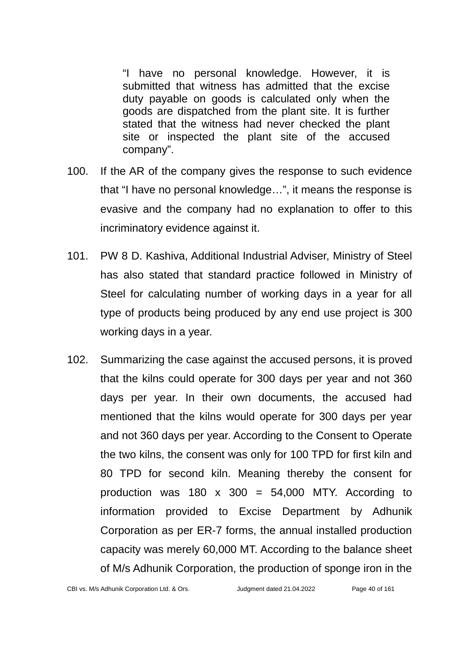"I have no personal knowledge. However, it is submitted that witness has admitted that the excise duty payable on goods is calculated only when the goods are dispatched from the plant site. It is further stated that the witness had never checked the plant site or inspected the plant site of the accused company".

- 100. If the AR of the company gives the response to such evidence that "I have no personal knowledge…", it means the response is evasive and the company had no explanation to offer to this incriminatory evidence against it.
- 101. PW 8 D. Kashiva, Additional Industrial Adviser, Ministry of Steel has also stated that standard practice followed in Ministry of Steel for calculating number of working days in a year for all type of products being produced by any end use project is 300 working days in a year.
- 102. Summarizing the case against the accused persons, it is proved that the kilns could operate for 300 days per year and not 360 days per year. In their own documents, the accused had mentioned that the kilns would operate for 300 days per year and not 360 days per year. According to the Consent to Operate the two kilns, the consent was only for 100 TPD for first kiln and 80 TPD for second kiln. Meaning thereby the consent for production was  $180 \times 300 = 54,000$  MTY. According to information provided to Excise Department by Adhunik Corporation as per ER-7 forms, the annual installed production capacity was merely 60,000 MT. According to the balance sheet of M/s Adhunik Corporation, the production of sponge iron in the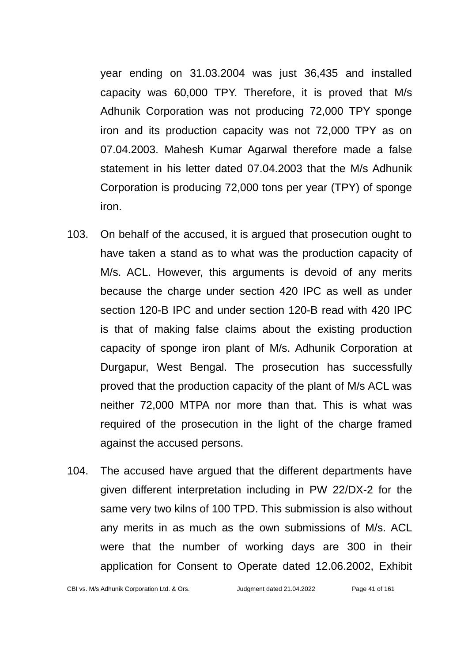year ending on 31.03.2004 was just 36,435 and installed capacity was 60,000 TPY. Therefore, it is proved that M/s Adhunik Corporation was not producing 72,000 TPY sponge iron and its production capacity was not 72,000 TPY as on 07.04.2003. Mahesh Kumar Agarwal therefore made a false statement in his letter dated 07.04.2003 that the M/s Adhunik Corporation is producing 72,000 tons per year (TPY) of sponge iron.

- 103. On behalf of the accused, it is argued that prosecution ought to have taken a stand as to what was the production capacity of M/s. ACL. However, this arguments is devoid of any merits because the charge under section 420 IPC as well as under section 120-B IPC and under section 120-B read with 420 IPC is that of making false claims about the existing production capacity of sponge iron plant of M/s. Adhunik Corporation at Durgapur, West Bengal. The prosecution has successfully proved that the production capacity of the plant of M/s ACL was neither 72,000 MTPA nor more than that. This is what was required of the prosecution in the light of the charge framed against the accused persons.
- 104. The accused have argued that the different departments have given different interpretation including in PW 22/DX-2 for the same very two kilns of 100 TPD. This submission is also without any merits in as much as the own submissions of M/s. ACL were that the number of working days are 300 in their application for Consent to Operate dated 12.06.2002, Exhibit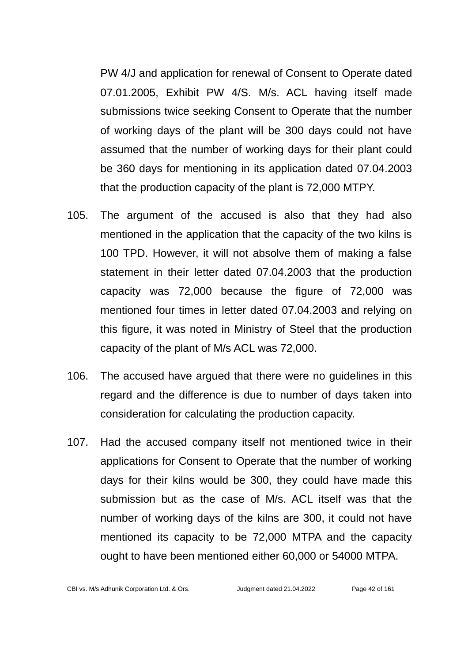PW 4/J and application for renewal of Consent to Operate dated 07.01.2005, Exhibit PW 4/S. M/s. ACL having itself made submissions twice seeking Consent to Operate that the number of working days of the plant will be 300 days could not have assumed that the number of working days for their plant could be 360 days for mentioning in its application dated 07.04.2003 that the production capacity of the plant is 72,000 MTPY.

- 105. The argument of the accused is also that they had also mentioned in the application that the capacity of the two kilns is 100 TPD. However, it will not absolve them of making a false statement in their letter dated 07.04.2003 that the production capacity was 72,000 because the figure of 72,000 was mentioned four times in letter dated 07.04.2003 and relying on this figure, it was noted in Ministry of Steel that the production capacity of the plant of M/s ACL was 72,000.
- 106. The accused have argued that there were no guidelines in this regard and the difference is due to number of days taken into consideration for calculating the production capacity.
- 107. Had the accused company itself not mentioned twice in their applications for Consent to Operate that the number of working days for their kilns would be 300, they could have made this submission but as the case of M/s. ACL itself was that the number of working days of the kilns are 300, it could not have mentioned its capacity to be 72,000 MTPA and the capacity ought to have been mentioned either 60,000 or 54000 MTPA.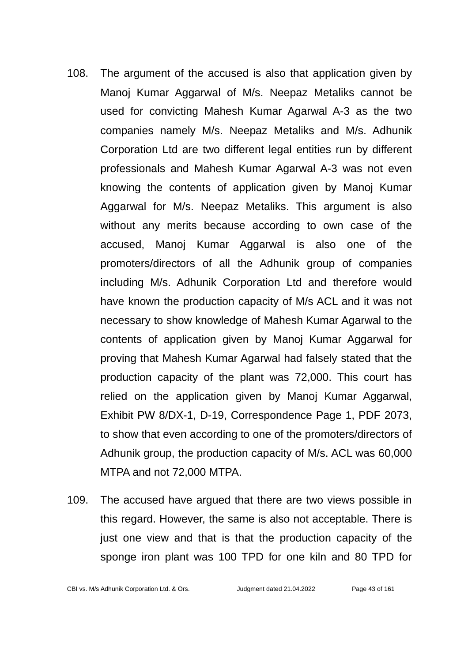- 108. The argument of the accused is also that application given by Manoj Kumar Aggarwal of M/s. Neepaz Metaliks cannot be used for convicting Mahesh Kumar Agarwal A-3 as the two companies namely M/s. Neepaz Metaliks and M/s. Adhunik Corporation Ltd are two different legal entities run by different professionals and Mahesh Kumar Agarwal A-3 was not even knowing the contents of application given by Manoj Kumar Aggarwal for M/s. Neepaz Metaliks. This argument is also without any merits because according to own case of the accused, Manoj Kumar Aggarwal is also one of the promoters/directors of all the Adhunik group of companies including M/s. Adhunik Corporation Ltd and therefore would have known the production capacity of M/s ACL and it was not necessary to show knowledge of Mahesh Kumar Agarwal to the contents of application given by Manoj Kumar Aggarwal for proving that Mahesh Kumar Agarwal had falsely stated that the production capacity of the plant was 72,000. This court has relied on the application given by Manoj Kumar Aggarwal, Exhibit PW 8/DX-1, D-19, Correspondence Page 1, PDF 2073, to show that even according to one of the promoters/directors of Adhunik group, the production capacity of M/s. ACL was 60,000 MTPA and not 72,000 MTPA.
- 109. The accused have argued that there are two views possible in this regard. However, the same is also not acceptable. There is just one view and that is that the production capacity of the sponge iron plant was 100 TPD for one kiln and 80 TPD for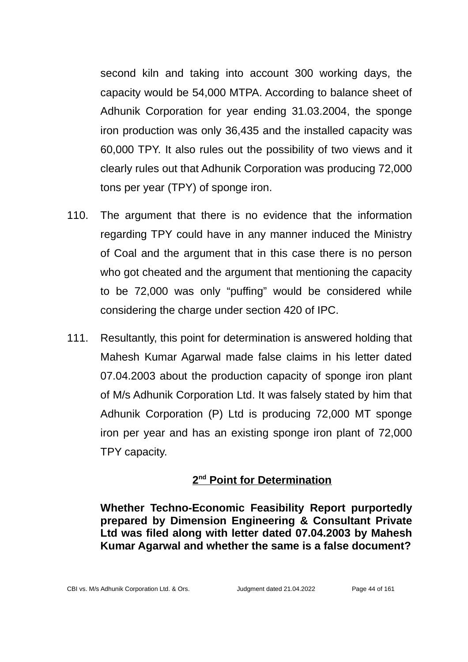second kiln and taking into account 300 working days, the capacity would be 54,000 MTPA. According to balance sheet of Adhunik Corporation for year ending 31.03.2004, the sponge iron production was only 36,435 and the installed capacity was 60,000 TPY. It also rules out the possibility of two views and it clearly rules out that Adhunik Corporation was producing 72,000 tons per year (TPY) of sponge iron.

- 110. The argument that there is no evidence that the information regarding TPY could have in any manner induced the Ministry of Coal and the argument that in this case there is no person who got cheated and the argument that mentioning the capacity to be 72,000 was only "puffing" would be considered while considering the charge under section 420 of IPC.
- 111. Resultantly, this point for determination is answered holding that Mahesh Kumar Agarwal made false claims in his letter dated 07.04.2003 about the production capacity of sponge iron plant of M/s Adhunik Corporation Ltd. It was falsely stated by him that Adhunik Corporation (P) Ltd is producing 72,000 MT sponge iron per year and has an existing sponge iron plant of 72,000 TPY capacity.

## **2 nd Point for Determination**

**Whether Techno-Economic Feasibility Report purportedly prepared by Dimension Engineering & Consultant Private Ltd was filed along with letter dated 07.04.2003 by Mahesh Kumar Agarwal and whether the same is a false document?**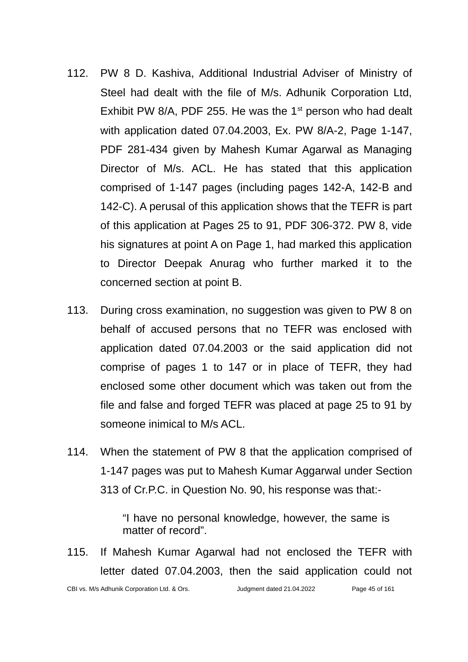- 112. PW 8 D. Kashiva, Additional Industrial Adviser of Ministry of Steel had dealt with the file of M/s. Adhunik Corporation Ltd, Exhibit PW 8/A, PDF 255. He was the  $1<sup>st</sup>$  person who had dealt with application dated 07.04.2003, Ex. PW 8/A-2, Page 1-147, PDF 281-434 given by Mahesh Kumar Agarwal as Managing Director of M/s. ACL. He has stated that this application comprised of 1-147 pages (including pages 142-A, 142-B and 142-C). A perusal of this application shows that the TEFR is part of this application at Pages 25 to 91, PDF 306-372. PW 8, vide his signatures at point A on Page 1, had marked this application to Director Deepak Anurag who further marked it to the concerned section at point B.
- 113. During cross examination, no suggestion was given to PW 8 on behalf of accused persons that no TEFR was enclosed with application dated 07.04.2003 or the said application did not comprise of pages 1 to 147 or in place of TEFR, they had enclosed some other document which was taken out from the file and false and forged TEFR was placed at page 25 to 91 by someone inimical to M/s ACL.
- 114. When the statement of PW 8 that the application comprised of 1-147 pages was put to Mahesh Kumar Aggarwal under Section 313 of Cr.P.C. in Question No. 90, his response was that:-

"I have no personal knowledge, however, the same is matter of record".

115. If Mahesh Kumar Agarwal had not enclosed the TEFR with letter dated 07.04.2003, then the said application could not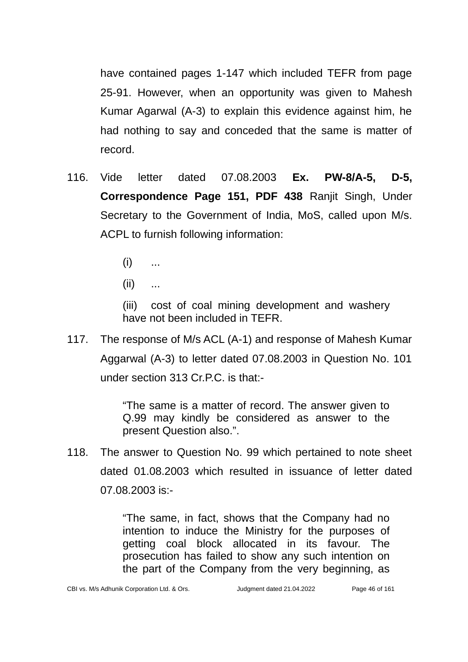have contained pages 1-147 which included TEFR from page 25-91. However, when an opportunity was given to Mahesh Kumar Agarwal (A-3) to explain this evidence against him, he had nothing to say and conceded that the same is matter of record.

- 116. Vide letter dated 07.08.2003 **Ex. PW-8/A-5, D-5, Correspondence Page 151, PDF 438** Ranjit Singh, Under Secretary to the Government of India, MoS, called upon M/s. ACPL to furnish following information:
	- $(i)$  ...
	- $(ii)$  ...

(iii) cost of coal mining development and washery have not been included in TEFR.

117. The response of M/s ACL (A-1) and response of Mahesh Kumar Aggarwal (A-3) to letter dated 07.08.2003 in Question No. 101 under section 313 Cr.P.C. is that:-

> "The same is a matter of record. The answer given to Q.99 may kindly be considered as answer to the present Question also.".

118. The answer to Question No. 99 which pertained to note sheet dated 01.08.2003 which resulted in issuance of letter dated 07.08.2003 is:-

> "The same, in fact, shows that the Company had no intention to induce the Ministry for the purposes of getting coal block allocated in its favour. The prosecution has failed to show any such intention on the part of the Company from the very beginning, as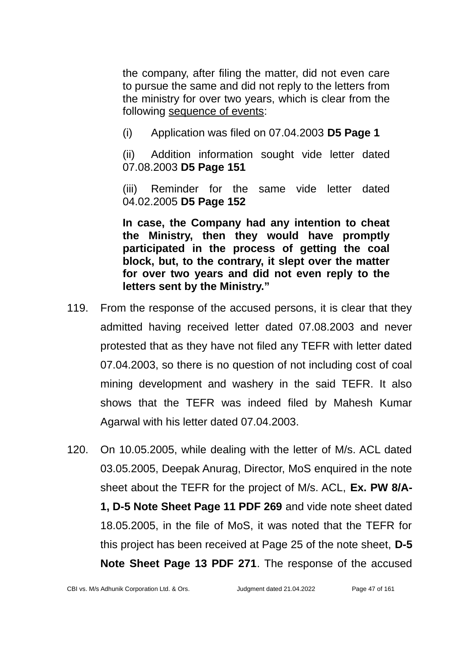the company, after filing the matter, did not even care to pursue the same and did not reply to the letters from the ministry for over two years, which is clear from the following sequence of events:

(i) Application was filed on 07.04.2003 **D5 Page 1**

(ii) Addition information sought vide letter dated 07.08.2003 **D5 Page 151**

(iii) Reminder for the same vide letter dated 04.02.2005 **D5 Page 152**

**In case, the Company had any intention to cheat the Ministry, then they would have promptly participated in the process of getting the coal block, but, to the contrary, it slept over the matter for over two years and did not even reply to the letters sent by the Ministry."**

- 119. From the response of the accused persons, it is clear that they admitted having received letter dated 07.08.2003 and never protested that as they have not filed any TEFR with letter dated 07.04.2003, so there is no question of not including cost of coal mining development and washery in the said TEFR. It also shows that the TEFR was indeed filed by Mahesh Kumar Agarwal with his letter dated 07.04.2003.
- 120. On 10.05.2005, while dealing with the letter of M/s. ACL dated 03.05.2005, Deepak Anurag, Director, MoS enquired in the note sheet about the TEFR for the project of M/s. ACL, **Ex. PW 8/A-1, D-5 Note Sheet Page 11 PDF 269** and vide note sheet dated 18.05.2005, in the file of MoS, it was noted that the TEFR for this project has been received at Page 25 of the note sheet, **D-5 Note Sheet Page 13 PDF 271**. The response of the accused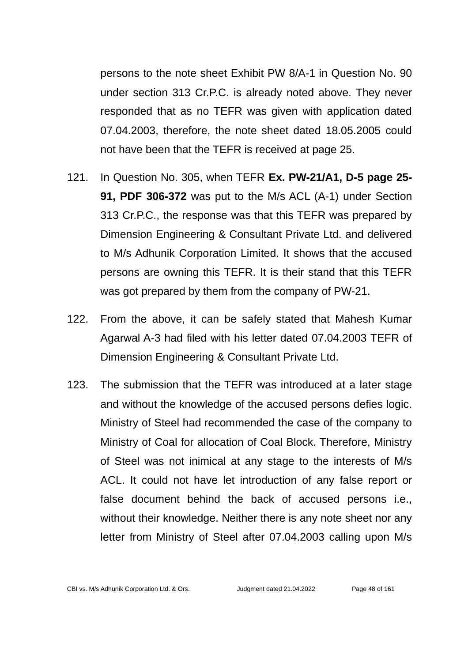persons to the note sheet Exhibit PW 8/A-1 in Question No. 90 under section 313 Cr.P.C. is already noted above. They never responded that as no TEFR was given with application dated 07.04.2003, therefore, the note sheet dated 18.05.2005 could not have been that the TEFR is received at page 25.

- 121. In Question No. 305, when TEFR **Ex. PW-21/A1, D-5 page 25- 91, PDF 306-372** was put to the M/s ACL (A-1) under Section 313 Cr.P.C., the response was that this TEFR was prepared by Dimension Engineering & Consultant Private Ltd. and delivered to M/s Adhunik Corporation Limited. It shows that the accused persons are owning this TEFR. It is their stand that this TEFR was got prepared by them from the company of PW-21.
- 122. From the above, it can be safely stated that Mahesh Kumar Agarwal A-3 had filed with his letter dated 07.04.2003 TEFR of Dimension Engineering & Consultant Private Ltd.
- 123. The submission that the TEFR was introduced at a later stage and without the knowledge of the accused persons defies logic. Ministry of Steel had recommended the case of the company to Ministry of Coal for allocation of Coal Block. Therefore, Ministry of Steel was not inimical at any stage to the interests of M/s ACL. It could not have let introduction of any false report or false document behind the back of accused persons i.e., without their knowledge. Neither there is any note sheet nor any letter from Ministry of Steel after 07.04.2003 calling upon M/s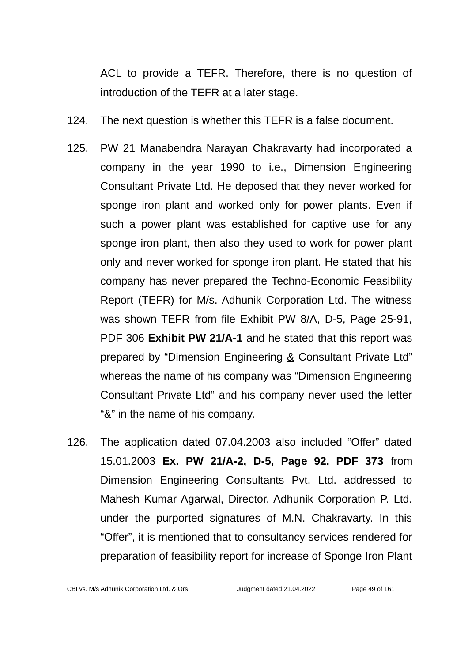ACL to provide a TEFR. Therefore, there is no question of introduction of the TEFR at a later stage.

- 124. The next question is whether this TEFR is a false document.
- 125. PW 21 Manabendra Narayan Chakravarty had incorporated a company in the year 1990 to i.e., Dimension Engineering Consultant Private Ltd. He deposed that they never worked for sponge iron plant and worked only for power plants. Even if such a power plant was established for captive use for any sponge iron plant, then also they used to work for power plant only and never worked for sponge iron plant. He stated that his company has never prepared the Techno-Economic Feasibility Report (TEFR) for M/s. Adhunik Corporation Ltd. The witness was shown TEFR from file Exhibit PW 8/A, D-5, Page 25-91, PDF 306 **Exhibit PW 21/A-1** and he stated that this report was prepared by "Dimension Engineering & Consultant Private Ltd" whereas the name of his company was "Dimension Engineering Consultant Private Ltd" and his company never used the letter "&" in the name of his company.
- 126. The application dated 07.04.2003 also included "Offer" dated 15.01.2003 **Ex. PW 21/A-2, D-5, Page 92, PDF 373** from Dimension Engineering Consultants Pvt. Ltd. addressed to Mahesh Kumar Agarwal, Director, Adhunik Corporation P. Ltd. under the purported signatures of M.N. Chakravarty. In this "Offer", it is mentioned that to consultancy services rendered for preparation of feasibility report for increase of Sponge Iron Plant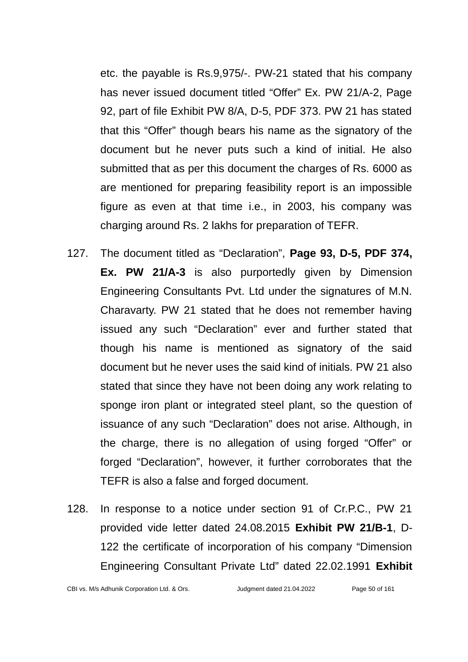etc. the payable is Rs.9,975/-. PW-21 stated that his company has never issued document titled "Offer" Ex. PW 21/A-2, Page 92, part of file Exhibit PW 8/A, D-5, PDF 373. PW 21 has stated that this "Offer" though bears his name as the signatory of the document but he never puts such a kind of initial. He also submitted that as per this document the charges of Rs. 6000 as are mentioned for preparing feasibility report is an impossible figure as even at that time i.e., in 2003, his company was charging around Rs. 2 lakhs for preparation of TEFR.

- 127. The document titled as "Declaration", **Page 93, D-5, PDF 374, Ex. PW 21/A-3** is also purportedly given by Dimension Engineering Consultants Pvt. Ltd under the signatures of M.N. Charavarty. PW 21 stated that he does not remember having issued any such "Declaration" ever and further stated that though his name is mentioned as signatory of the said document but he never uses the said kind of initials. PW 21 also stated that since they have not been doing any work relating to sponge iron plant or integrated steel plant, so the question of issuance of any such "Declaration" does not arise. Although, in the charge, there is no allegation of using forged "Offer" or forged "Declaration", however, it further corroborates that the TEFR is also a false and forged document.
- 128. In response to a notice under section 91 of Cr.P.C., PW 21 provided vide letter dated 24.08.2015 **Exhibit PW 21/B-1**, D-122 the certificate of incorporation of his company "Dimension Engineering Consultant Private Ltd" dated 22.02.1991 **Exhibit**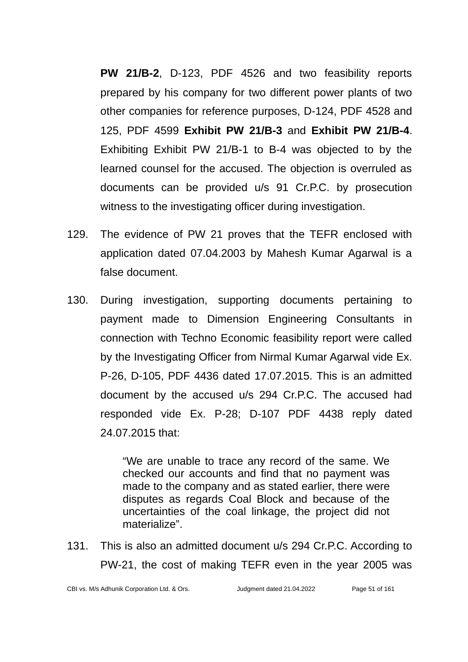**PW 21/B-2**, D-123, PDF 4526 and two feasibility reports prepared by his company for two different power plants of two other companies for reference purposes, D-124, PDF 4528 and 125, PDF 4599 **Exhibit PW 21/B-3** and **Exhibit PW 21/B-4**. Exhibiting Exhibit PW 21/B-1 to B-4 was objected to by the learned counsel for the accused. The objection is overruled as documents can be provided u/s 91 Cr.P.C. by prosecution witness to the investigating officer during investigation.

- 129. The evidence of PW 21 proves that the TEFR enclosed with application dated 07.04.2003 by Mahesh Kumar Agarwal is a false document.
- 130. During investigation, supporting documents pertaining to payment made to Dimension Engineering Consultants in connection with Techno Economic feasibility report were called by the Investigating Officer from Nirmal Kumar Agarwal vide Ex. P-26, D-105, PDF 4436 dated 17.07.2015. This is an admitted document by the accused u/s 294 Cr.P.C. The accused had responded vide Ex. P-28; D-107 PDF 4438 reply dated 24.07.2015 that:

"We are unable to trace any record of the same. We checked our accounts and find that no payment was made to the company and as stated earlier, there were disputes as regards Coal Block and because of the uncertainties of the coal linkage, the project did not materialize".

131. This is also an admitted document u/s 294 Cr.P.C. According to PW-21, the cost of making TEFR even in the year 2005 was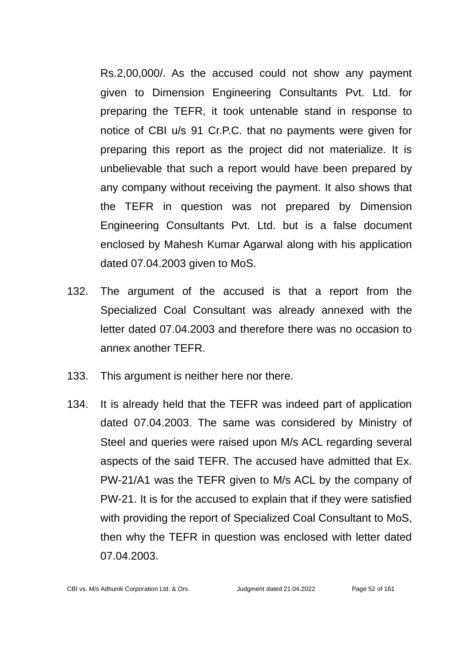Rs.2,00,000/. As the accused could not show any payment given to Dimension Engineering Consultants Pvt. Ltd. for preparing the TEFR, it took untenable stand in response to notice of CBI u/s 91 Cr.P.C. that no payments were given for preparing this report as the project did not materialize. It is unbelievable that such a report would have been prepared by any company without receiving the payment. It also shows that the TEFR in question was not prepared by Dimension Engineering Consultants Pvt. Ltd. but is a false document enclosed by Mahesh Kumar Agarwal along with his application dated 07.04.2003 given to MoS.

- 132. The argument of the accused is that a report from the Specialized Coal Consultant was already annexed with the letter dated 07.04.2003 and therefore there was no occasion to annex another TEFR.
- 133. This argument is neither here nor there.
- 134. It is already held that the TEFR was indeed part of application dated 07.04.2003. The same was considered by Ministry of Steel and queries were raised upon M/s ACL regarding several aspects of the said TEFR. The accused have admitted that Ex. PW-21/A1 was the TEFR given to M/s ACL by the company of PW-21. It is for the accused to explain that if they were satisfied with providing the report of Specialized Coal Consultant to MoS, then why the TEFR in question was enclosed with letter dated 07.04.2003.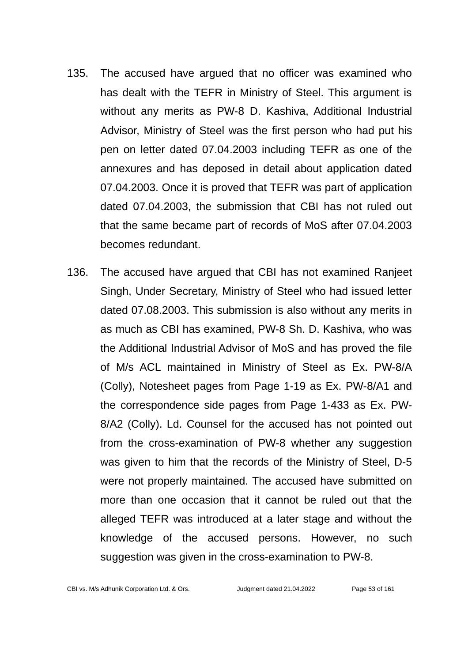- 135. The accused have argued that no officer was examined who has dealt with the TEFR in Ministry of Steel. This argument is without any merits as PW-8 D. Kashiva, Additional Industrial Advisor, Ministry of Steel was the first person who had put his pen on letter dated 07.04.2003 including TEFR as one of the annexures and has deposed in detail about application dated 07.04.2003. Once it is proved that TEFR was part of application dated 07.04.2003, the submission that CBI has not ruled out that the same became part of records of MoS after 07.04.2003 becomes redundant.
- 136. The accused have argued that CBI has not examined Ranjeet Singh, Under Secretary, Ministry of Steel who had issued letter dated 07.08.2003. This submission is also without any merits in as much as CBI has examined, PW-8 Sh. D. Kashiva, who was the Additional Industrial Advisor of MoS and has proved the file of M/s ACL maintained in Ministry of Steel as Ex. PW-8/A (Colly), Notesheet pages from Page 1-19 as Ex. PW-8/A1 and the correspondence side pages from Page 1-433 as Ex. PW-8/A2 (Colly). Ld. Counsel for the accused has not pointed out from the cross-examination of PW-8 whether any suggestion was given to him that the records of the Ministry of Steel, D-5 were not properly maintained. The accused have submitted on more than one occasion that it cannot be ruled out that the alleged TEFR was introduced at a later stage and without the knowledge of the accused persons. However, no such suggestion was given in the cross-examination to PW-8.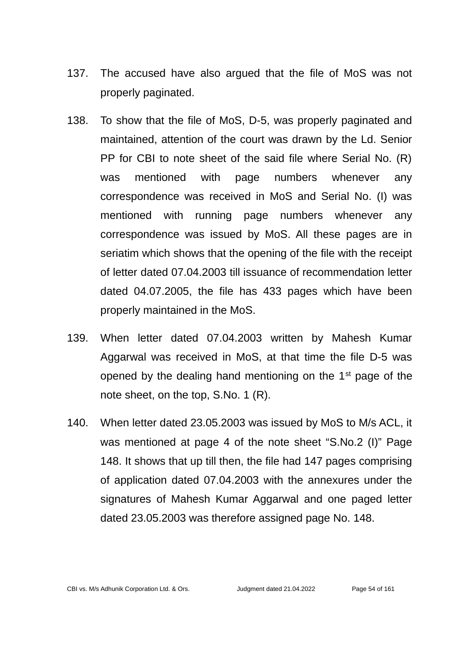- 137. The accused have also argued that the file of MoS was not properly paginated.
- 138. To show that the file of MoS, D-5, was properly paginated and maintained, attention of the court was drawn by the Ld. Senior PP for CBI to note sheet of the said file where Serial No. (R) was mentioned with page numbers whenever any correspondence was received in MoS and Serial No. (I) was mentioned with running page numbers whenever any correspondence was issued by MoS. All these pages are in seriatim which shows that the opening of the file with the receipt of letter dated 07.04.2003 till issuance of recommendation letter dated 04.07.2005, the file has 433 pages which have been properly maintained in the MoS.
- 139. When letter dated 07.04.2003 written by Mahesh Kumar Aggarwal was received in MoS, at that time the file D-5 was opened by the dealing hand mentioning on the  $1<sup>st</sup>$  page of the note sheet, on the top, S.No. 1 (R).
- 140. When letter dated 23.05.2003 was issued by MoS to M/s ACL, it was mentioned at page 4 of the note sheet "S.No.2 (I)" Page 148. It shows that up till then, the file had 147 pages comprising of application dated 07.04.2003 with the annexures under the signatures of Mahesh Kumar Aggarwal and one paged letter dated 23.05.2003 was therefore assigned page No. 148.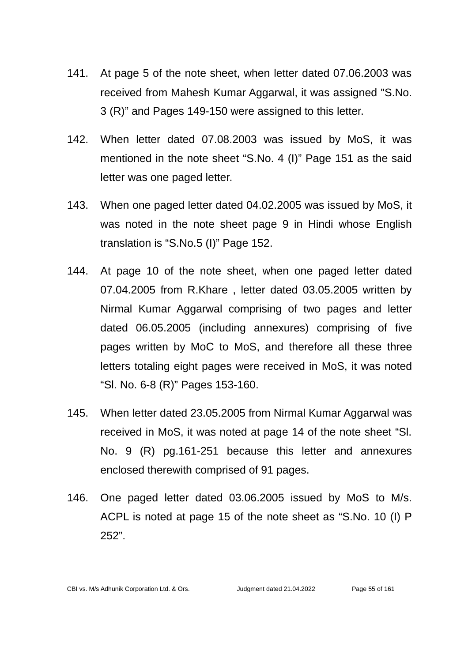- 141. At page 5 of the note sheet, when letter dated 07.06.2003 was received from Mahesh Kumar Aggarwal, it was assigned "S.No. 3 (R)" and Pages 149-150 were assigned to this letter.
- 142. When letter dated 07.08.2003 was issued by MoS, it was mentioned in the note sheet "S.No. 4 (I)" Page 151 as the said letter was one paged letter.
- 143. When one paged letter dated 04.02.2005 was issued by MoS, it was noted in the note sheet page 9 in Hindi whose English translation is "S.No.5 (I)" Page 152.
- 144. At page 10 of the note sheet, when one paged letter dated 07.04.2005 from R.Khare , letter dated 03.05.2005 written by Nirmal Kumar Aggarwal comprising of two pages and letter dated 06.05.2005 (including annexures) comprising of five pages written by MoC to MoS, and therefore all these three letters totaling eight pages were received in MoS, it was noted "Sl. No. 6-8 (R)" Pages 153-160.
- 145. When letter dated 23.05.2005 from Nirmal Kumar Aggarwal was received in MoS, it was noted at page 14 of the note sheet "Sl. No. 9 (R) pg.161-251 because this letter and annexures enclosed therewith comprised of 91 pages.
- 146. One paged letter dated 03.06.2005 issued by MoS to M/s. ACPL is noted at page 15 of the note sheet as "S.No. 10 (I) P 252".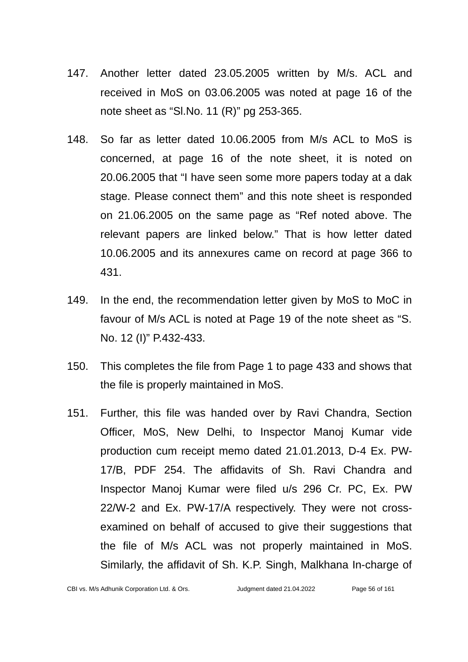- 147. Another letter dated 23.05.2005 written by M/s. ACL and received in MoS on 03.06.2005 was noted at page 16 of the note sheet as "Sl.No. 11 (R)" pg 253-365.
- 148. So far as letter dated 10.06.2005 from M/s ACL to MoS is concerned, at page 16 of the note sheet, it is noted on 20.06.2005 that "I have seen some more papers today at a dak stage. Please connect them" and this note sheet is responded on 21.06.2005 on the same page as "Ref noted above. The relevant papers are linked below." That is how letter dated 10.06.2005 and its annexures came on record at page 366 to 431.
- 149. In the end, the recommendation letter given by MoS to MoC in favour of M/s ACL is noted at Page 19 of the note sheet as "S. No. 12 (I)" P.432-433.
- 150. This completes the file from Page 1 to page 433 and shows that the file is properly maintained in MoS.
- 151. Further, this file was handed over by Ravi Chandra, Section Officer, MoS, New Delhi, to Inspector Manoj Kumar vide production cum receipt memo dated 21.01.2013, D-4 Ex. PW-17/B, PDF 254. The affidavits of Sh. Ravi Chandra and Inspector Manoj Kumar were filed u/s 296 Cr. PC, Ex. PW 22/W-2 and Ex. PW-17/A respectively. They were not crossexamined on behalf of accused to give their suggestions that the file of M/s ACL was not properly maintained in MoS. Similarly, the affidavit of Sh. K.P. Singh, Malkhana In-charge of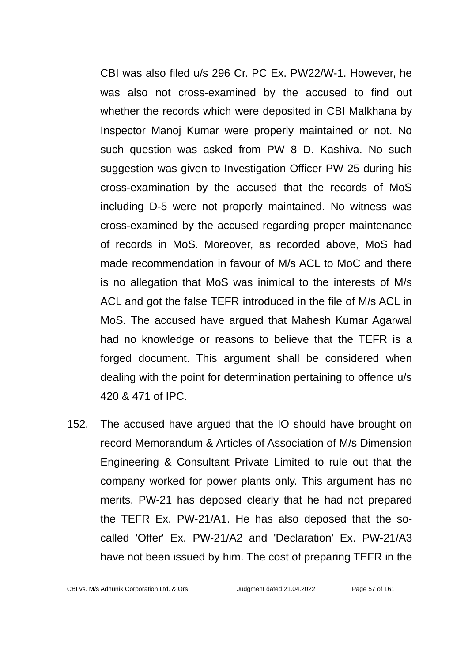CBI was also filed u/s 296 Cr. PC Ex. PW22/W-1. However, he was also not cross-examined by the accused to find out whether the records which were deposited in CBI Malkhana by Inspector Manoj Kumar were properly maintained or not. No such question was asked from PW 8 D. Kashiva. No such suggestion was given to Investigation Officer PW 25 during his cross-examination by the accused that the records of MoS including D-5 were not properly maintained. No witness was cross-examined by the accused regarding proper maintenance of records in MoS. Moreover, as recorded above, MoS had made recommendation in favour of M/s ACL to MoC and there is no allegation that MoS was inimical to the interests of M/s ACL and got the false TEFR introduced in the file of M/s ACL in MoS. The accused have argued that Mahesh Kumar Agarwal had no knowledge or reasons to believe that the TEFR is a forged document. This argument shall be considered when dealing with the point for determination pertaining to offence u/s 420 & 471 of IPC.

152. The accused have argued that the IO should have brought on record Memorandum & Articles of Association of M/s Dimension Engineering & Consultant Private Limited to rule out that the company worked for power plants only. This argument has no merits. PW-21 has deposed clearly that he had not prepared the TEFR Ex. PW-21/A1. He has also deposed that the socalled 'Offer' Ex. PW-21/A2 and 'Declaration' Ex. PW-21/A3 have not been issued by him. The cost of preparing TEFR in the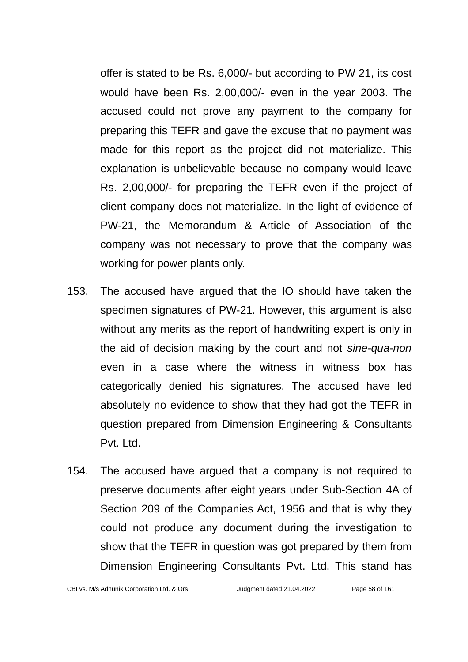offer is stated to be Rs. 6,000/- but according to PW 21, its cost would have been Rs. 2,00,000/- even in the year 2003. The accused could not prove any payment to the company for preparing this TEFR and gave the excuse that no payment was made for this report as the project did not materialize. This explanation is unbelievable because no company would leave Rs. 2,00,000/- for preparing the TEFR even if the project of client company does not materialize. In the light of evidence of PW-21, the Memorandum & Article of Association of the company was not necessary to prove that the company was working for power plants only.

- 153. The accused have argued that the IO should have taken the specimen signatures of PW-21. However, this argument is also without any merits as the report of handwriting expert is only in the aid of decision making by the court and not *sine-qua-non* even in a case where the witness in witness box has categorically denied his signatures. The accused have led absolutely no evidence to show that they had got the TEFR in question prepared from Dimension Engineering & Consultants Pvt. Ltd.
- 154. The accused have argued that a company is not required to preserve documents after eight years under Sub-Section 4A of Section 209 of the Companies Act, 1956 and that is why they could not produce any document during the investigation to show that the TEFR in question was got prepared by them from Dimension Engineering Consultants Pvt. Ltd. This stand has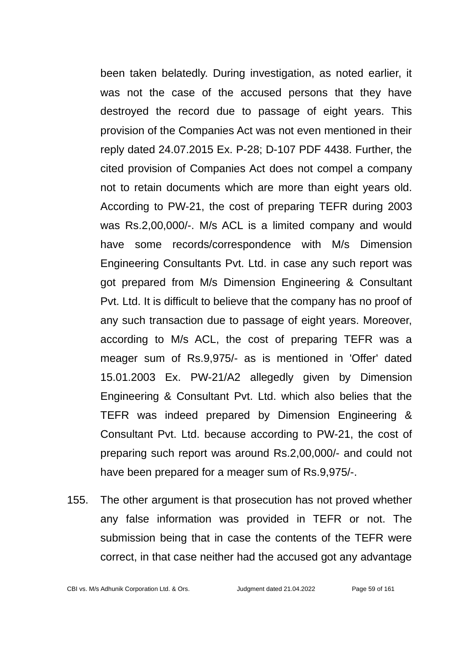been taken belatedly. During investigation, as noted earlier, it was not the case of the accused persons that they have destroyed the record due to passage of eight years. This provision of the Companies Act was not even mentioned in their reply dated 24.07.2015 Ex. P-28; D-107 PDF 4438. Further, the cited provision of Companies Act does not compel a company not to retain documents which are more than eight years old. According to PW-21, the cost of preparing TEFR during 2003 was Rs.2,00,000/-. M/s ACL is a limited company and would have some records/correspondence with M/s Dimension Engineering Consultants Pvt. Ltd. in case any such report was got prepared from M/s Dimension Engineering & Consultant Pvt. Ltd. It is difficult to believe that the company has no proof of any such transaction due to passage of eight years. Moreover, according to M/s ACL, the cost of preparing TEFR was a meager sum of Rs.9,975/- as is mentioned in 'Offer' dated 15.01.2003 Ex. PW-21/A2 allegedly given by Dimension Engineering & Consultant Pvt. Ltd. which also belies that the TEFR was indeed prepared by Dimension Engineering & Consultant Pvt. Ltd. because according to PW-21, the cost of preparing such report was around Rs.2,00,000/- and could not have been prepared for a meager sum of Rs.9,975/-.

155. The other argument is that prosecution has not proved whether any false information was provided in TEFR or not. The submission being that in case the contents of the TEFR were correct, in that case neither had the accused got any advantage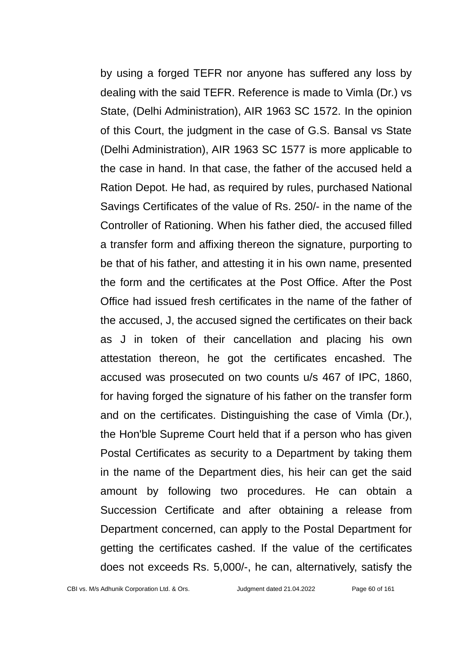by using a forged TEFR nor anyone has suffered any loss by dealing with the said TEFR. Reference is made to Vimla (Dr.) vs State, (Delhi Administration), AIR 1963 SC 1572. In the opinion of this Court, the judgment in the case of G.S. Bansal vs State (Delhi Administration), AIR 1963 SC 1577 is more applicable to the case in hand. In that case, the father of the accused held a Ration Depot. He had, as required by rules, purchased National Savings Certificates of the value of Rs. 250/- in the name of the Controller of Rationing. When his father died, the accused filled a transfer form and affixing thereon the signature, purporting to be that of his father, and attesting it in his own name, presented the form and the certificates at the Post Office. After the Post Office had issued fresh certificates in the name of the father of the accused, J, the accused signed the certificates on their back as J in token of their cancellation and placing his own attestation thereon, he got the certificates encashed. The accused was prosecuted on two counts u/s 467 of IPC, 1860, for having forged the signature of his father on the transfer form and on the certificates. Distinguishing the case of Vimla (Dr.), the Hon'ble Supreme Court held that if a person who has given Postal Certificates as security to a Department by taking them in the name of the Department dies, his heir can get the said amount by following two procedures. He can obtain a Succession Certificate and after obtaining a release from Department concerned, can apply to the Postal Department for getting the certificates cashed. If the value of the certificates does not exceeds Rs. 5,000/-, he can, alternatively, satisfy the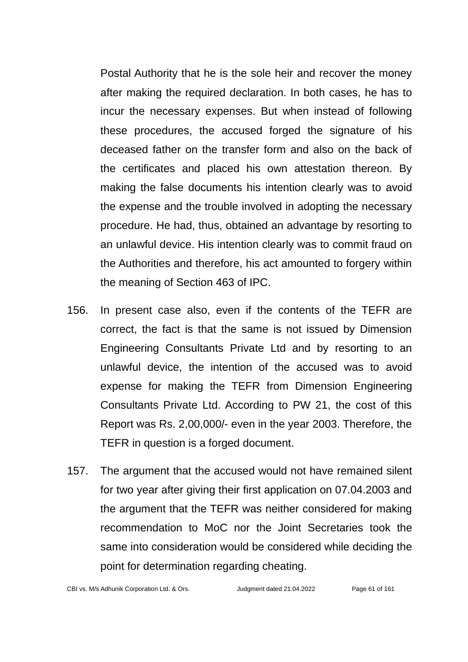Postal Authority that he is the sole heir and recover the money after making the required declaration. In both cases, he has to incur the necessary expenses. But when instead of following these procedures, the accused forged the signature of his deceased father on the transfer form and also on the back of the certificates and placed his own attestation thereon. By making the false documents his intention clearly was to avoid the expense and the trouble involved in adopting the necessary procedure. He had, thus, obtained an advantage by resorting to an unlawful device. His intention clearly was to commit fraud on the Authorities and therefore, his act amounted to forgery within the meaning of Section 463 of IPC.

- 156. In present case also, even if the contents of the TEFR are correct, the fact is that the same is not issued by Dimension Engineering Consultants Private Ltd and by resorting to an unlawful device, the intention of the accused was to avoid expense for making the TEFR from Dimension Engineering Consultants Private Ltd. According to PW 21, the cost of this Report was Rs. 2,00,000/- even in the year 2003. Therefore, the TEFR in question is a forged document.
- 157. The argument that the accused would not have remained silent for two year after giving their first application on 07.04.2003 and the argument that the TEFR was neither considered for making recommendation to MoC nor the Joint Secretaries took the same into consideration would be considered while deciding the point for determination regarding cheating.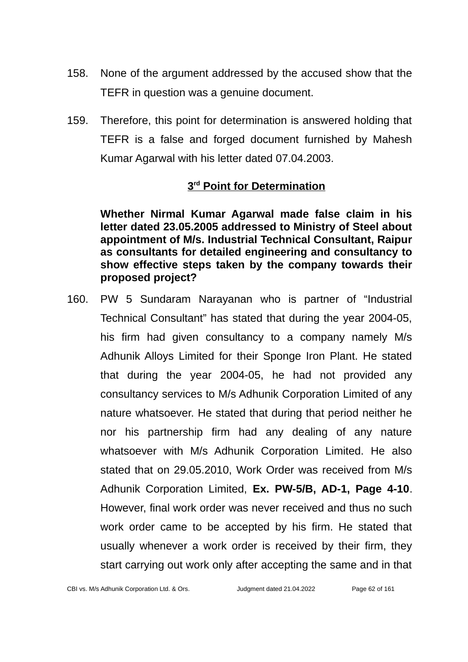- 158. None of the argument addressed by the accused show that the TEFR in question was a genuine document.
- 159. Therefore, this point for determination is answered holding that TEFR is a false and forged document furnished by Mahesh Kumar Agarwal with his letter dated 07.04.2003.

## **3 rd Point for Determination**

**Whether Nirmal Kumar Agarwal made false claim in his letter dated 23.05.2005 addressed to Ministry of Steel about appointment of M/s. Industrial Technical Consultant, Raipur as consultants for detailed engineering and consultancy to show effective steps taken by the company towards their proposed project?**

160. PW 5 Sundaram Narayanan who is partner of "Industrial Technical Consultant" has stated that during the year 2004-05, his firm had given consultancy to a company namely M/s Adhunik Alloys Limited for their Sponge Iron Plant. He stated that during the year 2004-05, he had not provided any consultancy services to M/s Adhunik Corporation Limited of any nature whatsoever. He stated that during that period neither he nor his partnership firm had any dealing of any nature whatsoever with M/s Adhunik Corporation Limited. He also stated that on 29.05.2010, Work Order was received from M/s Adhunik Corporation Limited, **Ex. PW-5/B, AD-1, Page 4-10**. However, final work order was never received and thus no such work order came to be accepted by his firm. He stated that usually whenever a work order is received by their firm, they start carrying out work only after accepting the same and in that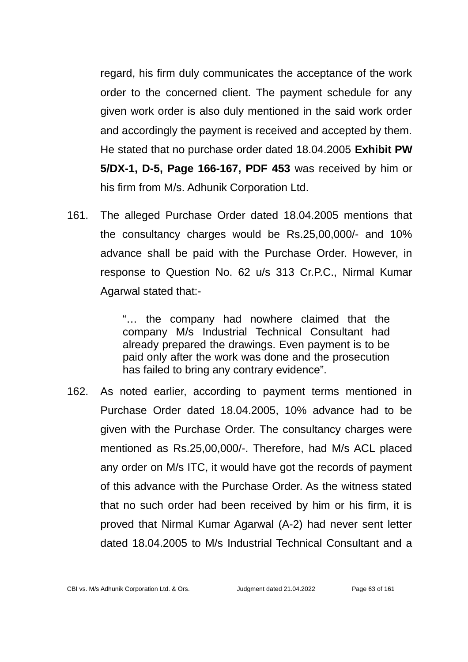regard, his firm duly communicates the acceptance of the work order to the concerned client. The payment schedule for any given work order is also duly mentioned in the said work order and accordingly the payment is received and accepted by them. He stated that no purchase order dated 18.04.2005 **Exhibit PW 5/DX-1, D-5, Page 166-167, PDF 453** was received by him or his firm from M/s. Adhunik Corporation Ltd.

161. The alleged Purchase Order dated 18.04.2005 mentions that the consultancy charges would be Rs.25,00,000/- and 10% advance shall be paid with the Purchase Order. However, in response to Question No. 62 u/s 313 Cr.P.C., Nirmal Kumar Agarwal stated that:-

> "… the company had nowhere claimed that the company M/s Industrial Technical Consultant had already prepared the drawings. Even payment is to be paid only after the work was done and the prosecution has failed to bring any contrary evidence".

162. As noted earlier, according to payment terms mentioned in Purchase Order dated 18.04.2005, 10% advance had to be given with the Purchase Order. The consultancy charges were mentioned as Rs.25,00,000/-. Therefore, had M/s ACL placed any order on M/s ITC, it would have got the records of payment of this advance with the Purchase Order. As the witness stated that no such order had been received by him or his firm, it is proved that Nirmal Kumar Agarwal (A-2) had never sent letter dated 18.04.2005 to M/s Industrial Technical Consultant and a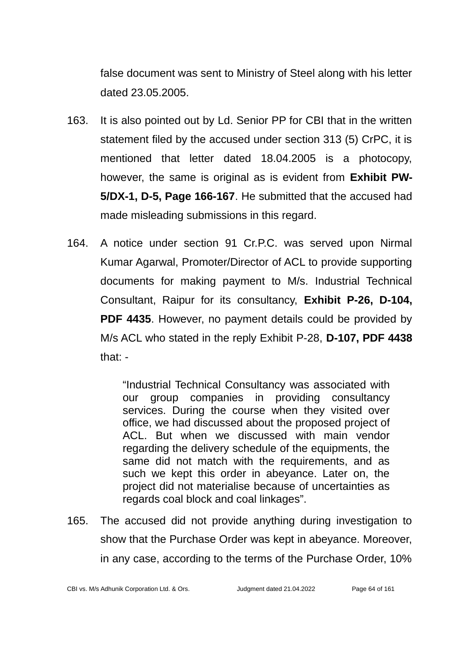false document was sent to Ministry of Steel along with his letter dated 23.05.2005.

- 163. It is also pointed out by Ld. Senior PP for CBI that in the written statement filed by the accused under section 313 (5) CrPC, it is mentioned that letter dated 18.04.2005 is a photocopy, however, the same is original as is evident from **Exhibit PW-5/DX-1, D-5, Page 166-167**. He submitted that the accused had made misleading submissions in this regard.
- 164. A notice under section 91 Cr.P.C. was served upon Nirmal Kumar Agarwal, Promoter/Director of ACL to provide supporting documents for making payment to M/s. Industrial Technical Consultant, Raipur for its consultancy, **Exhibit P-26, D-104, PDF 4435.** However, no payment details could be provided by M/s ACL who stated in the reply Exhibit P-28, **D-107, PDF 4438** that: -

"Industrial Technical Consultancy was associated with our group companies in providing consultancy services. During the course when they visited over office, we had discussed about the proposed project of ACL. But when we discussed with main vendor regarding the delivery schedule of the equipments, the same did not match with the requirements, and as such we kept this order in abeyance. Later on, the project did not materialise because of uncertainties as regards coal block and coal linkages".

165. The accused did not provide anything during investigation to show that the Purchase Order was kept in abeyance. Moreover, in any case, according to the terms of the Purchase Order, 10%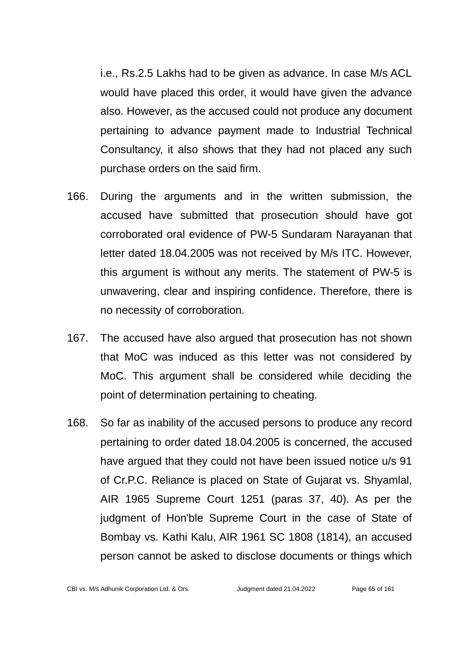i.e., Rs.2.5 Lakhs had to be given as advance. In case M/s ACL would have placed this order, it would have given the advance also. However, as the accused could not produce any document pertaining to advance payment made to Industrial Technical Consultancy, it also shows that they had not placed any such purchase orders on the said firm.

- 166. During the arguments and in the written submission, the accused have submitted that prosecution should have got corroborated oral evidence of PW-5 Sundaram Narayanan that letter dated 18.04.2005 was not received by M/s ITC. However, this argument is without any merits. The statement of PW-5 is unwavering, clear and inspiring confidence. Therefore, there is no necessity of corroboration.
- 167. The accused have also argued that prosecution has not shown that MoC was induced as this letter was not considered by MoC. This argument shall be considered while deciding the point of determination pertaining to cheating.
- 168. So far as inability of the accused persons to produce any record pertaining to order dated 18.04.2005 is concerned, the accused have argued that they could not have been issued notice u/s 91 of Cr.P.C. Reliance is placed on State of Gujarat vs. Shyamlal, AIR 1965 Supreme Court 1251 (paras 37, 40). As per the judgment of Hon'ble Supreme Court in the case of State of Bombay vs. Kathi Kalu, AIR 1961 SC 1808 (1814), an accused person cannot be asked to disclose documents or things which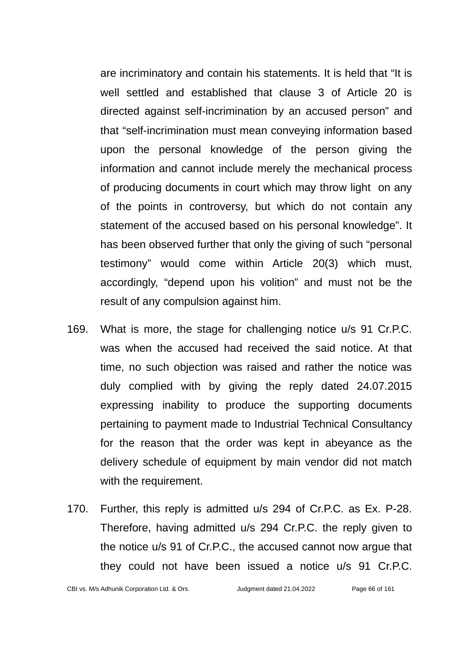are incriminatory and contain his statements. It is held that "It is well settled and established that clause 3 of Article 20 is directed against self-incrimination by an accused person" and that "self-incrimination must mean conveying information based upon the personal knowledge of the person giving the information and cannot include merely the mechanical process of producing documents in court which may throw light on any of the points in controversy, but which do not contain any statement of the accused based on his personal knowledge". It has been observed further that only the giving of such "personal testimony" would come within Article 20(3) which must, accordingly, "depend upon his volition" and must not be the result of any compulsion against him.

- 169. What is more, the stage for challenging notice u/s 91 Cr.P.C. was when the accused had received the said notice. At that time, no such objection was raised and rather the notice was duly complied with by giving the reply dated 24.07.2015 expressing inability to produce the supporting documents pertaining to payment made to Industrial Technical Consultancy for the reason that the order was kept in abeyance as the delivery schedule of equipment by main vendor did not match with the requirement.
- 170. Further, this reply is admitted u/s 294 of Cr.P.C. as Ex. P-28. Therefore, having admitted u/s 294 Cr.P.C. the reply given to the notice u/s 91 of Cr.P.C., the accused cannot now argue that they could not have been issued a notice u/s 91 Cr.P.C.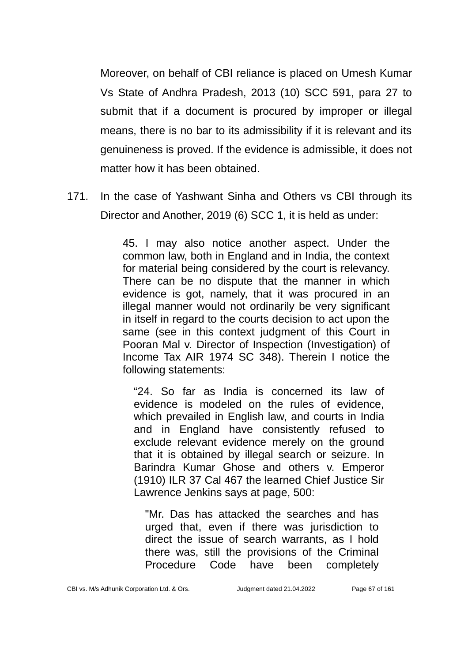Moreover, on behalf of CBI reliance is placed on Umesh Kumar Vs State of Andhra Pradesh, 2013 (10) SCC 591, para 27 to submit that if a document is procured by improper or illegal means, there is no bar to its admissibility if it is relevant and its genuineness is proved. If the evidence is admissible, it does not matter how it has been obtained.

171. In the case of Yashwant Sinha and Others vs CBI through its Director and Another, 2019 (6) SCC 1, it is held as under:

> 45. I may also notice another aspect. Under the common law, both in England and in India, the context for material being considered by the court is relevancy. There can be no dispute that the manner in which evidence is got, namely, that it was procured in an illegal manner would not ordinarily be very significant in itself in regard to the courts decision to act upon the same (see in this context judgment of this Court in Pooran Mal v. Director of Inspection (Investigation) of Income Tax AIR 1974 SC 348). Therein I notice the following statements:

"24. So far as India is concerned its law of evidence is modeled on the rules of evidence, which prevailed in English law, and courts in India and in England have consistently refused to exclude relevant evidence merely on the ground that it is obtained by illegal search or seizure. In Barindra Kumar Ghose and others v. Emperor (1910) ILR 37 Cal 467 the learned Chief Justice Sir Lawrence Jenkins says at page, 500:

"Mr. Das has attacked the searches and has urged that, even if there was jurisdiction to direct the issue of search warrants, as I hold there was, still the provisions of the Criminal Procedure Code have been completely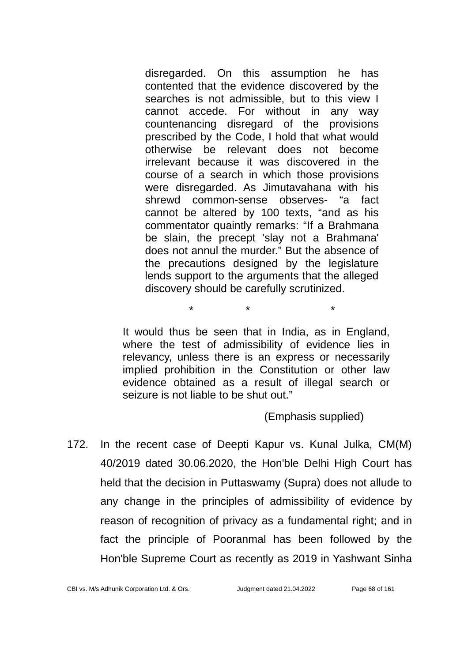disregarded. On this assumption he has contented that the evidence discovered by the searches is not admissible, but to this view I cannot accede. For without in any way countenancing disregard of the provisions prescribed by the Code, I hold that what would otherwise be relevant does not become irrelevant because it was discovered in the course of a search in which those provisions were disregarded. As Jimutavahana with his shrewd common-sense observes- "a fact cannot be altered by 100 texts, "and as his commentator quaintly remarks: "If a Brahmana be slain, the precept 'slay not a Brahmana' does not annul the murder." But the absence of the precautions designed by the legislature lends support to the arguments that the alleged discovery should be carefully scrutinized.

It would thus be seen that in India, as in England, where the test of admissibility of evidence lies in relevancy, unless there is an express or necessarily implied prohibition in the Constitution or other law evidence obtained as a result of illegal search or seizure is not liable to be shut out."

\* \* \*

(Emphasis supplied)

172. In the recent case of Deepti Kapur vs. Kunal Julka, CM(M) 40/2019 dated 30.06.2020, the Hon'ble Delhi High Court has held that the decision in Puttaswamy (Supra) does not allude to any change in the principles of admissibility of evidence by reason of recognition of privacy as a fundamental right; and in fact the principle of Pooranmal has been followed by the Hon'ble Supreme Court as recently as 2019 in Yashwant Sinha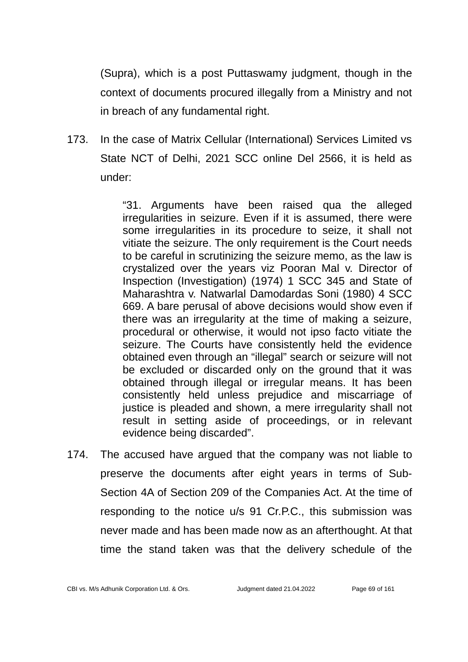(Supra), which is a post Puttaswamy judgment, though in the context of documents procured illegally from a Ministry and not in breach of any fundamental right.

173. In the case of Matrix Cellular (International) Services Limited vs State NCT of Delhi, 2021 SCC online Del 2566, it is held as under:

> "31. Arguments have been raised qua the alleged irregularities in seizure. Even if it is assumed, there were some irregularities in its procedure to seize, it shall not vitiate the seizure. The only requirement is the Court needs to be careful in scrutinizing the seizure memo, as the law is crystalized over the years viz Pooran Mal v. Director of Inspection (Investigation) (1974) 1 SCC 345 and State of Maharashtra v. Natwarlal Damodardas Soni (1980) 4 SCC 669. A bare perusal of above decisions would show even if there was an irregularity at the time of making a seizure, procedural or otherwise, it would not ipso facto vitiate the seizure. The Courts have consistently held the evidence obtained even through an "illegal" search or seizure will not be excluded or discarded only on the ground that it was obtained through illegal or irregular means. It has been consistently held unless prejudice and miscarriage of justice is pleaded and shown, a mere irregularity shall not result in setting aside of proceedings, or in relevant evidence being discarded".

174. The accused have argued that the company was not liable to preserve the documents after eight years in terms of Sub-Section 4A of Section 209 of the Companies Act. At the time of responding to the notice u/s 91 Cr.P.C., this submission was never made and has been made now as an afterthought. At that time the stand taken was that the delivery schedule of the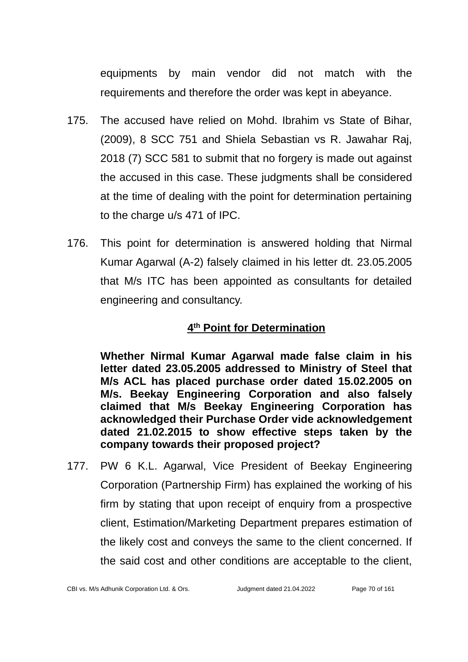equipments by main vendor did not match with the requirements and therefore the order was kept in abeyance.

- 175. The accused have relied on Mohd. Ibrahim vs State of Bihar, (2009), 8 SCC 751 and Shiela Sebastian vs R. Jawahar Raj, 2018 (7) SCC 581 to submit that no forgery is made out against the accused in this case. These judgments shall be considered at the time of dealing with the point for determination pertaining to the charge u/s 471 of IPC.
- 176. This point for determination is answered holding that Nirmal Kumar Agarwal (A-2) falsely claimed in his letter dt. 23.05.2005 that M/s ITC has been appointed as consultants for detailed engineering and consultancy.

## **4 th Point for Determination**

**Whether Nirmal Kumar Agarwal made false claim in his letter dated 23.05.2005 addressed to Ministry of Steel that M/s ACL has placed purchase order dated 15.02.2005 on M/s. Beekay Engineering Corporation and also falsely claimed that M/s Beekay Engineering Corporation has acknowledged their Purchase Order vide acknowledgement dated 21.02.2015 to show effective steps taken by the company towards their proposed project?**

177. PW 6 K.L. Agarwal, Vice President of Beekay Engineering Corporation (Partnership Firm) has explained the working of his firm by stating that upon receipt of enquiry from a prospective client, Estimation/Marketing Department prepares estimation of the likely cost and conveys the same to the client concerned. If the said cost and other conditions are acceptable to the client,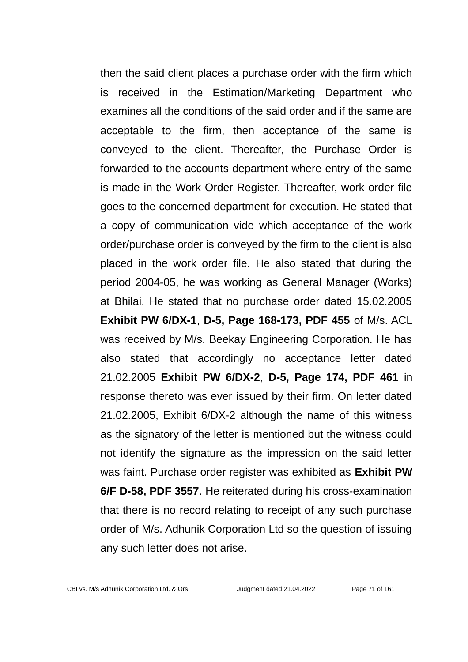then the said client places a purchase order with the firm which is received in the Estimation/Marketing Department who examines all the conditions of the said order and if the same are acceptable to the firm, then acceptance of the same is conveyed to the client. Thereafter, the Purchase Order is forwarded to the accounts department where entry of the same is made in the Work Order Register. Thereafter, work order file goes to the concerned department for execution. He stated that a copy of communication vide which acceptance of the work order/purchase order is conveyed by the firm to the client is also placed in the work order file. He also stated that during the period 2004-05, he was working as General Manager (Works) at Bhilai. He stated that no purchase order dated 15.02.2005 **Exhibit PW 6/DX-1**, **D-5, Page 168-173, PDF 455** of M/s. ACL was received by M/s. Beekay Engineering Corporation. He has also stated that accordingly no acceptance letter dated 21.02.2005 **Exhibit PW 6/DX-2**, **D-5, Page 174, PDF 461** in response thereto was ever issued by their firm. On letter dated 21.02.2005, Exhibit 6/DX-2 although the name of this witness as the signatory of the letter is mentioned but the witness could not identify the signature as the impression on the said letter was faint. Purchase order register was exhibited as **Exhibit PW 6/F D-58, PDF 3557**. He reiterated during his cross-examination that there is no record relating to receipt of any such purchase order of M/s. Adhunik Corporation Ltd so the question of issuing any such letter does not arise.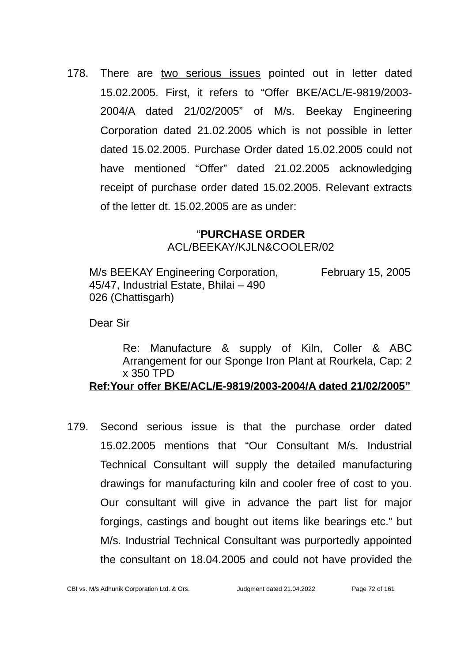178. There are two serious issues pointed out in letter dated 15.02.2005. First, it refers to "Offer BKE/ACL/E-9819/2003- 2004/A dated 21/02/2005" of M/s. Beekay Engineering Corporation dated 21.02.2005 which is not possible in letter dated 15.02.2005. Purchase Order dated 15.02.2005 could not have mentioned "Offer" dated 21.02.2005 acknowledging receipt of purchase order dated 15.02.2005. Relevant extracts of the letter dt. 15.02.2005 are as under:

## "**PURCHASE ORDER** ACL/BEEKAY/KJLN&COOLER/02

M/s BEEKAY Engineering Corporation. February 15, 2005 45/47, Industrial Estate, Bhilai – 490 026 (Chattisgarh)

Dear Sir

Re: Manufacture & supply of Kiln, Coller & ABC Arrangement for our Sponge Iron Plant at Rourkela, Cap: 2 x 350 TPD **Ref:Your offer BKE/ACL/E-9819/2003-2004/A dated 21/02/2005"**

179. Second serious issue is that the purchase order dated 15.02.2005 mentions that "Our Consultant M/s. Industrial Technical Consultant will supply the detailed manufacturing drawings for manufacturing kiln and cooler free of cost to you. Our consultant will give in advance the part list for major forgings, castings and bought out items like bearings etc." but M/s. Industrial Technical Consultant was purportedly appointed the consultant on 18.04.2005 and could not have provided the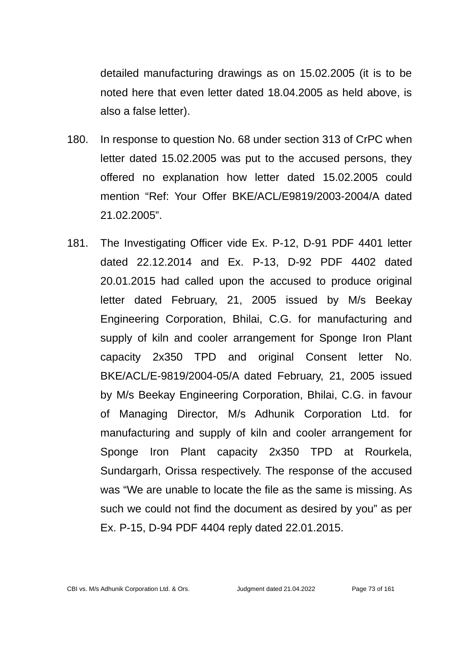detailed manufacturing drawings as on 15.02.2005 (it is to be noted here that even letter dated 18.04.2005 as held above, is also a false letter).

- 180. In response to question No. 68 under section 313 of CrPC when letter dated 15.02.2005 was put to the accused persons, they offered no explanation how letter dated 15.02.2005 could mention "Ref: Your Offer BKE/ACL/E9819/2003-2004/A dated 21.02.2005".
- 181. The Investigating Officer vide Ex. P-12, D-91 PDF 4401 letter dated 22.12.2014 and Ex. P-13, D-92 PDF 4402 dated 20.01.2015 had called upon the accused to produce original letter dated February, 21, 2005 issued by M/s Beekay Engineering Corporation, Bhilai, C.G. for manufacturing and supply of kiln and cooler arrangement for Sponge Iron Plant capacity 2x350 TPD and original Consent letter No. BKE/ACL/E-9819/2004-05/A dated February, 21, 2005 issued by M/s Beekay Engineering Corporation, Bhilai, C.G. in favour of Managing Director, M/s Adhunik Corporation Ltd. for manufacturing and supply of kiln and cooler arrangement for Sponge Iron Plant capacity 2x350 TPD at Rourkela, Sundargarh, Orissa respectively. The response of the accused was "We are unable to locate the file as the same is missing. As such we could not find the document as desired by you" as per Ex. P-15, D-94 PDF 4404 reply dated 22.01.2015.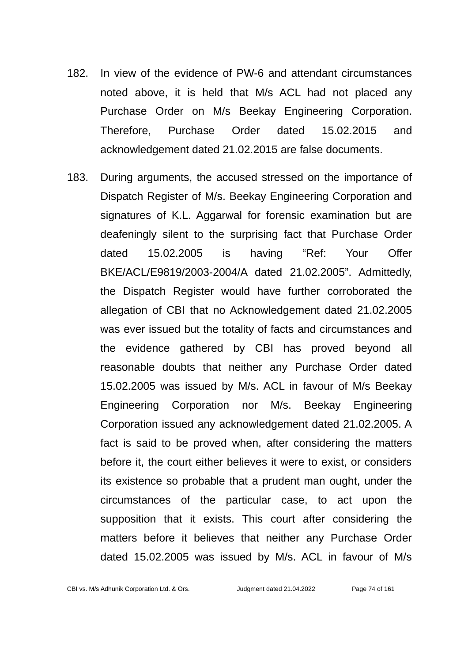- 182. In view of the evidence of PW-6 and attendant circumstances noted above, it is held that M/s ACL had not placed any Purchase Order on M/s Beekay Engineering Corporation. Therefore, Purchase Order dated 15.02.2015 and acknowledgement dated 21.02.2015 are false documents.
- 183. During arguments, the accused stressed on the importance of Dispatch Register of M/s. Beekay Engineering Corporation and signatures of K.L. Aggarwal for forensic examination but are deafeningly silent to the surprising fact that Purchase Order dated 15.02.2005 is having "Ref: Your Offer BKE/ACL/E9819/2003-2004/A dated 21.02.2005". Admittedly, the Dispatch Register would have further corroborated the allegation of CBI that no Acknowledgement dated 21.02.2005 was ever issued but the totality of facts and circumstances and the evidence gathered by CBI has proved beyond all reasonable doubts that neither any Purchase Order dated 15.02.2005 was issued by M/s. ACL in favour of M/s Beekay Engineering Corporation nor M/s. Beekay Engineering Corporation issued any acknowledgement dated 21.02.2005. A fact is said to be proved when, after considering the matters before it, the court either believes it were to exist, or considers its existence so probable that a prudent man ought, under the circumstances of the particular case, to act upon the supposition that it exists. This court after considering the matters before it believes that neither any Purchase Order dated 15.02.2005 was issued by M/s. ACL in favour of M/s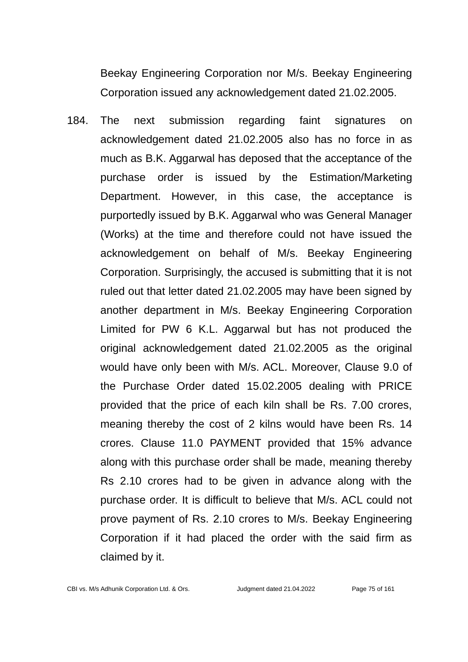Beekay Engineering Corporation nor M/s. Beekay Engineering Corporation issued any acknowledgement dated 21.02.2005.

184. The next submission regarding faint signatures on acknowledgement dated 21.02.2005 also has no force in as much as B.K. Aggarwal has deposed that the acceptance of the purchase order is issued by the Estimation/Marketing Department. However, in this case, the acceptance is purportedly issued by B.K. Aggarwal who was General Manager (Works) at the time and therefore could not have issued the acknowledgement on behalf of M/s. Beekay Engineering Corporation. Surprisingly, the accused is submitting that it is not ruled out that letter dated 21.02.2005 may have been signed by another department in M/s. Beekay Engineering Corporation Limited for PW 6 K.L. Aggarwal but has not produced the original acknowledgement dated 21.02.2005 as the original would have only been with M/s. ACL. Moreover, Clause 9.0 of the Purchase Order dated 15.02.2005 dealing with PRICE provided that the price of each kiln shall be Rs. 7.00 crores, meaning thereby the cost of 2 kilns would have been Rs. 14 crores. Clause 11.0 PAYMENT provided that 15% advance along with this purchase order shall be made, meaning thereby Rs 2.10 crores had to be given in advance along with the purchase order. It is difficult to believe that M/s. ACL could not prove payment of Rs. 2.10 crores to M/s. Beekay Engineering Corporation if it had placed the order with the said firm as claimed by it.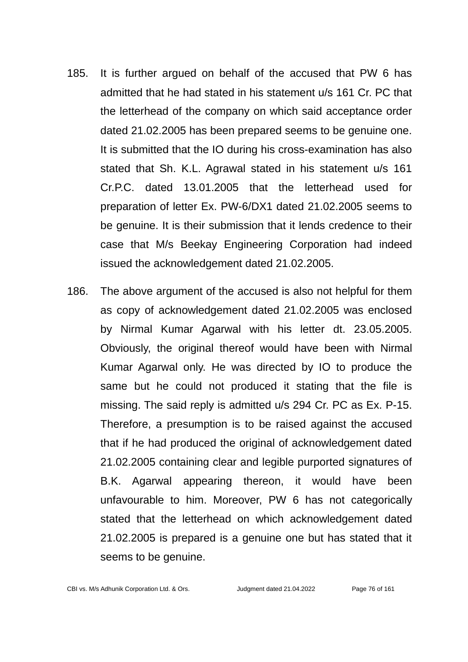- 185. It is further argued on behalf of the accused that PW 6 has admitted that he had stated in his statement u/s 161 Cr. PC that the letterhead of the company on which said acceptance order dated 21.02.2005 has been prepared seems to be genuine one. It is submitted that the IO during his cross-examination has also stated that Sh. K.L. Agrawal stated in his statement u/s 161 Cr.P.C. dated 13.01.2005 that the letterhead used for preparation of letter Ex. PW-6/DX1 dated 21.02.2005 seems to be genuine. It is their submission that it lends credence to their case that M/s Beekay Engineering Corporation had indeed issued the acknowledgement dated 21.02.2005.
- 186. The above argument of the accused is also not helpful for them as copy of acknowledgement dated 21.02.2005 was enclosed by Nirmal Kumar Agarwal with his letter dt. 23.05.2005. Obviously, the original thereof would have been with Nirmal Kumar Agarwal only. He was directed by IO to produce the same but he could not produced it stating that the file is missing. The said reply is admitted u/s 294 Cr. PC as Ex. P-15. Therefore, a presumption is to be raised against the accused that if he had produced the original of acknowledgement dated 21.02.2005 containing clear and legible purported signatures of B.K. Agarwal appearing thereon, it would have been unfavourable to him. Moreover, PW 6 has not categorically stated that the letterhead on which acknowledgement dated 21.02.2005 is prepared is a genuine one but has stated that it seems to be genuine.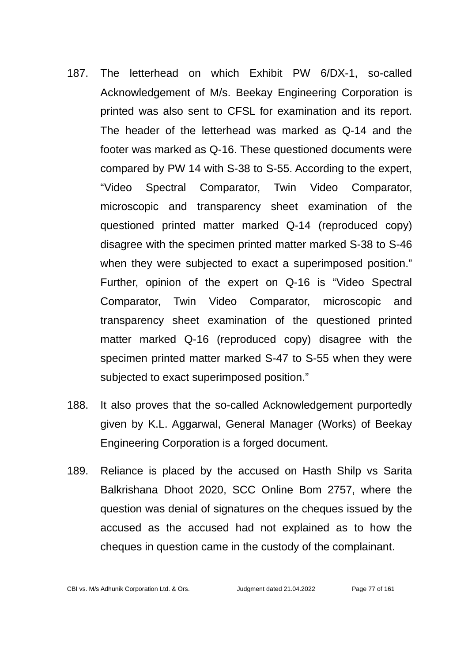- 187. The letterhead on which Exhibit PW 6/DX-1, so-called Acknowledgement of M/s. Beekay Engineering Corporation is printed was also sent to CFSL for examination and its report. The header of the letterhead was marked as Q-14 and the footer was marked as Q-16. These questioned documents were compared by PW 14 with S-38 to S-55. According to the expert, "Video Spectral Comparator, Twin Video Comparator, microscopic and transparency sheet examination of the questioned printed matter marked Q-14 (reproduced copy) disagree with the specimen printed matter marked S-38 to S-46 when they were subjected to exact a superimposed position." Further, opinion of the expert on Q-16 is "Video Spectral Comparator, Twin Video Comparator, microscopic and transparency sheet examination of the questioned printed matter marked Q-16 (reproduced copy) disagree with the specimen printed matter marked S-47 to S-55 when they were subjected to exact superimposed position."
- 188. It also proves that the so-called Acknowledgement purportedly given by K.L. Aggarwal, General Manager (Works) of Beekay Engineering Corporation is a forged document.
- 189. Reliance is placed by the accused on Hasth Shilp vs Sarita Balkrishana Dhoot 2020, SCC Online Bom 2757, where the question was denial of signatures on the cheques issued by the accused as the accused had not explained as to how the cheques in question came in the custody of the complainant.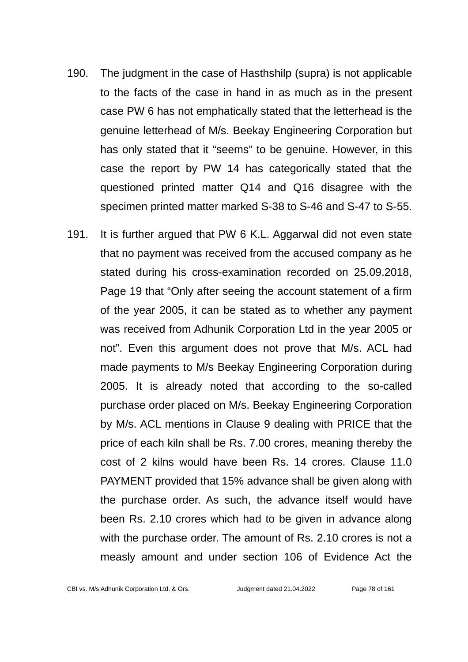- 190. The judgment in the case of Hasthshilp (supra) is not applicable to the facts of the case in hand in as much as in the present case PW 6 has not emphatically stated that the letterhead is the genuine letterhead of M/s. Beekay Engineering Corporation but has only stated that it "seems" to be genuine. However, in this case the report by PW 14 has categorically stated that the questioned printed matter Q14 and Q16 disagree with the specimen printed matter marked S-38 to S-46 and S-47 to S-55.
- 191. It is further argued that PW 6 K.L. Aggarwal did not even state that no payment was received from the accused company as he stated during his cross-examination recorded on 25.09.2018, Page 19 that "Only after seeing the account statement of a firm of the year 2005, it can be stated as to whether any payment was received from Adhunik Corporation Ltd in the year 2005 or not". Even this argument does not prove that M/s. ACL had made payments to M/s Beekay Engineering Corporation during 2005. It is already noted that according to the so-called purchase order placed on M/s. Beekay Engineering Corporation by M/s. ACL mentions in Clause 9 dealing with PRICE that the price of each kiln shall be Rs. 7.00 crores, meaning thereby the cost of 2 kilns would have been Rs. 14 crores. Clause 11.0 PAYMENT provided that 15% advance shall be given along with the purchase order. As such, the advance itself would have been Rs. 2.10 crores which had to be given in advance along with the purchase order. The amount of Rs. 2.10 crores is not a measly amount and under section 106 of Evidence Act the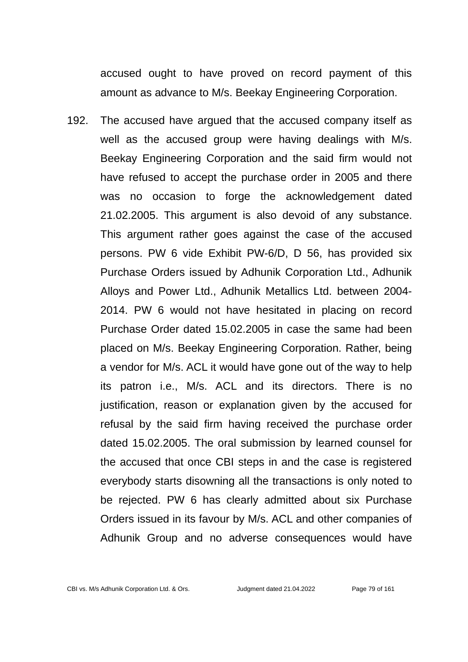accused ought to have proved on record payment of this amount as advance to M/s. Beekay Engineering Corporation.

192. The accused have argued that the accused company itself as well as the accused group were having dealings with M/s. Beekay Engineering Corporation and the said firm would not have refused to accept the purchase order in 2005 and there was no occasion to forge the acknowledgement dated 21.02.2005. This argument is also devoid of any substance. This argument rather goes against the case of the accused persons. PW 6 vide Exhibit PW-6/D, D 56, has provided six Purchase Orders issued by Adhunik Corporation Ltd., Adhunik Alloys and Power Ltd., Adhunik Metallics Ltd. between 2004- 2014. PW 6 would not have hesitated in placing on record Purchase Order dated 15.02.2005 in case the same had been placed on M/s. Beekay Engineering Corporation. Rather, being a vendor for M/s. ACL it would have gone out of the way to help its patron i.e., M/s. ACL and its directors. There is no justification, reason or explanation given by the accused for refusal by the said firm having received the purchase order dated 15.02.2005. The oral submission by learned counsel for the accused that once CBI steps in and the case is registered everybody starts disowning all the transactions is only noted to be rejected. PW 6 has clearly admitted about six Purchase Orders issued in its favour by M/s. ACL and other companies of Adhunik Group and no adverse consequences would have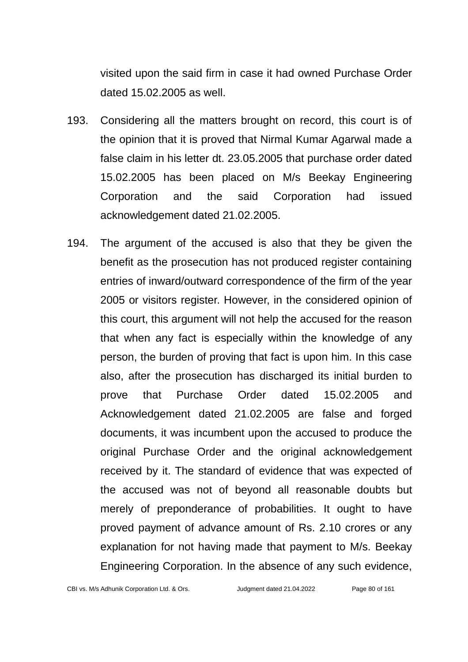visited upon the said firm in case it had owned Purchase Order dated 15.02.2005 as well.

- 193. Considering all the matters brought on record, this court is of the opinion that it is proved that Nirmal Kumar Agarwal made a false claim in his letter dt. 23.05.2005 that purchase order dated 15.02.2005 has been placed on M/s Beekay Engineering Corporation and the said Corporation had issued acknowledgement dated 21.02.2005.
- 194. The argument of the accused is also that they be given the benefit as the prosecution has not produced register containing entries of inward/outward correspondence of the firm of the year 2005 or visitors register. However, in the considered opinion of this court, this argument will not help the accused for the reason that when any fact is especially within the knowledge of any person, the burden of proving that fact is upon him. In this case also, after the prosecution has discharged its initial burden to prove that Purchase Order dated 15.02.2005 and Acknowledgement dated 21.02.2005 are false and forged documents, it was incumbent upon the accused to produce the original Purchase Order and the original acknowledgement received by it. The standard of evidence that was expected of the accused was not of beyond all reasonable doubts but merely of preponderance of probabilities. It ought to have proved payment of advance amount of Rs. 2.10 crores or any explanation for not having made that payment to M/s. Beekay Engineering Corporation. In the absence of any such evidence,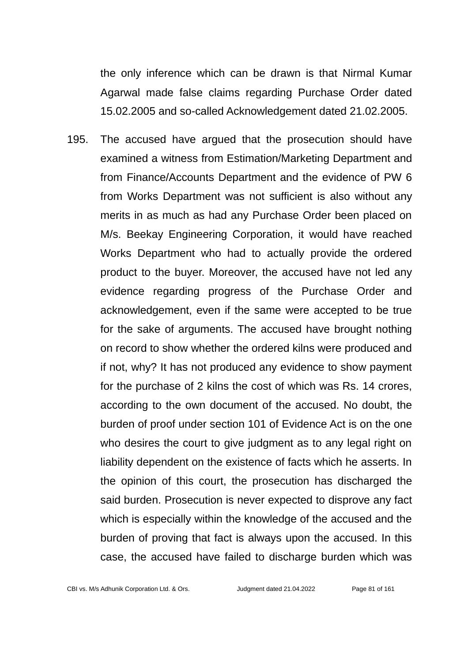the only inference which can be drawn is that Nirmal Kumar Agarwal made false claims regarding Purchase Order dated 15.02.2005 and so-called Acknowledgement dated 21.02.2005.

195. The accused have argued that the prosecution should have examined a witness from Estimation/Marketing Department and from Finance/Accounts Department and the evidence of PW 6 from Works Department was not sufficient is also without any merits in as much as had any Purchase Order been placed on M/s. Beekay Engineering Corporation, it would have reached Works Department who had to actually provide the ordered product to the buyer. Moreover, the accused have not led any evidence regarding progress of the Purchase Order and acknowledgement, even if the same were accepted to be true for the sake of arguments. The accused have brought nothing on record to show whether the ordered kilns were produced and if not, why? It has not produced any evidence to show payment for the purchase of 2 kilns the cost of which was Rs. 14 crores, according to the own document of the accused. No doubt, the burden of proof under section 101 of Evidence Act is on the one who desires the court to give judgment as to any legal right on liability dependent on the existence of facts which he asserts. In the opinion of this court, the prosecution has discharged the said burden. Prosecution is never expected to disprove any fact which is especially within the knowledge of the accused and the burden of proving that fact is always upon the accused. In this case, the accused have failed to discharge burden which was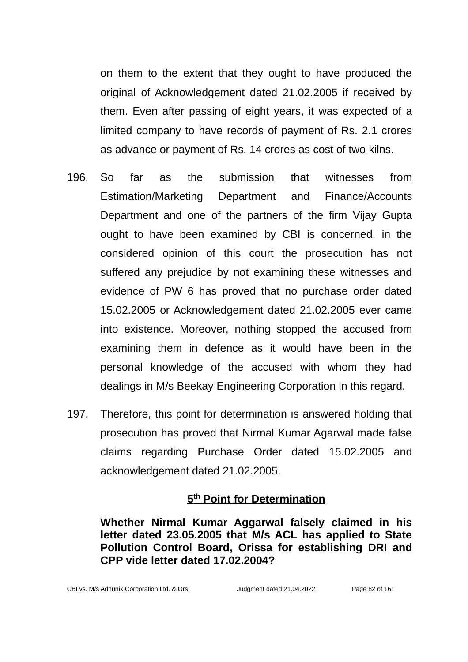on them to the extent that they ought to have produced the original of Acknowledgement dated 21.02.2005 if received by them. Even after passing of eight years, it was expected of a limited company to have records of payment of Rs. 2.1 crores as advance or payment of Rs. 14 crores as cost of two kilns.

- 196. So far as the submission that witnesses from Estimation/Marketing Department and Finance/Accounts Department and one of the partners of the firm Vijay Gupta ought to have been examined by CBI is concerned, in the considered opinion of this court the prosecution has not suffered any prejudice by not examining these witnesses and evidence of PW 6 has proved that no purchase order dated 15.02.2005 or Acknowledgement dated 21.02.2005 ever came into existence. Moreover, nothing stopped the accused from examining them in defence as it would have been in the personal knowledge of the accused with whom they had dealings in M/s Beekay Engineering Corporation in this regard.
- 197. Therefore, this point for determination is answered holding that prosecution has proved that Nirmal Kumar Agarwal made false claims regarding Purchase Order dated 15.02.2005 and acknowledgement dated 21.02.2005.

## **5 th Point for Determination**

**Whether Nirmal Kumar Aggarwal falsely claimed in his letter dated 23.05.2005 that M/s ACL has applied to State Pollution Control Board, Orissa for establishing DRI and CPP vide letter dated 17.02.2004?**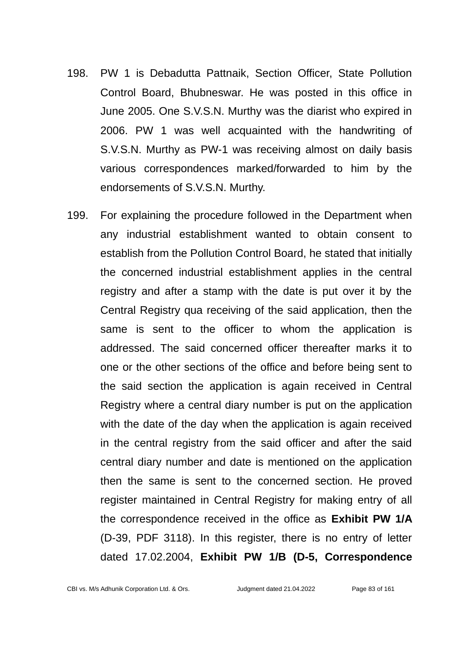- 198. PW 1 is Debadutta Pattnaik, Section Officer, State Pollution Control Board, Bhubneswar. He was posted in this office in June 2005. One S.V.S.N. Murthy was the diarist who expired in 2006. PW 1 was well acquainted with the handwriting of S.V.S.N. Murthy as PW-1 was receiving almost on daily basis various correspondences marked/forwarded to him by the endorsements of S.V.S.N. Murthy.
- 199. For explaining the procedure followed in the Department when any industrial establishment wanted to obtain consent to establish from the Pollution Control Board, he stated that initially the concerned industrial establishment applies in the central registry and after a stamp with the date is put over it by the Central Registry qua receiving of the said application, then the same is sent to the officer to whom the application is addressed. The said concerned officer thereafter marks it to one or the other sections of the office and before being sent to the said section the application is again received in Central Registry where a central diary number is put on the application with the date of the day when the application is again received in the central registry from the said officer and after the said central diary number and date is mentioned on the application then the same is sent to the concerned section. He proved register maintained in Central Registry for making entry of all the correspondence received in the office as **Exhibit PW 1/A** (D-39, PDF 3118). In this register, there is no entry of letter dated 17.02.2004, **Exhibit PW 1/B (D-5, Correspondence**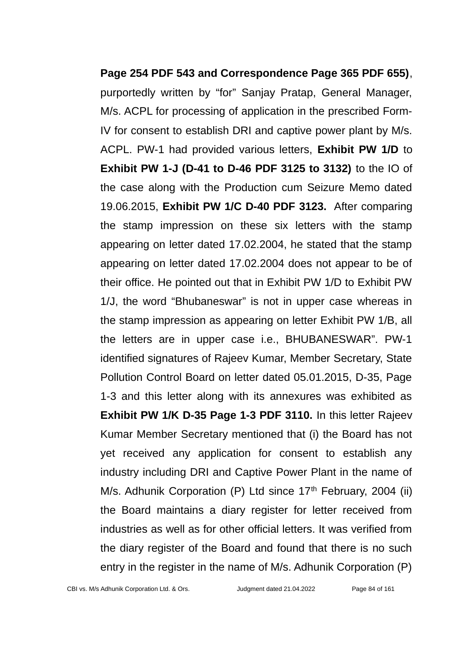**Page 254 PDF 543 and Correspondence Page 365 PDF 655)**, purportedly written by "for" Sanjay Pratap, General Manager, M/s. ACPL for processing of application in the prescribed Form-IV for consent to establish DRI and captive power plant by M/s. ACPL. PW-1 had provided various letters, **Exhibit PW 1/D** to **Exhibit PW 1-J (D-41 to D-46 PDF 3125 to 3132)** to the IO of the case along with the Production cum Seizure Memo dated 19.06.2015, **Exhibit PW 1/C D-40 PDF 3123.** After comparing the stamp impression on these six letters with the stamp appearing on letter dated 17.02.2004, he stated that the stamp appearing on letter dated 17.02.2004 does not appear to be of their office. He pointed out that in Exhibit PW 1/D to Exhibit PW 1/J, the word "Bhubaneswar" is not in upper case whereas in the stamp impression as appearing on letter Exhibit PW 1/B, all the letters are in upper case i.e., BHUBANESWAR". PW-1 identified signatures of Rajeev Kumar, Member Secretary, State Pollution Control Board on letter dated 05.01.2015, D-35, Page 1-3 and this letter along with its annexures was exhibited as **Exhibit PW 1/K D-35 Page 1-3 PDF 3110.** In this letter Rajeev Kumar Member Secretary mentioned that (i) the Board has not yet received any application for consent to establish any industry including DRI and Captive Power Plant in the name of M/s. Adhunik Corporation (P) Ltd since  $17<sup>th</sup>$  February, 2004 (ii) the Board maintains a diary register for letter received from industries as well as for other official letters. It was verified from the diary register of the Board and found that there is no such entry in the register in the name of M/s. Adhunik Corporation (P)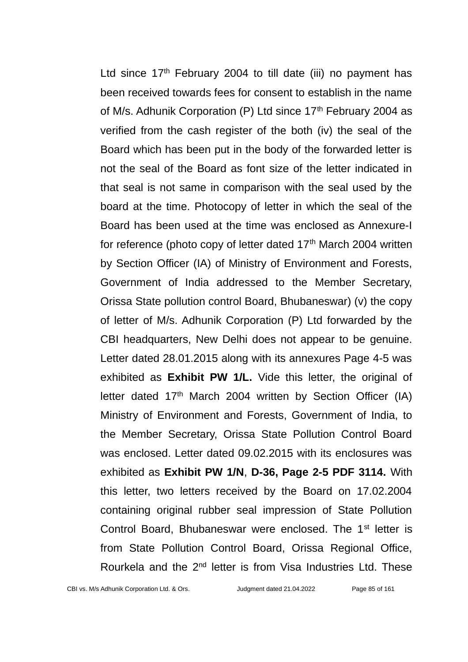Ltd since  $17<sup>th</sup>$  February 2004 to till date (iii) no payment has been received towards fees for consent to establish in the name of M/s. Adhunik Corporation (P) Ltd since 17<sup>th</sup> February 2004 as verified from the cash register of the both (iv) the seal of the Board which has been put in the body of the forwarded letter is not the seal of the Board as font size of the letter indicated in that seal is not same in comparison with the seal used by the board at the time. Photocopy of letter in which the seal of the Board has been used at the time was enclosed as Annexure-I for reference (photo copy of letter dated  $17<sup>th</sup>$  March 2004 written by Section Officer (IA) of Ministry of Environment and Forests, Government of India addressed to the Member Secretary, Orissa State pollution control Board, Bhubaneswar) (v) the copy of letter of M/s. Adhunik Corporation (P) Ltd forwarded by the CBI headquarters, New Delhi does not appear to be genuine. Letter dated 28.01.2015 along with its annexures Page 4-5 was exhibited as **Exhibit PW 1/L.** Vide this letter, the original of letter dated 17<sup>th</sup> March 2004 written by Section Officer (IA) Ministry of Environment and Forests, Government of India, to the Member Secretary, Orissa State Pollution Control Board was enclosed. Letter dated 09.02.2015 with its enclosures was exhibited as **Exhibit PW 1/N**, **D-36, Page 2-5 PDF 3114.** With this letter, two letters received by the Board on 17.02.2004 containing original rubber seal impression of State Pollution Control Board, Bhubaneswar were enclosed. The 1<sup>st</sup> letter is from State Pollution Control Board, Orissa Regional Office, Rourkela and the 2nd letter is from Visa Industries Ltd. These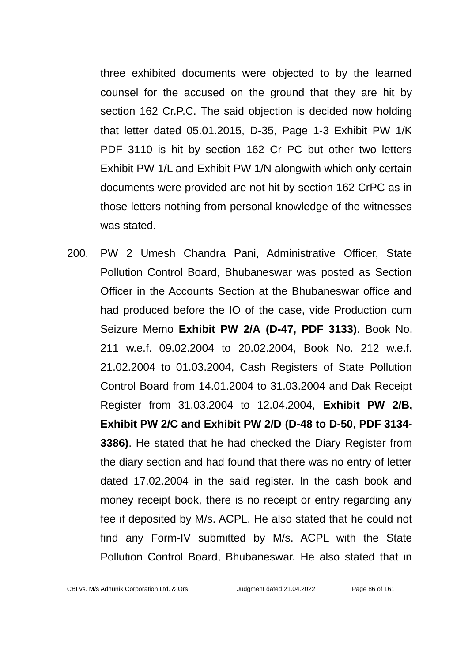three exhibited documents were objected to by the learned counsel for the accused on the ground that they are hit by section 162 Cr.P.C. The said objection is decided now holding that letter dated 05.01.2015, D-35, Page 1-3 Exhibit PW 1/K PDF 3110 is hit by section 162 Cr PC but other two letters Exhibit PW 1/L and Exhibit PW 1/N alongwith which only certain documents were provided are not hit by section 162 CrPC as in those letters nothing from personal knowledge of the witnesses was stated.

200. PW 2 Umesh Chandra Pani, Administrative Officer, State Pollution Control Board, Bhubaneswar was posted as Section Officer in the Accounts Section at the Bhubaneswar office and had produced before the IO of the case, vide Production cum Seizure Memo **Exhibit PW 2/A (D-47, PDF 3133)**. Book No. 211 w.e.f. 09.02.2004 to 20.02.2004, Book No. 212 w.e.f. 21.02.2004 to 01.03.2004, Cash Registers of State Pollution Control Board from 14.01.2004 to 31.03.2004 and Dak Receipt Register from 31.03.2004 to 12.04.2004, **Exhibit PW 2/B, Exhibit PW 2/C and Exhibit PW 2/D (D-48 to D-50, PDF 3134- 3386)**. He stated that he had checked the Diary Register from the diary section and had found that there was no entry of letter dated 17.02.2004 in the said register. In the cash book and money receipt book, there is no receipt or entry regarding any fee if deposited by M/s. ACPL. He also stated that he could not find any Form-IV submitted by M/s. ACPL with the State Pollution Control Board, Bhubaneswar. He also stated that in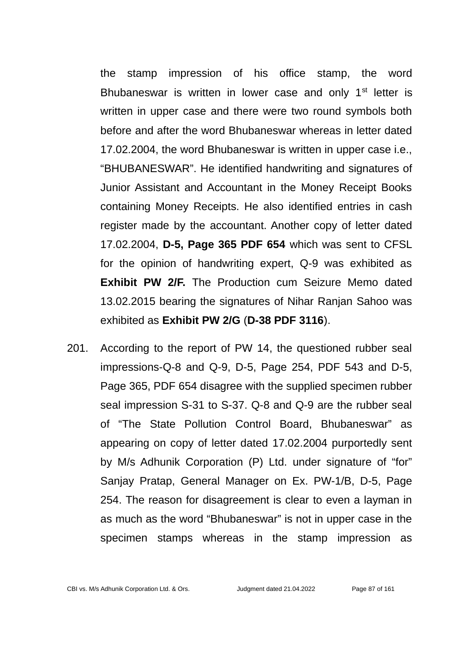the stamp impression of his office stamp, the word Bhubaneswar is written in lower case and only  $1<sup>st</sup>$  letter is written in upper case and there were two round symbols both before and after the word Bhubaneswar whereas in letter dated 17.02.2004, the word Bhubaneswar is written in upper case i.e., "BHUBANESWAR". He identified handwriting and signatures of Junior Assistant and Accountant in the Money Receipt Books containing Money Receipts. He also identified entries in cash register made by the accountant. Another copy of letter dated 17.02.2004, **D-5, Page 365 PDF 654** which was sent to CFSL for the opinion of handwriting expert, Q-9 was exhibited as **Exhibit PW 2/F.** The Production cum Seizure Memo dated 13.02.2015 bearing the signatures of Nihar Ranjan Sahoo was exhibited as **Exhibit PW 2/G** (**D-38 PDF 3116**).

201. According to the report of PW 14, the questioned rubber seal impressions-Q-8 and Q-9, D-5, Page 254, PDF 543 and D-5, Page 365, PDF 654 disagree with the supplied specimen rubber seal impression S-31 to S-37. Q-8 and Q-9 are the rubber seal of "The State Pollution Control Board, Bhubaneswar" as appearing on copy of letter dated 17.02.2004 purportedly sent by M/s Adhunik Corporation (P) Ltd. under signature of "for" Sanjay Pratap, General Manager on Ex. PW-1/B, D-5, Page 254. The reason for disagreement is clear to even a layman in as much as the word "Bhubaneswar" is not in upper case in the specimen stamps whereas in the stamp impression as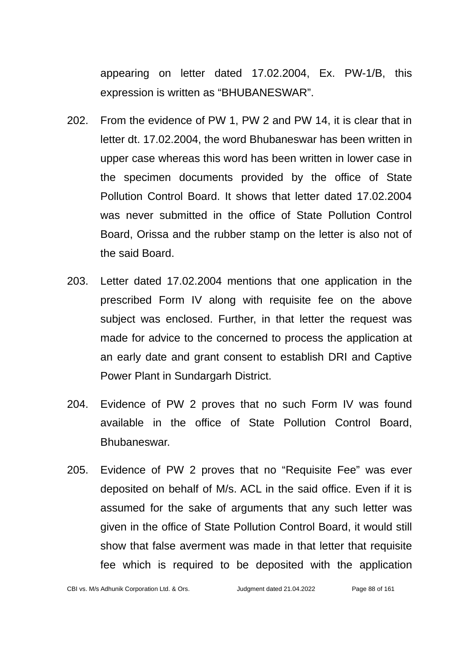appearing on letter dated 17.02.2004, Ex. PW-1/B, this expression is written as "BHUBANESWAR".

- 202. From the evidence of PW 1, PW 2 and PW 14, it is clear that in letter dt. 17.02.2004, the word Bhubaneswar has been written in upper case whereas this word has been written in lower case in the specimen documents provided by the office of State Pollution Control Board. It shows that letter dated 17.02.2004 was never submitted in the office of State Pollution Control Board, Orissa and the rubber stamp on the letter is also not of the said Board.
- 203. Letter dated 17.02.2004 mentions that one application in the prescribed Form IV along with requisite fee on the above subject was enclosed. Further, in that letter the request was made for advice to the concerned to process the application at an early date and grant consent to establish DRI and Captive Power Plant in Sundargarh District.
- 204. Evidence of PW 2 proves that no such Form IV was found available in the office of State Pollution Control Board, Bhubaneswar.
- 205. Evidence of PW 2 proves that no "Requisite Fee" was ever deposited on behalf of M/s. ACL in the said office. Even if it is assumed for the sake of arguments that any such letter was given in the office of State Pollution Control Board, it would still show that false averment was made in that letter that requisite fee which is required to be deposited with the application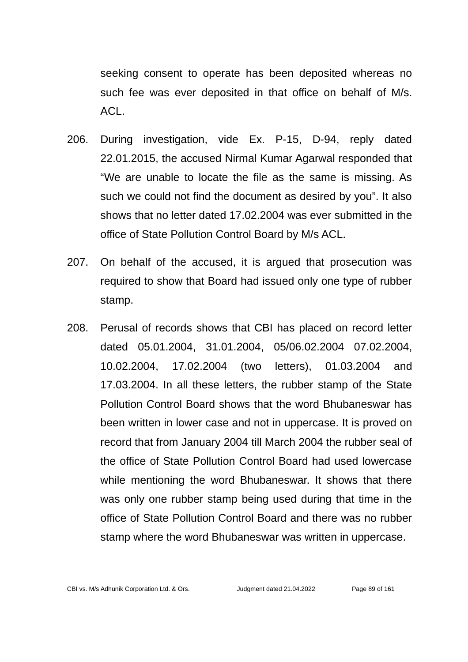seeking consent to operate has been deposited whereas no such fee was ever deposited in that office on behalf of M/s. ACL.

- 206. During investigation, vide Ex. P-15, D-94, reply dated 22.01.2015, the accused Nirmal Kumar Agarwal responded that "We are unable to locate the file as the same is missing. As such we could not find the document as desired by you". It also shows that no letter dated 17.02.2004 was ever submitted in the office of State Pollution Control Board by M/s ACL.
- 207. On behalf of the accused, it is argued that prosecution was required to show that Board had issued only one type of rubber stamp.
- 208. Perusal of records shows that CBI has placed on record letter dated 05.01.2004, 31.01.2004, 05/06.02.2004 07.02.2004, 10.02.2004, 17.02.2004 (two letters), 01.03.2004 and 17.03.2004. In all these letters, the rubber stamp of the State Pollution Control Board shows that the word Bhubaneswar has been written in lower case and not in uppercase. It is proved on record that from January 2004 till March 2004 the rubber seal of the office of State Pollution Control Board had used lowercase while mentioning the word Bhubaneswar. It shows that there was only one rubber stamp being used during that time in the office of State Pollution Control Board and there was no rubber stamp where the word Bhubaneswar was written in uppercase.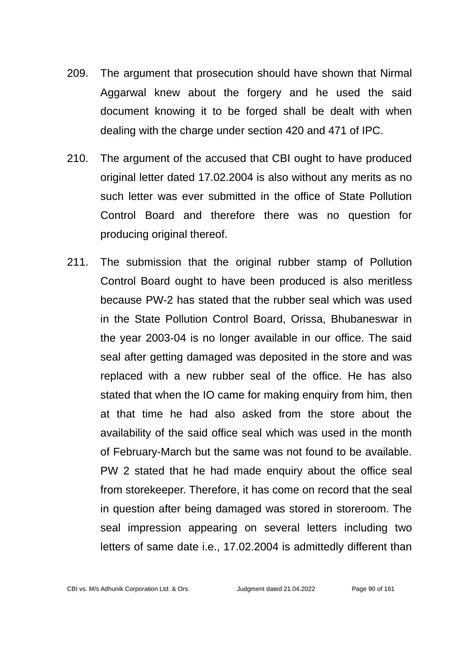- 209. The argument that prosecution should have shown that Nirmal Aggarwal knew about the forgery and he used the said document knowing it to be forged shall be dealt with when dealing with the charge under section 420 and 471 of IPC.
- 210. The argument of the accused that CBI ought to have produced original letter dated 17.02.2004 is also without any merits as no such letter was ever submitted in the office of State Pollution Control Board and therefore there was no question for producing original thereof.
- 211. The submission that the original rubber stamp of Pollution Control Board ought to have been produced is also meritless because PW-2 has stated that the rubber seal which was used in the State Pollution Control Board, Orissa, Bhubaneswar in the year 2003-04 is no longer available in our office. The said seal after getting damaged was deposited in the store and was replaced with a new rubber seal of the office. He has also stated that when the IO came for making enquiry from him, then at that time he had also asked from the store about the availability of the said office seal which was used in the month of February-March but the same was not found to be available. PW 2 stated that he had made enquiry about the office seal from storekeeper. Therefore, it has come on record that the seal in question after being damaged was stored in storeroom. The seal impression appearing on several letters including two letters of same date i.e., 17.02.2004 is admittedly different than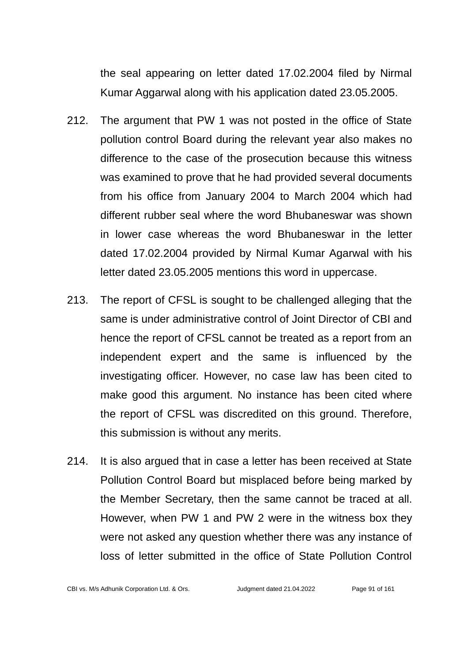the seal appearing on letter dated 17.02.2004 filed by Nirmal Kumar Aggarwal along with his application dated 23.05.2005.

- 212. The argument that PW 1 was not posted in the office of State pollution control Board during the relevant year also makes no difference to the case of the prosecution because this witness was examined to prove that he had provided several documents from his office from January 2004 to March 2004 which had different rubber seal where the word Bhubaneswar was shown in lower case whereas the word Bhubaneswar in the letter dated 17.02.2004 provided by Nirmal Kumar Agarwal with his letter dated 23.05.2005 mentions this word in uppercase.
- 213. The report of CFSL is sought to be challenged alleging that the same is under administrative control of Joint Director of CBI and hence the report of CFSL cannot be treated as a report from an independent expert and the same is influenced by the investigating officer. However, no case law has been cited to make good this argument. No instance has been cited where the report of CFSL was discredited on this ground. Therefore, this submission is without any merits.
- 214. It is also argued that in case a letter has been received at State Pollution Control Board but misplaced before being marked by the Member Secretary, then the same cannot be traced at all. However, when PW 1 and PW 2 were in the witness box they were not asked any question whether there was any instance of loss of letter submitted in the office of State Pollution Control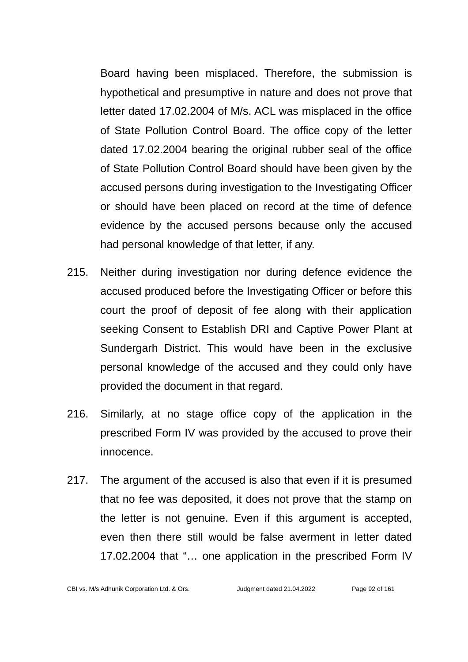Board having been misplaced. Therefore, the submission is hypothetical and presumptive in nature and does not prove that letter dated 17.02.2004 of M/s. ACL was misplaced in the office of State Pollution Control Board. The office copy of the letter dated 17.02.2004 bearing the original rubber seal of the office of State Pollution Control Board should have been given by the accused persons during investigation to the Investigating Officer or should have been placed on record at the time of defence evidence by the accused persons because only the accused had personal knowledge of that letter, if any.

- 215. Neither during investigation nor during defence evidence the accused produced before the Investigating Officer or before this court the proof of deposit of fee along with their application seeking Consent to Establish DRI and Captive Power Plant at Sundergarh District. This would have been in the exclusive personal knowledge of the accused and they could only have provided the document in that regard.
- 216. Similarly, at no stage office copy of the application in the prescribed Form IV was provided by the accused to prove their innocence.
- 217. The argument of the accused is also that even if it is presumed that no fee was deposited, it does not prove that the stamp on the letter is not genuine. Even if this argument is accepted, even then there still would be false averment in letter dated 17.02.2004 that "… one application in the prescribed Form IV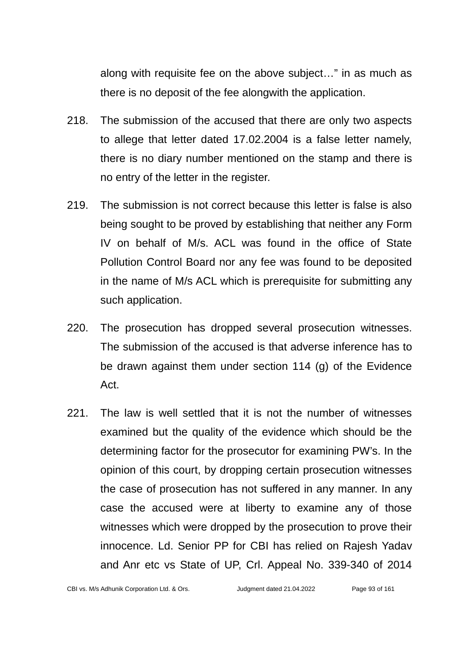along with requisite fee on the above subject…" in as much as there is no deposit of the fee alongwith the application.

- 218. The submission of the accused that there are only two aspects to allege that letter dated 17.02.2004 is a false letter namely, there is no diary number mentioned on the stamp and there is no entry of the letter in the register.
- 219. The submission is not correct because this letter is false is also being sought to be proved by establishing that neither any Form IV on behalf of M/s. ACL was found in the office of State Pollution Control Board nor any fee was found to be deposited in the name of M/s ACL which is prerequisite for submitting any such application.
- 220. The prosecution has dropped several prosecution witnesses. The submission of the accused is that adverse inference has to be drawn against them under section 114 (g) of the Evidence Act.
- 221. The law is well settled that it is not the number of witnesses examined but the quality of the evidence which should be the determining factor for the prosecutor for examining PW's. In the opinion of this court, by dropping certain prosecution witnesses the case of prosecution has not suffered in any manner. In any case the accused were at liberty to examine any of those witnesses which were dropped by the prosecution to prove their innocence. Ld. Senior PP for CBI has relied on Rajesh Yadav and Anr etc vs State of UP, Crl. Appeal No. 339-340 of 2014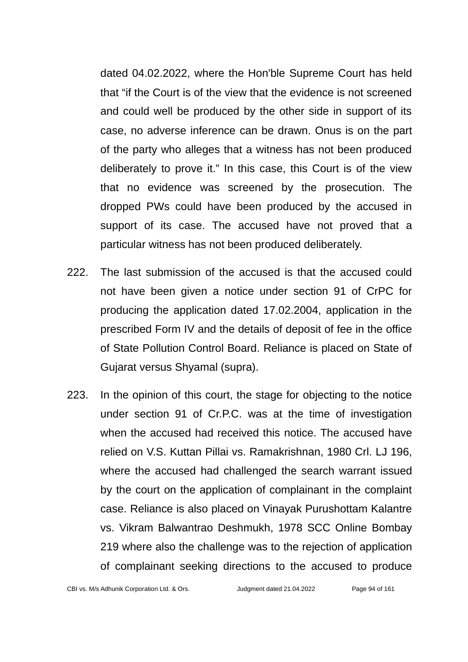dated 04.02.2022, where the Hon'ble Supreme Court has held that "if the Court is of the view that the evidence is not screened and could well be produced by the other side in support of its case, no adverse inference can be drawn. Onus is on the part of the party who alleges that a witness has not been produced deliberately to prove it." In this case, this Court is of the view that no evidence was screened by the prosecution. The dropped PWs could have been produced by the accused in support of its case. The accused have not proved that a particular witness has not been produced deliberately.

- 222. The last submission of the accused is that the accused could not have been given a notice under section 91 of CrPC for producing the application dated 17.02.2004, application in the prescribed Form IV and the details of deposit of fee in the office of State Pollution Control Board. Reliance is placed on State of Gujarat versus Shyamal (supra).
- 223. In the opinion of this court, the stage for objecting to the notice under section 91 of Cr.P.C. was at the time of investigation when the accused had received this notice. The accused have relied on V.S. Kuttan Pillai vs. Ramakrishnan, 1980 Crl. LJ 196, where the accused had challenged the search warrant issued by the court on the application of complainant in the complaint case. Reliance is also placed on Vinayak Purushottam Kalantre vs. Vikram Balwantrao Deshmukh, 1978 SCC Online Bombay 219 where also the challenge was to the rejection of application of complainant seeking directions to the accused to produce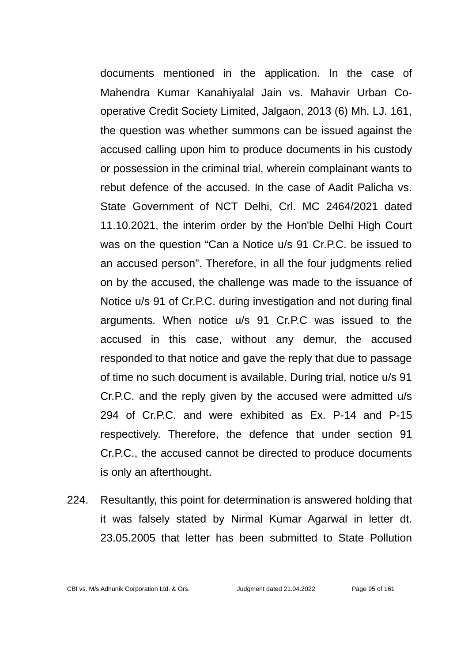documents mentioned in the application. In the case of Mahendra Kumar Kanahiyalal Jain vs. Mahavir Urban Cooperative Credit Society Limited, Jalgaon, 2013 (6) Mh. LJ. 161, the question was whether summons can be issued against the accused calling upon him to produce documents in his custody or possession in the criminal trial, wherein complainant wants to rebut defence of the accused. In the case of Aadit Palicha vs. State Government of NCT Delhi, Crl. MC 2464/2021 dated 11.10.2021, the interim order by the Hon'ble Delhi High Court was on the question "Can a Notice u/s 91 Cr.P.C. be issued to an accused person". Therefore, in all the four judgments relied on by the accused, the challenge was made to the issuance of Notice u/s 91 of Cr.P.C. during investigation and not during final arguments. When notice u/s 91 Cr.P.C was issued to the accused in this case, without any demur, the accused responded to that notice and gave the reply that due to passage of time no such document is available. During trial, notice u/s 91 Cr.P.C. and the reply given by the accused were admitted u/s 294 of Cr.P.C. and were exhibited as Ex. P-14 and P-15 respectively. Therefore, the defence that under section 91 Cr.P.C., the accused cannot be directed to produce documents is only an afterthought.

224. Resultantly, this point for determination is answered holding that it was falsely stated by Nirmal Kumar Agarwal in letter dt. 23.05.2005 that letter has been submitted to State Pollution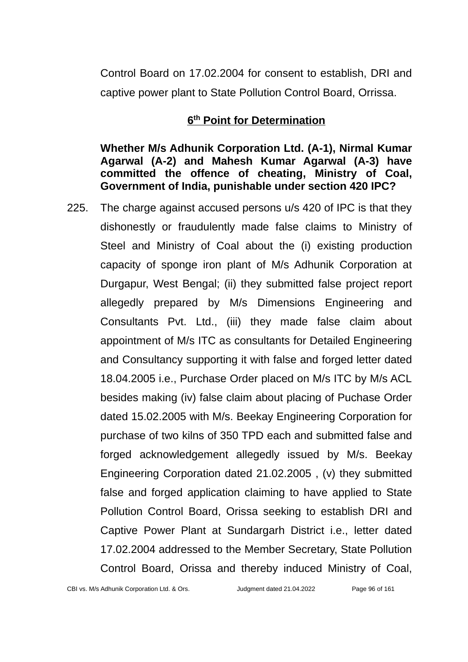Control Board on 17.02.2004 for consent to establish, DRI and captive power plant to State Pollution Control Board, Orrissa.

## **6 th Point for Determination**

**Whether M/s Adhunik Corporation Ltd. (A-1), Nirmal Kumar Agarwal (A-2) and Mahesh Kumar Agarwal (A-3) have committed the offence of cheating, Ministry of Coal, Government of India, punishable under section 420 IPC?**

225. The charge against accused persons u/s 420 of IPC is that they dishonestly or fraudulently made false claims to Ministry of Steel and Ministry of Coal about the (i) existing production capacity of sponge iron plant of M/s Adhunik Corporation at Durgapur, West Bengal; (ii) they submitted false project report allegedly prepared by M/s Dimensions Engineering and Consultants Pvt. Ltd., (iii) they made false claim about appointment of M/s ITC as consultants for Detailed Engineering and Consultancy supporting it with false and forged letter dated 18.04.2005 i.e., Purchase Order placed on M/s ITC by M/s ACL besides making (iv) false claim about placing of Puchase Order dated 15.02.2005 with M/s. Beekay Engineering Corporation for purchase of two kilns of 350 TPD each and submitted false and forged acknowledgement allegedly issued by M/s. Beekay Engineering Corporation dated 21.02.2005 , (v) they submitted false and forged application claiming to have applied to State Pollution Control Board, Orissa seeking to establish DRI and Captive Power Plant at Sundargarh District i.e., letter dated 17.02.2004 addressed to the Member Secretary, State Pollution Control Board, Orissa and thereby induced Ministry of Coal,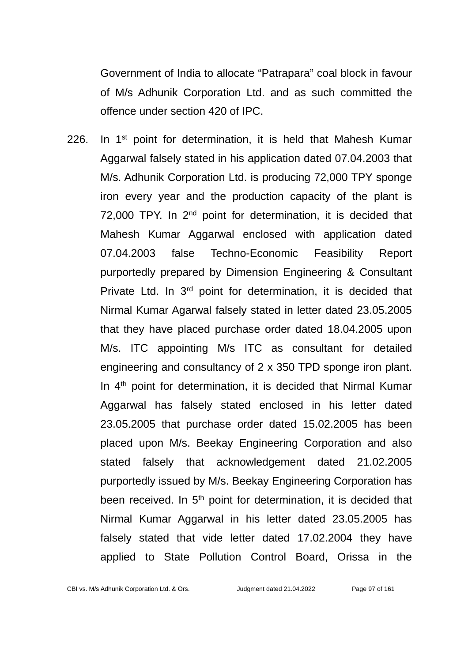Government of India to allocate "Patrapara" coal block in favour of M/s Adhunik Corporation Ltd. and as such committed the offence under section 420 of IPC.

226. In  $1<sup>st</sup>$  point for determination, it is held that Mahesh Kumar Aggarwal falsely stated in his application dated 07.04.2003 that M/s. Adhunik Corporation Ltd. is producing 72,000 TPY sponge iron every year and the production capacity of the plant is 72,000 TPY. In 2<sup>nd</sup> point for determination, it is decided that Mahesh Kumar Aggarwal enclosed with application dated 07.04.2003 false Techno-Economic Feasibility Report purportedly prepared by Dimension Engineering & Consultant Private Ltd. In 3<sup>rd</sup> point for determination, it is decided that Nirmal Kumar Agarwal falsely stated in letter dated 23.05.2005 that they have placed purchase order dated 18.04.2005 upon M/s. ITC appointing M/s ITC as consultant for detailed engineering and consultancy of 2 x 350 TPD sponge iron plant. In  $4<sup>th</sup>$  point for determination, it is decided that Nirmal Kumar Aggarwal has falsely stated enclosed in his letter dated 23.05.2005 that purchase order dated 15.02.2005 has been placed upon M/s. Beekay Engineering Corporation and also stated falsely that acknowledgement dated 21.02.2005 purportedly issued by M/s. Beekay Engineering Corporation has been received. In  $5<sup>th</sup>$  point for determination, it is decided that Nirmal Kumar Aggarwal in his letter dated 23.05.2005 has falsely stated that vide letter dated 17.02.2004 they have applied to State Pollution Control Board, Orissa in the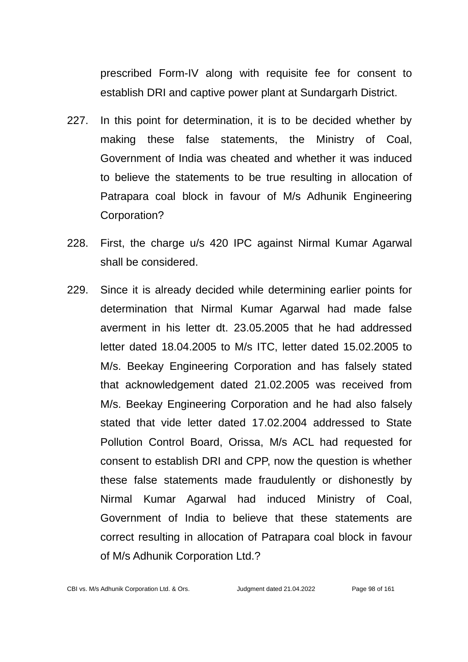prescribed Form-IV along with requisite fee for consent to establish DRI and captive power plant at Sundargarh District.

- 227. In this point for determination, it is to be decided whether by making these false statements, the Ministry of Coal, Government of India was cheated and whether it was induced to believe the statements to be true resulting in allocation of Patrapara coal block in favour of M/s Adhunik Engineering Corporation?
- 228. First, the charge u/s 420 IPC against Nirmal Kumar Agarwal shall be considered.
- 229. Since it is already decided while determining earlier points for determination that Nirmal Kumar Agarwal had made false averment in his letter dt. 23.05.2005 that he had addressed letter dated 18.04.2005 to M/s ITC, letter dated 15.02.2005 to M/s. Beekay Engineering Corporation and has falsely stated that acknowledgement dated 21.02.2005 was received from M/s. Beekay Engineering Corporation and he had also falsely stated that vide letter dated 17.02.2004 addressed to State Pollution Control Board, Orissa, M/s ACL had requested for consent to establish DRI and CPP, now the question is whether these false statements made fraudulently or dishonestly by Nirmal Kumar Agarwal had induced Ministry of Coal, Government of India to believe that these statements are correct resulting in allocation of Patrapara coal block in favour of M/s Adhunik Corporation Ltd.?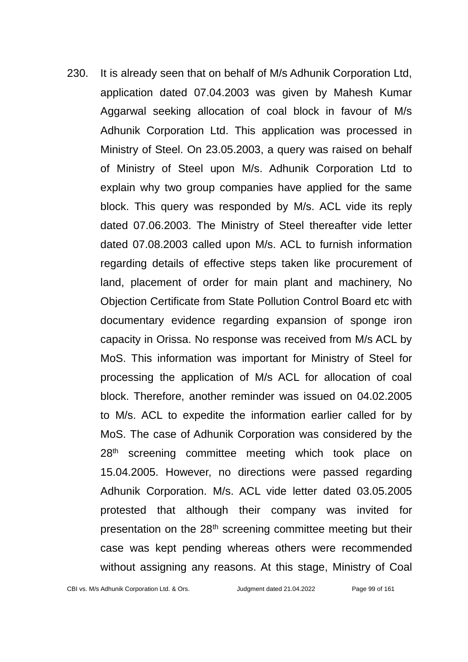230. It is already seen that on behalf of M/s Adhunik Corporation Ltd, application dated 07.04.2003 was given by Mahesh Kumar Aggarwal seeking allocation of coal block in favour of M/s Adhunik Corporation Ltd. This application was processed in Ministry of Steel. On 23.05.2003, a query was raised on behalf of Ministry of Steel upon M/s. Adhunik Corporation Ltd to explain why two group companies have applied for the same block. This query was responded by M/s. ACL vide its reply dated 07.06.2003. The Ministry of Steel thereafter vide letter dated 07.08.2003 called upon M/s. ACL to furnish information regarding details of effective steps taken like procurement of land, placement of order for main plant and machinery, No Objection Certificate from State Pollution Control Board etc with documentary evidence regarding expansion of sponge iron capacity in Orissa. No response was received from M/s ACL by MoS. This information was important for Ministry of Steel for processing the application of M/s ACL for allocation of coal block. Therefore, another reminder was issued on 04.02.2005 to M/s. ACL to expedite the information earlier called for by MoS. The case of Adhunik Corporation was considered by the 28<sup>th</sup> screening committee meeting which took place on 15.04.2005. However, no directions were passed regarding Adhunik Corporation. M/s. ACL vide letter dated 03.05.2005 protested that although their company was invited for presentation on the 28<sup>th</sup> screening committee meeting but their case was kept pending whereas others were recommended without assigning any reasons. At this stage, Ministry of Coal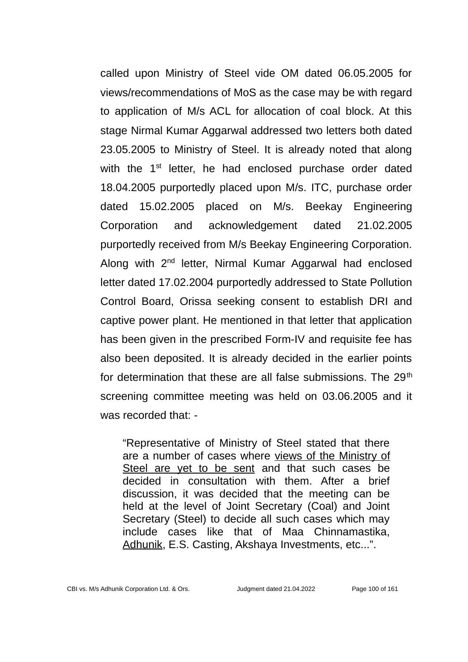called upon Ministry of Steel vide OM dated 06.05.2005 for views/recommendations of MoS as the case may be with regard to application of M/s ACL for allocation of coal block. At this stage Nirmal Kumar Aggarwal addressed two letters both dated 23.05.2005 to Ministry of Steel. It is already noted that along with the 1<sup>st</sup> letter, he had enclosed purchase order dated 18.04.2005 purportedly placed upon M/s. ITC, purchase order dated 15.02.2005 placed on M/s. Beekay Engineering Corporation and acknowledgement dated 21.02.2005 purportedly received from M/s Beekay Engineering Corporation. Along with 2<sup>nd</sup> letter, Nirmal Kumar Aggarwal had enclosed letter dated 17.02.2004 purportedly addressed to State Pollution Control Board, Orissa seeking consent to establish DRI and captive power plant. He mentioned in that letter that application has been given in the prescribed Form-IV and requisite fee has also been deposited. It is already decided in the earlier points for determination that these are all false submissions. The  $29<sup>th</sup>$ screening committee meeting was held on 03.06.2005 and it was recorded that: -

"Representative of Ministry of Steel stated that there are a number of cases where views of the Ministry of Steel are yet to be sent and that such cases be decided in consultation with them. After a brief discussion, it was decided that the meeting can be held at the level of Joint Secretary (Coal) and Joint Secretary (Steel) to decide all such cases which may include cases like that of Maa Chinnamastika, Adhunik, E.S. Casting, Akshaya Investments, etc...".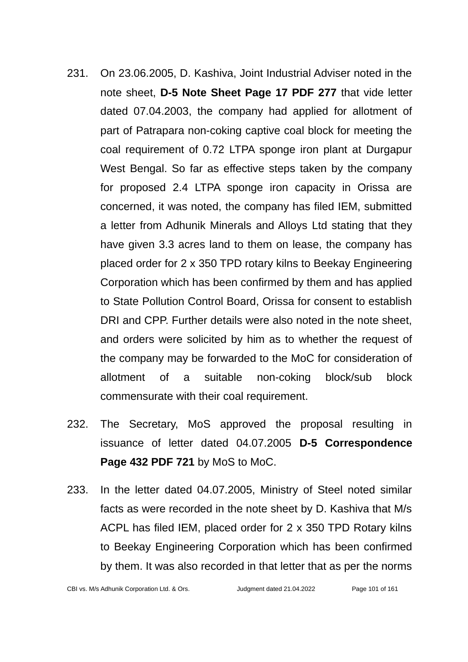- 231. On 23.06.2005, D. Kashiva, Joint Industrial Adviser noted in the note sheet, **D-5 Note Sheet Page 17 PDF 277** that vide letter dated 07.04.2003, the company had applied for allotment of part of Patrapara non-coking captive coal block for meeting the coal requirement of 0.72 LTPA sponge iron plant at Durgapur West Bengal. So far as effective steps taken by the company for proposed 2.4 LTPA sponge iron capacity in Orissa are concerned, it was noted, the company has filed IEM, submitted a letter from Adhunik Minerals and Alloys Ltd stating that they have given 3.3 acres land to them on lease, the company has placed order for 2 x 350 TPD rotary kilns to Beekay Engineering Corporation which has been confirmed by them and has applied to State Pollution Control Board, Orissa for consent to establish DRI and CPP. Further details were also noted in the note sheet, and orders were solicited by him as to whether the request of the company may be forwarded to the MoC for consideration of allotment of a suitable non-coking block/sub block commensurate with their coal requirement.
- 232. The Secretary, MoS approved the proposal resulting in issuance of letter dated 04.07.2005 **D-5 Correspondence Page 432 PDF 721** by MoS to MoC.
- 233. In the letter dated 04.07.2005, Ministry of Steel noted similar facts as were recorded in the note sheet by D. Kashiva that M/s ACPL has filed IEM, placed order for 2 x 350 TPD Rotary kilns to Beekay Engineering Corporation which has been confirmed by them. It was also recorded in that letter that as per the norms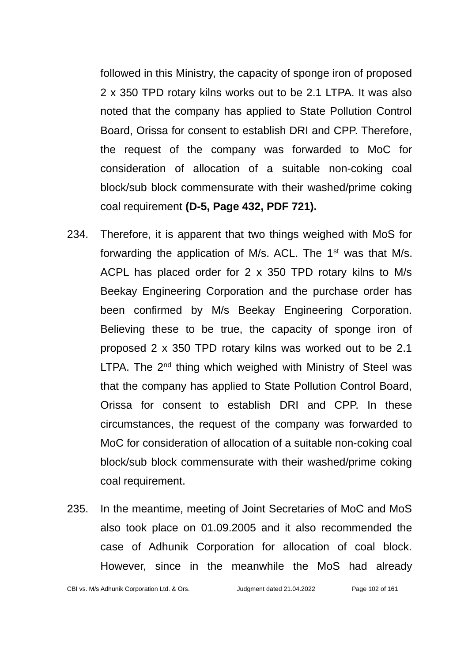followed in this Ministry, the capacity of sponge iron of proposed 2 x 350 TPD rotary kilns works out to be 2.1 LTPA. It was also noted that the company has applied to State Pollution Control Board, Orissa for consent to establish DRI and CPP. Therefore, the request of the company was forwarded to MoC for consideration of allocation of a suitable non-coking coal block/sub block commensurate with their washed/prime coking coal requirement **(D-5, Page 432, PDF 721).**

- 234. Therefore, it is apparent that two things weighed with MoS for forwarding the application of M/s. ACL. The 1<sup>st</sup> was that M/s. ACPL has placed order for 2 x 350 TPD rotary kilns to M/s Beekay Engineering Corporation and the purchase order has been confirmed by M/s Beekay Engineering Corporation. Believing these to be true, the capacity of sponge iron of proposed 2 x 350 TPD rotary kilns was worked out to be 2.1 LTPA. The  $2<sup>nd</sup>$  thing which weighed with Ministry of Steel was that the company has applied to State Pollution Control Board, Orissa for consent to establish DRI and CPP. In these circumstances, the request of the company was forwarded to MoC for consideration of allocation of a suitable non-coking coal block/sub block commensurate with their washed/prime coking coal requirement.
- 235. In the meantime, meeting of Joint Secretaries of MoC and MoS also took place on 01.09.2005 and it also recommended the case of Adhunik Corporation for allocation of coal block. However, since in the meanwhile the MoS had already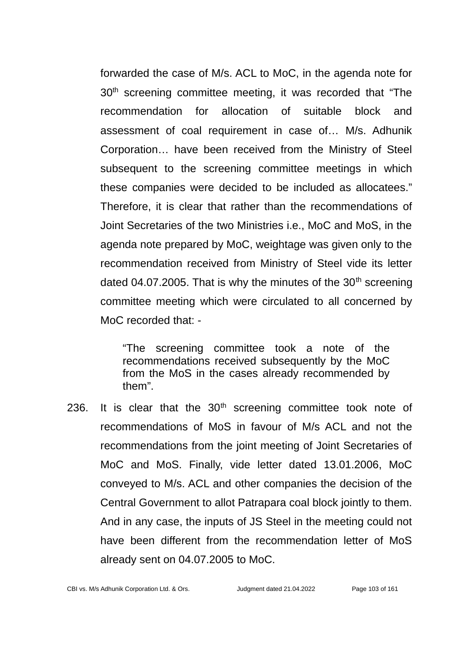forwarded the case of M/s. ACL to MoC, in the agenda note for 30<sup>th</sup> screening committee meeting, it was recorded that "The recommendation for allocation of suitable block and assessment of coal requirement in case of… M/s. Adhunik Corporation… have been received from the Ministry of Steel subsequent to the screening committee meetings in which these companies were decided to be included as allocatees." Therefore, it is clear that rather than the recommendations of Joint Secretaries of the two Ministries i.e., MoC and MoS, in the agenda note prepared by MoC, weightage was given only to the recommendation received from Ministry of Steel vide its letter dated 04.07.2005. That is why the minutes of the  $30<sup>th</sup>$  screening committee meeting which were circulated to all concerned by MoC recorded that: -

"The screening committee took a note of the recommendations received subsequently by the MoC from the MoS in the cases already recommended by them".

236. It is clear that the  $30<sup>th</sup>$  screening committee took note of recommendations of MoS in favour of M/s ACL and not the recommendations from the joint meeting of Joint Secretaries of MoC and MoS. Finally, vide letter dated 13.01.2006, MoC conveyed to M/s. ACL and other companies the decision of the Central Government to allot Patrapara coal block jointly to them. And in any case, the inputs of JS Steel in the meeting could not have been different from the recommendation letter of MoS already sent on 04.07.2005 to MoC.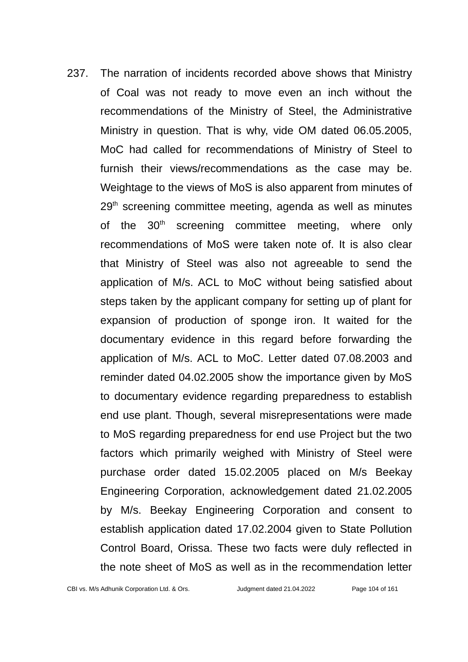237. The narration of incidents recorded above shows that Ministry of Coal was not ready to move even an inch without the recommendations of the Ministry of Steel, the Administrative Ministry in question. That is why, vide OM dated 06.05.2005, MoC had called for recommendations of Ministry of Steel to furnish their views/recommendations as the case may be. Weightage to the views of MoS is also apparent from minutes of  $29<sup>th</sup>$  screening committee meeting, agenda as well as minutes of the 30<sup>th</sup> screening committee meeting, where only recommendations of MoS were taken note of. It is also clear that Ministry of Steel was also not agreeable to send the application of M/s. ACL to MoC without being satisfied about steps taken by the applicant company for setting up of plant for expansion of production of sponge iron. It waited for the documentary evidence in this regard before forwarding the application of M/s. ACL to MoC. Letter dated 07.08.2003 and reminder dated 04.02.2005 show the importance given by MoS to documentary evidence regarding preparedness to establish end use plant. Though, several misrepresentations were made to MoS regarding preparedness for end use Project but the two factors which primarily weighed with Ministry of Steel were purchase order dated 15.02.2005 placed on M/s Beekay Engineering Corporation, acknowledgement dated 21.02.2005 by M/s. Beekay Engineering Corporation and consent to establish application dated 17.02.2004 given to State Pollution Control Board, Orissa. These two facts were duly reflected in the note sheet of MoS as well as in the recommendation letter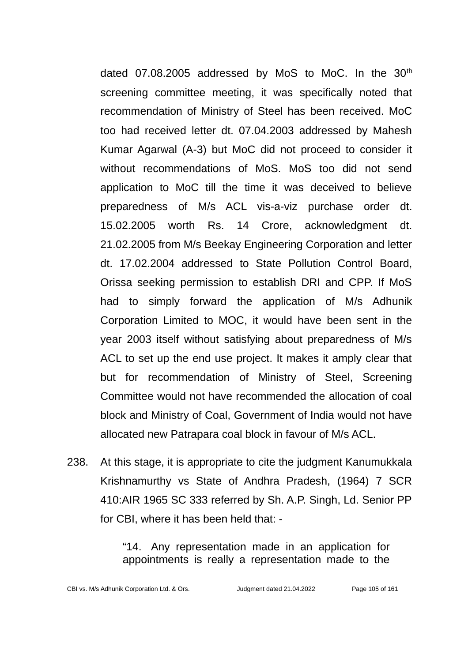dated 07.08.2005 addressed by MoS to MoC. In the 30<sup>th</sup> screening committee meeting, it was specifically noted that recommendation of Ministry of Steel has been received. MoC too had received letter dt. 07.04.2003 addressed by Mahesh Kumar Agarwal (A-3) but MoC did not proceed to consider it without recommendations of MoS. MoS too did not send application to MoC till the time it was deceived to believe preparedness of M/s ACL vis-a-viz purchase order dt. 15.02.2005 worth Rs. 14 Crore, acknowledgment dt. 21.02.2005 from M/s Beekay Engineering Corporation and letter dt. 17.02.2004 addressed to State Pollution Control Board, Orissa seeking permission to establish DRI and CPP. If MoS had to simply forward the application of M/s Adhunik Corporation Limited to MOC, it would have been sent in the year 2003 itself without satisfying about preparedness of M/s ACL to set up the end use project. It makes it amply clear that but for recommendation of Ministry of Steel, Screening Committee would not have recommended the allocation of coal block and Ministry of Coal, Government of India would not have allocated new Patrapara coal block in favour of M/s ACL.

238. At this stage, it is appropriate to cite the judgment Kanumukkala Krishnamurthy vs State of Andhra Pradesh, (1964) 7 SCR 410:AIR 1965 SC 333 referred by Sh. A.P. Singh, Ld. Senior PP for CBI, where it has been held that: -

> "14. Any representation made in an application for appointments is really a representation made to the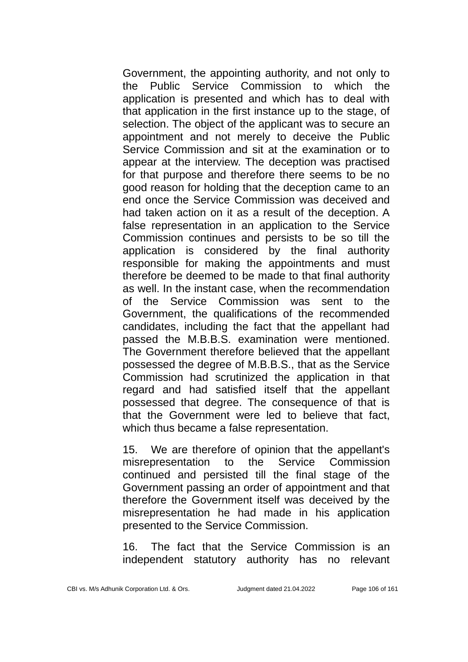Government, the appointing authority, and not only to the Public Service Commission to which the application is presented and which has to deal with that application in the first instance up to the stage, of selection. The object of the applicant was to secure an appointment and not merely to deceive the Public Service Commission and sit at the examination or to appear at the interview. The deception was practised for that purpose and therefore there seems to be no good reason for holding that the deception came to an end once the Service Commission was deceived and had taken action on it as a result of the deception. A false representation in an application to the Service Commission continues and persists to be so till the application is considered by the final authority responsible for making the appointments and must therefore be deemed to be made to that final authority as well. In the instant case, when the recommendation of the Service Commission was sent to the Government, the qualifications of the recommended candidates, including the fact that the appellant had passed the M.B.B.S. examination were mentioned. The Government therefore believed that the appellant possessed the degree of M.B.B.S., that as the Service Commission had scrutinized the application in that regard and had satisfied itself that the appellant possessed that degree. The consequence of that is that the Government were led to believe that fact, which thus became a false representation.

15. We are therefore of opinion that the appellant's misrepresentation to the Service Commission continued and persisted till the final stage of the Government passing an order of appointment and that therefore the Government itself was deceived by the misrepresentation he had made in his application presented to the Service Commission.

16. The fact that the Service Commission is an independent statutory authority has no relevant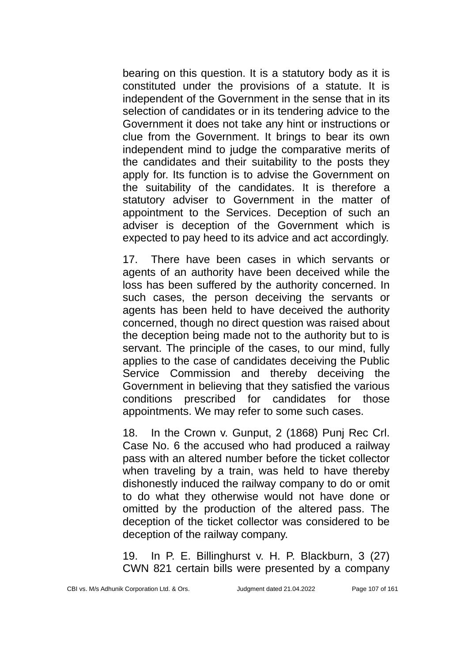bearing on this question. It is a statutory body as it is constituted under the provisions of a statute. It is independent of the Government in the sense that in its selection of candidates or in its tendering advice to the Government it does not take any hint or instructions or clue from the Government. It brings to bear its own independent mind to judge the comparative merits of the candidates and their suitability to the posts they apply for. Its function is to advise the Government on the suitability of the candidates. It is therefore a statutory adviser to Government in the matter of appointment to the Services. Deception of such an adviser is deception of the Government which is expected to pay heed to its advice and act accordingly.

17. There have been cases in which servants or agents of an authority have been deceived while the loss has been suffered by the authority concerned. In such cases, the person deceiving the servants or agents has been held to have deceived the authority concerned, though no direct question was raised about the deception being made not to the authority but to is servant. The principle of the cases, to our mind, fully applies to the case of candidates deceiving the Public Service Commission and thereby deceiving the Government in believing that they satisfied the various conditions prescribed for candidates for those appointments. We may refer to some such cases.

18. In the Crown v. Gunput, 2 (1868) Punj Rec Crl. Case No. 6 the accused who had produced a railway pass with an altered number before the ticket collector when traveling by a train, was held to have thereby dishonestly induced the railway company to do or omit to do what they otherwise would not have done or omitted by the production of the altered pass. The deception of the ticket collector was considered to be deception of the railway company.

19. In P. E. Billinghurst v. H. P. Blackburn, 3 (27) CWN 821 certain bills were presented by a company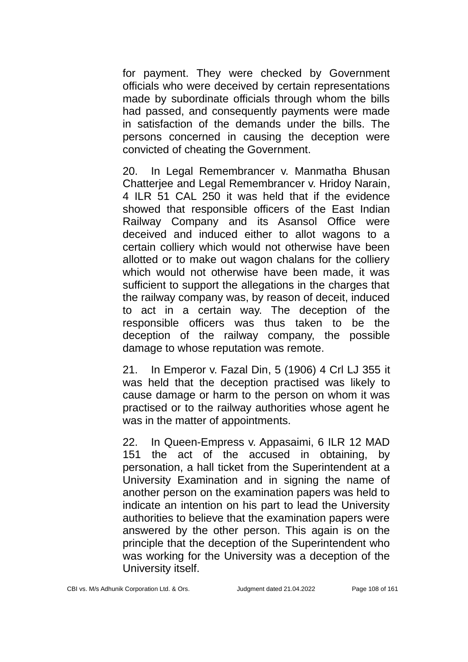for payment. They were checked by Government officials who were deceived by certain representations made by subordinate officials through whom the bills had passed, and consequently payments were made in satisfaction of the demands under the bills. The persons concerned in causing the deception were convicted of cheating the Government.

20. In Legal Remembrancer v. Manmatha Bhusan Chatterjee and Legal Remembrancer v. Hridoy Narain, 4 ILR 51 CAL 250 it was held that if the evidence showed that responsible officers of the East Indian Railway Company and its Asansol Office were deceived and induced either to allot wagons to a certain colliery which would not otherwise have been allotted or to make out wagon chalans for the colliery which would not otherwise have been made, it was sufficient to support the allegations in the charges that the railway company was, by reason of deceit, induced to act in a certain way. The deception of the responsible officers was thus taken to be the deception of the railway company, the possible damage to whose reputation was remote.

21. In Emperor v. Fazal Din, 5 (1906) 4 Crl LJ 355 it was held that the deception practised was likely to cause damage or harm to the person on whom it was practised or to the railway authorities whose agent he was in the matter of appointments.

22. In Queen-Empress v. Appasaimi, 6 ILR 12 MAD 151 the act of the accused in obtaining, by personation, a hall ticket from the Superintendent at a University Examination and in signing the name of another person on the examination papers was held to indicate an intention on his part to lead the University authorities to believe that the examination papers were answered by the other person. This again is on the principle that the deception of the Superintendent who was working for the University was a deception of the University itself.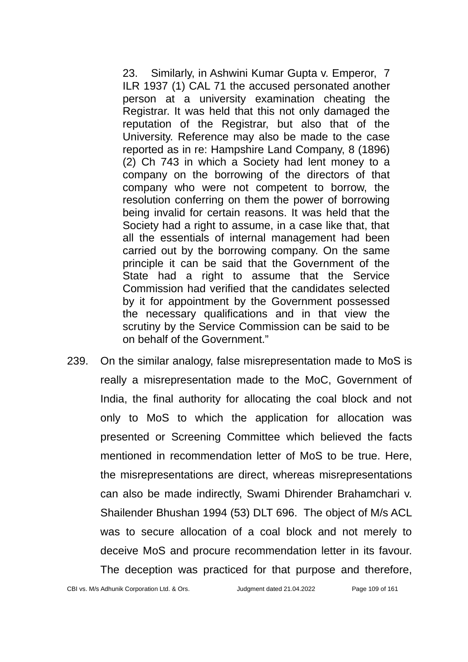23. Similarly, in Ashwini Kumar Gupta v. Emperor, 7 ILR 1937 (1) CAL 71 the accused personated another person at a university examination cheating the Registrar. It was held that this not only damaged the reputation of the Registrar, but also that of the University. Reference may also be made to the case reported as in re: Hampshire Land Company, 8 (1896) (2) Ch 743 in which a Society had lent money to a company on the borrowing of the directors of that company who were not competent to borrow, the resolution conferring on them the power of borrowing being invalid for certain reasons. It was held that the Society had a right to assume, in a case like that, that all the essentials of internal management had been carried out by the borrowing company. On the same principle it can be said that the Government of the State had a right to assume that the Service Commission had verified that the candidates selected by it for appointment by the Government possessed the necessary qualifications and in that view the scrutiny by the Service Commission can be said to be on behalf of the Government."

239. On the similar analogy, false misrepresentation made to MoS is really a misrepresentation made to the MoC, Government of India, the final authority for allocating the coal block and not only to MoS to which the application for allocation was presented or Screening Committee which believed the facts mentioned in recommendation letter of MoS to be true. Here, the misrepresentations are direct, whereas misrepresentations can also be made indirectly, Swami Dhirender Brahamchari v. Shailender Bhushan 1994 (53) DLT 696. The object of M/s ACL was to secure allocation of a coal block and not merely to deceive MoS and procure recommendation letter in its favour. The deception was practiced for that purpose and therefore,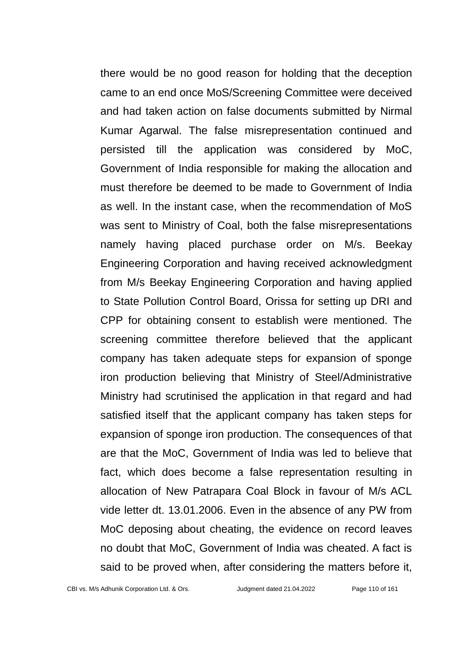there would be no good reason for holding that the deception came to an end once MoS/Screening Committee were deceived and had taken action on false documents submitted by Nirmal Kumar Agarwal. The false misrepresentation continued and persisted till the application was considered by MoC, Government of India responsible for making the allocation and must therefore be deemed to be made to Government of India as well. In the instant case, when the recommendation of MoS was sent to Ministry of Coal, both the false misrepresentations namely having placed purchase order on M/s. Beekay Engineering Corporation and having received acknowledgment from M/s Beekay Engineering Corporation and having applied to State Pollution Control Board, Orissa for setting up DRI and CPP for obtaining consent to establish were mentioned. The screening committee therefore believed that the applicant company has taken adequate steps for expansion of sponge iron production believing that Ministry of Steel/Administrative Ministry had scrutinised the application in that regard and had satisfied itself that the applicant company has taken steps for expansion of sponge iron production. The consequences of that are that the MoC, Government of India was led to believe that fact, which does become a false representation resulting in allocation of New Patrapara Coal Block in favour of M/s ACL vide letter dt. 13.01.2006. Even in the absence of any PW from MoC deposing about cheating, the evidence on record leaves no doubt that MoC, Government of India was cheated. A fact is said to be proved when, after considering the matters before it,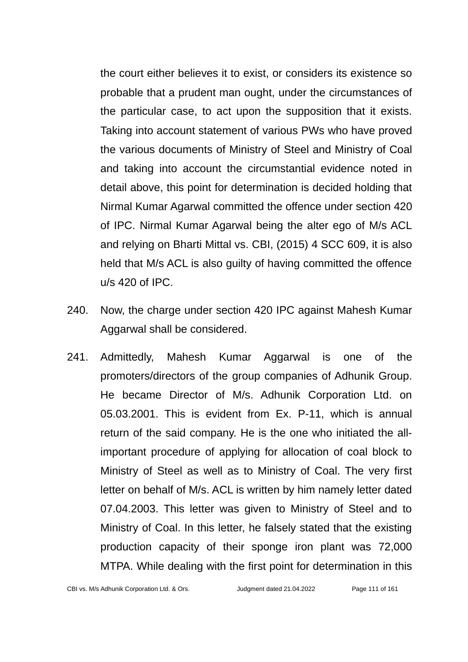the court either believes it to exist, or considers its existence so probable that a prudent man ought, under the circumstances of the particular case, to act upon the supposition that it exists. Taking into account statement of various PWs who have proved the various documents of Ministry of Steel and Ministry of Coal and taking into account the circumstantial evidence noted in detail above, this point for determination is decided holding that Nirmal Kumar Agarwal committed the offence under section 420 of IPC. Nirmal Kumar Agarwal being the alter ego of M/s ACL and relying on Bharti Mittal vs. CBI, (2015) 4 SCC 609, it is also held that M/s ACL is also guilty of having committed the offence u/s 420 of IPC.

- 240. Now, the charge under section 420 IPC against Mahesh Kumar Aggarwal shall be considered.
- 241. Admittedly, Mahesh Kumar Aggarwal is one of the promoters/directors of the group companies of Adhunik Group. He became Director of M/s. Adhunik Corporation Ltd. on 05.03.2001. This is evident from Ex. P-11, which is annual return of the said company. He is the one who initiated the allimportant procedure of applying for allocation of coal block to Ministry of Steel as well as to Ministry of Coal. The very first letter on behalf of M/s. ACL is written by him namely letter dated 07.04.2003. This letter was given to Ministry of Steel and to Ministry of Coal. In this letter, he falsely stated that the existing production capacity of their sponge iron plant was 72,000 MTPA. While dealing with the first point for determination in this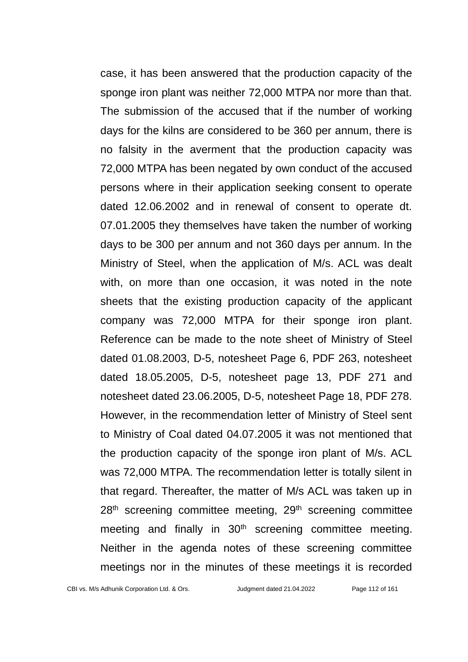case, it has been answered that the production capacity of the sponge iron plant was neither 72,000 MTPA nor more than that. The submission of the accused that if the number of working days for the kilns are considered to be 360 per annum, there is no falsity in the averment that the production capacity was 72,000 MTPA has been negated by own conduct of the accused persons where in their application seeking consent to operate dated 12.06.2002 and in renewal of consent to operate dt. 07.01.2005 they themselves have taken the number of working days to be 300 per annum and not 360 days per annum. In the Ministry of Steel, when the application of M/s. ACL was dealt with, on more than one occasion, it was noted in the note sheets that the existing production capacity of the applicant company was 72,000 MTPA for their sponge iron plant. Reference can be made to the note sheet of Ministry of Steel dated 01.08.2003, D-5, notesheet Page 6, PDF 263, notesheet dated 18.05.2005, D-5, notesheet page 13, PDF 271 and notesheet dated 23.06.2005, D-5, notesheet Page 18, PDF 278. However, in the recommendation letter of Ministry of Steel sent to Ministry of Coal dated 04.07.2005 it was not mentioned that the production capacity of the sponge iron plant of M/s. ACL was 72,000 MTPA. The recommendation letter is totally silent in that regard. Thereafter, the matter of M/s ACL was taken up in  $28<sup>th</sup>$  screening committee meeting,  $29<sup>th</sup>$  screening committee meeting and finally in 30<sup>th</sup> screening committee meeting. Neither in the agenda notes of these screening committee meetings nor in the minutes of these meetings it is recorded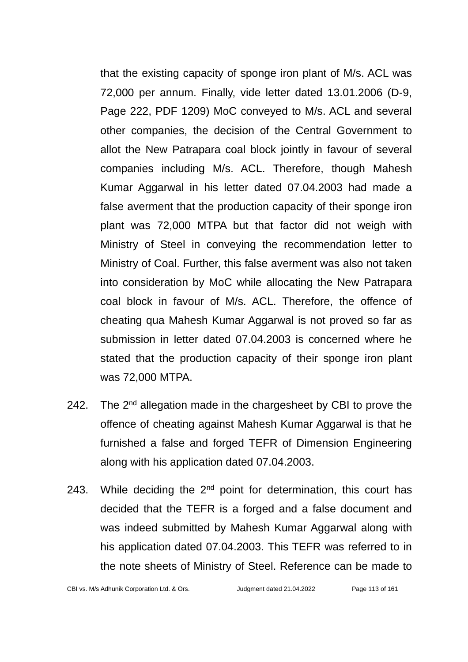that the existing capacity of sponge iron plant of M/s. ACL was 72,000 per annum. Finally, vide letter dated 13.01.2006 (D-9, Page 222, PDF 1209) MoC conveyed to M/s. ACL and several other companies, the decision of the Central Government to allot the New Patrapara coal block jointly in favour of several companies including M/s. ACL. Therefore, though Mahesh Kumar Aggarwal in his letter dated 07.04.2003 had made a false averment that the production capacity of their sponge iron plant was 72,000 MTPA but that factor did not weigh with Ministry of Steel in conveying the recommendation letter to Ministry of Coal. Further, this false averment was also not taken into consideration by MoC while allocating the New Patrapara coal block in favour of M/s. ACL. Therefore, the offence of cheating qua Mahesh Kumar Aggarwal is not proved so far as submission in letter dated 07.04.2003 is concerned where he stated that the production capacity of their sponge iron plant was 72,000 MTPA.

- 242. The  $2<sup>nd</sup>$  allegation made in the chargesheet by CBI to prove the offence of cheating against Mahesh Kumar Aggarwal is that he furnished a false and forged TEFR of Dimension Engineering along with his application dated 07.04.2003.
- 243. While deciding the  $2<sup>nd</sup>$  point for determination, this court has decided that the TEFR is a forged and a false document and was indeed submitted by Mahesh Kumar Aggarwal along with his application dated 07.04.2003. This TEFR was referred to in the note sheets of Ministry of Steel. Reference can be made to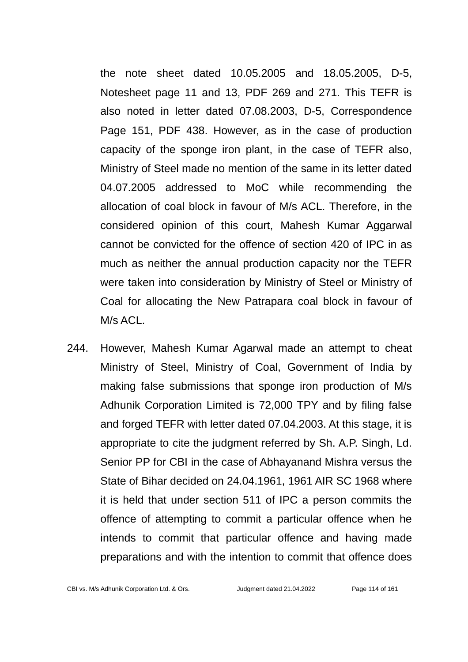the note sheet dated 10.05.2005 and 18.05.2005, D-5, Notesheet page 11 and 13, PDF 269 and 271. This TEFR is also noted in letter dated 07.08.2003, D-5, Correspondence Page 151, PDF 438. However, as in the case of production capacity of the sponge iron plant, in the case of TEFR also, Ministry of Steel made no mention of the same in its letter dated 04.07.2005 addressed to MoC while recommending the allocation of coal block in favour of M/s ACL. Therefore, in the considered opinion of this court, Mahesh Kumar Aggarwal cannot be convicted for the offence of section 420 of IPC in as much as neither the annual production capacity nor the TEFR were taken into consideration by Ministry of Steel or Ministry of Coal for allocating the New Patrapara coal block in favour of M/s ACL.

244. However, Mahesh Kumar Agarwal made an attempt to cheat Ministry of Steel, Ministry of Coal, Government of India by making false submissions that sponge iron production of M/s Adhunik Corporation Limited is 72,000 TPY and by filing false and forged TEFR with letter dated 07.04.2003. At this stage, it is appropriate to cite the judgment referred by Sh. A.P. Singh, Ld. Senior PP for CBI in the case of Abhayanand Mishra versus the State of Bihar decided on 24.04.1961, 1961 AIR SC 1968 where it is held that under section 511 of IPC a person commits the offence of attempting to commit a particular offence when he intends to commit that particular offence and having made preparations and with the intention to commit that offence does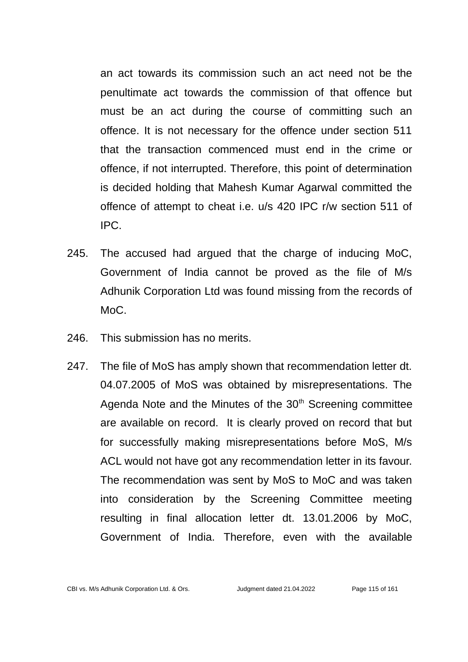an act towards its commission such an act need not be the penultimate act towards the commission of that offence but must be an act during the course of committing such an offence. It is not necessary for the offence under section 511 that the transaction commenced must end in the crime or offence, if not interrupted. Therefore, this point of determination is decided holding that Mahesh Kumar Agarwal committed the offence of attempt to cheat i.e. u/s 420 IPC r/w section 511 of IPC.

- 245. The accused had argued that the charge of inducing MoC, Government of India cannot be proved as the file of M/s Adhunik Corporation Ltd was found missing from the records of MoC.
- 246. This submission has no merits.
- 247. The file of MoS has amply shown that recommendation letter dt. 04.07.2005 of MoS was obtained by misrepresentations. The Agenda Note and the Minutes of the  $30<sup>th</sup>$  Screening committee are available on record. It is clearly proved on record that but for successfully making misrepresentations before MoS, M/s ACL would not have got any recommendation letter in its favour. The recommendation was sent by MoS to MoC and was taken into consideration by the Screening Committee meeting resulting in final allocation letter dt. 13.01.2006 by MoC, Government of India. Therefore, even with the available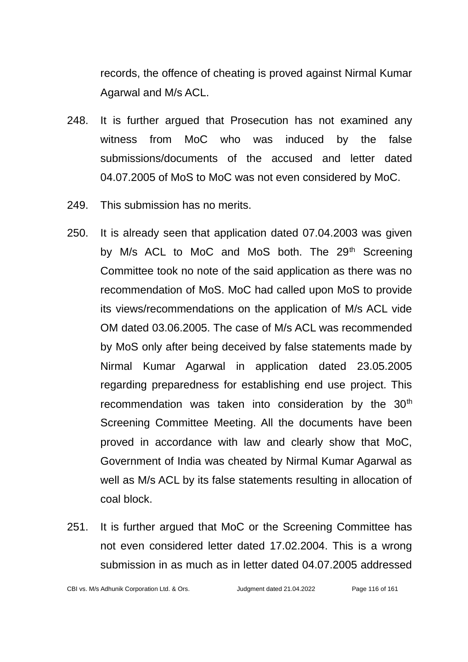records, the offence of cheating is proved against Nirmal Kumar Agarwal and M/s ACL.

- 248. It is further argued that Prosecution has not examined any witness from MoC who was induced by the false submissions/documents of the accused and letter dated 04.07.2005 of MoS to MoC was not even considered by MoC.
- 249. This submission has no merits.
- 250. It is already seen that application dated 07.04.2003 was given by M/s ACL to MoC and MoS both. The 29<sup>th</sup> Screening Committee took no note of the said application as there was no recommendation of MoS. MoC had called upon MoS to provide its views/recommendations on the application of M/s ACL vide OM dated 03.06.2005. The case of M/s ACL was recommended by MoS only after being deceived by false statements made by Nirmal Kumar Agarwal in application dated 23.05.2005 regarding preparedness for establishing end use project. This recommendation was taken into consideration by the 30<sup>th</sup> Screening Committee Meeting. All the documents have been proved in accordance with law and clearly show that MoC, Government of India was cheated by Nirmal Kumar Agarwal as well as M/s ACL by its false statements resulting in allocation of coal block.
- 251. It is further argued that MoC or the Screening Committee has not even considered letter dated 17.02.2004. This is a wrong submission in as much as in letter dated 04.07.2005 addressed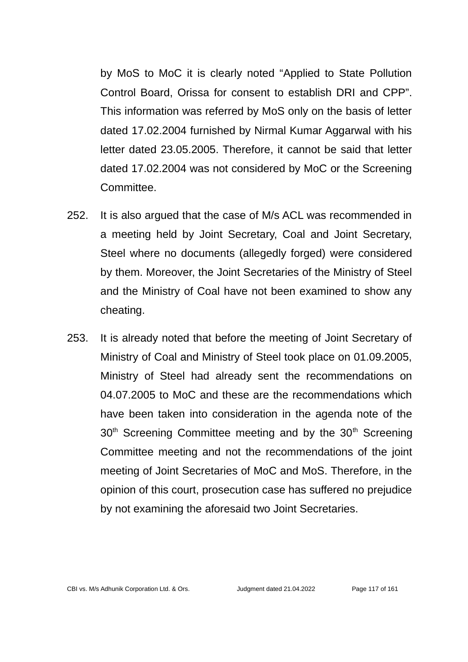by MoS to MoC it is clearly noted "Applied to State Pollution Control Board, Orissa for consent to establish DRI and CPP". This information was referred by MoS only on the basis of letter dated 17.02.2004 furnished by Nirmal Kumar Aggarwal with his letter dated 23.05.2005. Therefore, it cannot be said that letter dated 17.02.2004 was not considered by MoC or the Screening Committee.

- 252. It is also argued that the case of M/s ACL was recommended in a meeting held by Joint Secretary, Coal and Joint Secretary, Steel where no documents (allegedly forged) were considered by them. Moreover, the Joint Secretaries of the Ministry of Steel and the Ministry of Coal have not been examined to show any cheating.
- 253. It is already noted that before the meeting of Joint Secretary of Ministry of Coal and Ministry of Steel took place on 01.09.2005, Ministry of Steel had already sent the recommendations on 04.07.2005 to MoC and these are the recommendations which have been taken into consideration in the agenda note of the  $30<sup>th</sup>$  Screening Committee meeting and by the  $30<sup>th</sup>$  Screening Committee meeting and not the recommendations of the joint meeting of Joint Secretaries of MoC and MoS. Therefore, in the opinion of this court, prosecution case has suffered no prejudice by not examining the aforesaid two Joint Secretaries.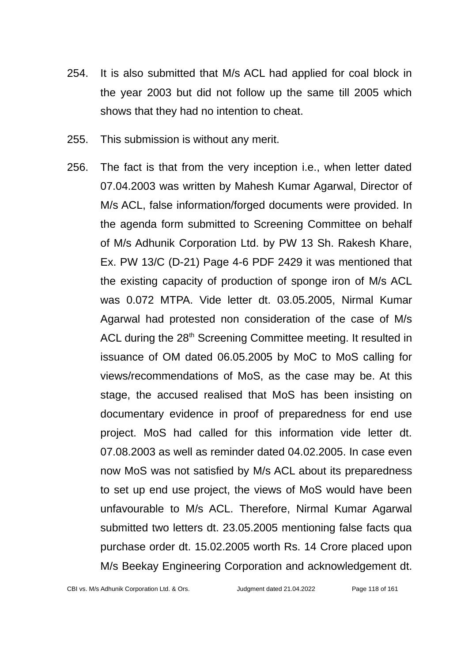- 254. It is also submitted that M/s ACL had applied for coal block in the year 2003 but did not follow up the same till 2005 which shows that they had no intention to cheat.
- 255. This submission is without any merit.
- 256. The fact is that from the very inception i.e., when letter dated 07.04.2003 was written by Mahesh Kumar Agarwal, Director of M/s ACL, false information/forged documents were provided. In the agenda form submitted to Screening Committee on behalf of M/s Adhunik Corporation Ltd. by PW 13 Sh. Rakesh Khare, Ex. PW 13/C (D-21) Page 4-6 PDF 2429 it was mentioned that the existing capacity of production of sponge iron of M/s ACL was 0.072 MTPA. Vide letter dt. 03.05.2005, Nirmal Kumar Agarwal had protested non consideration of the case of M/s ACL during the 28<sup>th</sup> Screening Committee meeting. It resulted in issuance of OM dated 06.05.2005 by MoC to MoS calling for views/recommendations of MoS, as the case may be. At this stage, the accused realised that MoS has been insisting on documentary evidence in proof of preparedness for end use project. MoS had called for this information vide letter dt. 07.08.2003 as well as reminder dated 04.02.2005. In case even now MoS was not satisfied by M/s ACL about its preparedness to set up end use project, the views of MoS would have been unfavourable to M/s ACL. Therefore, Nirmal Kumar Agarwal submitted two letters dt. 23.05.2005 mentioning false facts qua purchase order dt. 15.02.2005 worth Rs. 14 Crore placed upon M/s Beekay Engineering Corporation and acknowledgement dt.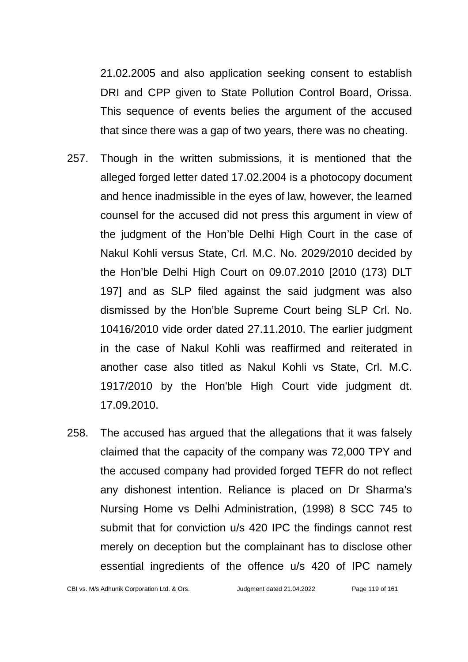21.02.2005 and also application seeking consent to establish DRI and CPP given to State Pollution Control Board, Orissa. This sequence of events belies the argument of the accused that since there was a gap of two years, there was no cheating.

- 257. Though in the written submissions, it is mentioned that the alleged forged letter dated 17.02.2004 is a photocopy document and hence inadmissible in the eyes of law, however, the learned counsel for the accused did not press this argument in view of the judgment of the Hon'ble Delhi High Court in the case of Nakul Kohli versus State, Crl. M.C. No. 2029/2010 decided by the Hon'ble Delhi High Court on 09.07.2010 [2010 (173) DLT 197] and as SLP filed against the said judgment was also dismissed by the Hon'ble Supreme Court being SLP Crl. No. 10416/2010 vide order dated 27.11.2010. The earlier judgment in the case of Nakul Kohli was reaffirmed and reiterated in another case also titled as Nakul Kohli vs State, Crl. M.C. 1917/2010 by the Hon'ble High Court vide judgment dt. 17.09.2010.
- 258. The accused has argued that the allegations that it was falsely claimed that the capacity of the company was 72,000 TPY and the accused company had provided forged TEFR do not reflect any dishonest intention. Reliance is placed on Dr Sharma's Nursing Home vs Delhi Administration, (1998) 8 SCC 745 to submit that for conviction u/s 420 IPC the findings cannot rest merely on deception but the complainant has to disclose other essential ingredients of the offence u/s 420 of IPC namely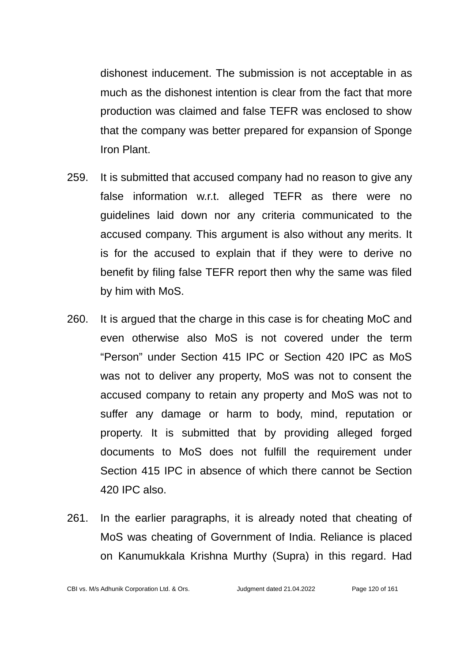dishonest inducement. The submission is not acceptable in as much as the dishonest intention is clear from the fact that more production was claimed and false TEFR was enclosed to show that the company was better prepared for expansion of Sponge Iron Plant.

- 259. It is submitted that accused company had no reason to give any false information w.r.t. alleged TEFR as there were no guidelines laid down nor any criteria communicated to the accused company. This argument is also without any merits. It is for the accused to explain that if they were to derive no benefit by filing false TEFR report then why the same was filed by him with MoS.
- 260. It is argued that the charge in this case is for cheating MoC and even otherwise also MoS is not covered under the term "Person" under Section 415 IPC or Section 420 IPC as MoS was not to deliver any property, MoS was not to consent the accused company to retain any property and MoS was not to suffer any damage or harm to body, mind, reputation or property. It is submitted that by providing alleged forged documents to MoS does not fulfill the requirement under Section 415 IPC in absence of which there cannot be Section 420 IPC also.
- 261. In the earlier paragraphs, it is already noted that cheating of MoS was cheating of Government of India. Reliance is placed on Kanumukkala Krishna Murthy (Supra) in this regard. Had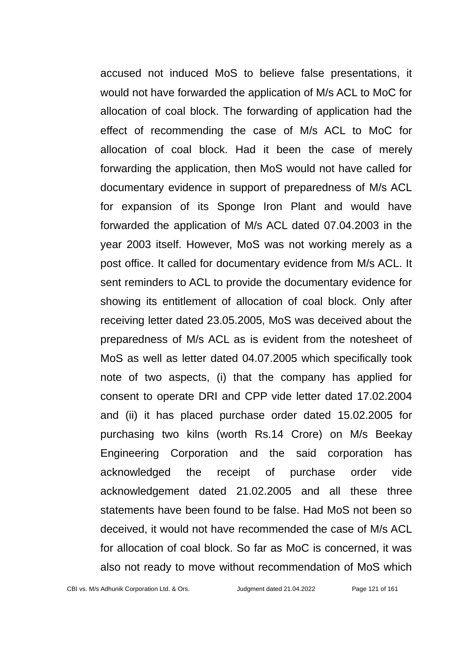accused not induced MoS to believe false presentations, it would not have forwarded the application of M/s ACL to MoC for allocation of coal block. The forwarding of application had the effect of recommending the case of M/s ACL to MoC for allocation of coal block. Had it been the case of merely forwarding the application, then MoS would not have called for documentary evidence in support of preparedness of M/s ACL for expansion of its Sponge Iron Plant and would have forwarded the application of M/s ACL dated 07.04.2003 in the year 2003 itself. However, MoS was not working merely as a post office. It called for documentary evidence from M/s ACL. It sent reminders to ACL to provide the documentary evidence for showing its entitlement of allocation of coal block. Only after receiving letter dated 23.05.2005, MoS was deceived about the preparedness of M/s ACL as is evident from the notesheet of MoS as well as letter dated 04.07.2005 which specifically took note of two aspects, (i) that the company has applied for consent to operate DRI and CPP vide letter dated 17.02.2004 and (ii) it has placed purchase order dated 15.02.2005 for purchasing two kilns (worth Rs.14 Crore) on M/s Beekay Engineering Corporation and the said corporation has acknowledged the receipt of purchase order vide acknowledgement dated 21.02.2005 and all these three statements have been found to be false. Had MoS not been so deceived, it would not have recommended the case of M/s ACL for allocation of coal block. So far as MoC is concerned, it was also not ready to move without recommendation of MoS which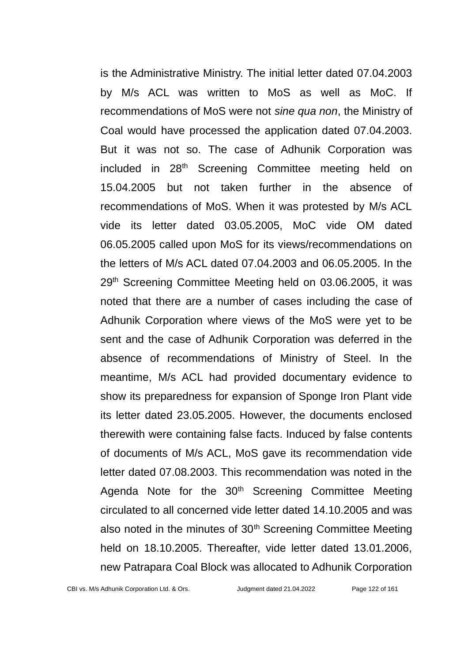is the Administrative Ministry. The initial letter dated 07.04.2003 by M/s ACL was written to MoS as well as MoC. If recommendations of MoS were not *sine qua non*, the Ministry of Coal would have processed the application dated 07.04.2003. But it was not so. The case of Adhunik Corporation was included in 28<sup>th</sup> Screening Committee meeting held on 15.04.2005 but not taken further in the absence of recommendations of MoS. When it was protested by M/s ACL vide its letter dated 03.05.2005, MoC vide OM dated 06.05.2005 called upon MoS for its views/recommendations on the letters of M/s ACL dated 07.04.2003 and 06.05.2005. In the 29<sup>th</sup> Screening Committee Meeting held on 03.06.2005, it was noted that there are a number of cases including the case of Adhunik Corporation where views of the MoS were yet to be sent and the case of Adhunik Corporation was deferred in the absence of recommendations of Ministry of Steel. In the meantime, M/s ACL had provided documentary evidence to show its preparedness for expansion of Sponge Iron Plant vide its letter dated 23.05.2005. However, the documents enclosed therewith were containing false facts. Induced by false contents of documents of M/s ACL, MoS gave its recommendation vide letter dated 07.08.2003. This recommendation was noted in the Agenda Note for the 30<sup>th</sup> Screening Committee Meeting circulated to all concerned vide letter dated 14.10.2005 and was also noted in the minutes of 30<sup>th</sup> Screening Committee Meeting held on 18.10.2005. Thereafter, vide letter dated 13.01.2006, new Patrapara Coal Block was allocated to Adhunik Corporation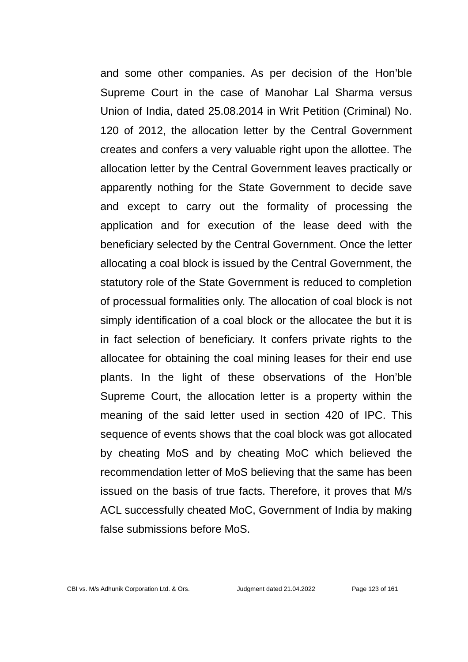and some other companies. As per decision of the Hon'ble Supreme Court in the case of Manohar Lal Sharma versus Union of India, dated 25.08.2014 in Writ Petition (Criminal) No. 120 of 2012, the allocation letter by the Central Government creates and confers a very valuable right upon the allottee. The allocation letter by the Central Government leaves practically or apparently nothing for the State Government to decide save and except to carry out the formality of processing the application and for execution of the lease deed with the beneficiary selected by the Central Government. Once the letter allocating a coal block is issued by the Central Government, the statutory role of the State Government is reduced to completion of processual formalities only. The allocation of coal block is not simply identification of a coal block or the allocatee the but it is in fact selection of beneficiary. It confers private rights to the allocatee for obtaining the coal mining leases for their end use plants. In the light of these observations of the Hon'ble Supreme Court, the allocation letter is a property within the meaning of the said letter used in section 420 of IPC. This sequence of events shows that the coal block was got allocated by cheating MoS and by cheating MoC which believed the recommendation letter of MoS believing that the same has been issued on the basis of true facts. Therefore, it proves that M/s ACL successfully cheated MoC, Government of India by making false submissions before MoS.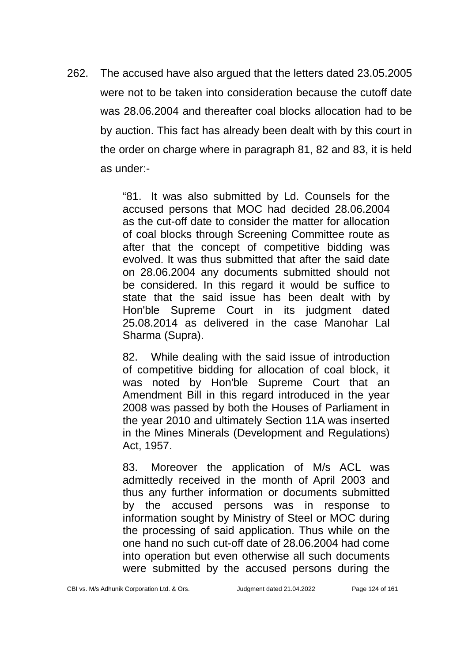262. The accused have also argued that the letters dated 23.05.2005 were not to be taken into consideration because the cutoff date was 28.06.2004 and thereafter coal blocks allocation had to be by auction. This fact has already been dealt with by this court in the order on charge where in paragraph 81, 82 and 83, it is held as under:-

> "81. It was also submitted by Ld. Counsels for the accused persons that MOC had decided 28.06.2004 as the cut-off date to consider the matter for allocation of coal blocks through Screening Committee route as after that the concept of competitive bidding was evolved. It was thus submitted that after the said date on 28.06.2004 any documents submitted should not be considered. In this regard it would be suffice to state that the said issue has been dealt with by Hon'ble Supreme Court in its judgment dated 25.08.2014 as delivered in the case Manohar Lal Sharma (Supra).

> 82. While dealing with the said issue of introduction of competitive bidding for allocation of coal block, it was noted by Hon'ble Supreme Court that an Amendment Bill in this regard introduced in the year 2008 was passed by both the Houses of Parliament in the year 2010 and ultimately Section 11A was inserted in the Mines Minerals (Development and Regulations) Act, 1957.

> 83. Moreover the application of M/s ACL was admittedly received in the month of April 2003 and thus any further information or documents submitted by the accused persons was in response to information sought by Ministry of Steel or MOC during the processing of said application. Thus while on the one hand no such cut-off date of 28.06.2004 had come into operation but even otherwise all such documents were submitted by the accused persons during the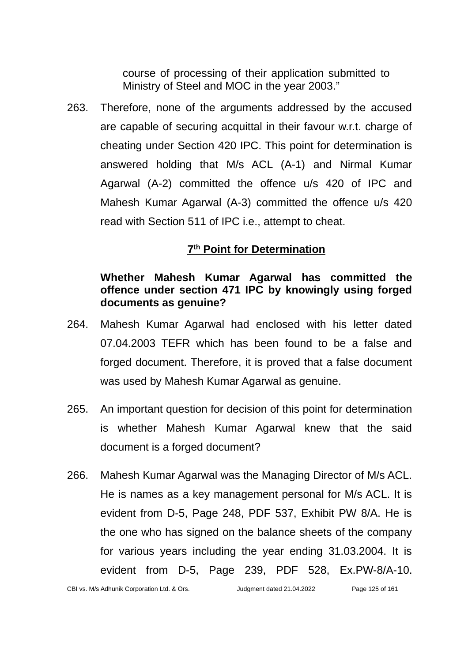course of processing of their application submitted to Ministry of Steel and MOC in the year 2003."

263. Therefore, none of the arguments addressed by the accused are capable of securing acquittal in their favour w.r.t. charge of cheating under Section 420 IPC. This point for determination is answered holding that M/s ACL (A-1) and Nirmal Kumar Agarwal (A-2) committed the offence u/s 420 of IPC and Mahesh Kumar Agarwal (A-3) committed the offence u/s 420 read with Section 511 of IPC i.e., attempt to cheat.

### **7 th Point for Determination**

# **Whether Mahesh Kumar Agarwal has committed the offence under section 471 IPC by knowingly using forged documents as genuine?**

- 264. Mahesh Kumar Agarwal had enclosed with his letter dated 07.04.2003 TEFR which has been found to be a false and forged document. Therefore, it is proved that a false document was used by Mahesh Kumar Agarwal as genuine.
- 265. An important question for decision of this point for determination is whether Mahesh Kumar Agarwal knew that the said document is a forged document?
- 266. Mahesh Kumar Agarwal was the Managing Director of M/s ACL. He is names as a key management personal for M/s ACL. It is evident from D-5, Page 248, PDF 537, Exhibit PW 8/A. He is the one who has signed on the balance sheets of the company for various years including the year ending 31.03.2004. It is evident from D-5, Page 239, PDF 528, Ex.PW-8/A-10.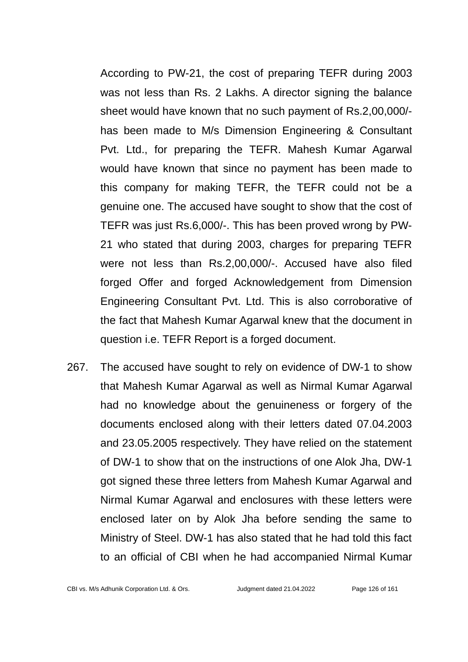According to PW-21, the cost of preparing TEFR during 2003 was not less than Rs. 2 Lakhs. A director signing the balance sheet would have known that no such payment of Rs.2,00,000/ has been made to M/s Dimension Engineering & Consultant Pvt. Ltd., for preparing the TEFR. Mahesh Kumar Agarwal would have known that since no payment has been made to this company for making TEFR, the TEFR could not be a genuine one. The accused have sought to show that the cost of TEFR was just Rs.6,000/-. This has been proved wrong by PW-21 who stated that during 2003, charges for preparing TEFR were not less than Rs.2,00,000/-. Accused have also filed forged Offer and forged Acknowledgement from Dimension Engineering Consultant Pvt. Ltd. This is also corroborative of the fact that Mahesh Kumar Agarwal knew that the document in question i.e. TEFR Report is a forged document.

267. The accused have sought to rely on evidence of DW-1 to show that Mahesh Kumar Agarwal as well as Nirmal Kumar Agarwal had no knowledge about the genuineness or forgery of the documents enclosed along with their letters dated 07.04.2003 and 23.05.2005 respectively. They have relied on the statement of DW-1 to show that on the instructions of one Alok Jha, DW-1 got signed these three letters from Mahesh Kumar Agarwal and Nirmal Kumar Agarwal and enclosures with these letters were enclosed later on by Alok Jha before sending the same to Ministry of Steel. DW-1 has also stated that he had told this fact to an official of CBI when he had accompanied Nirmal Kumar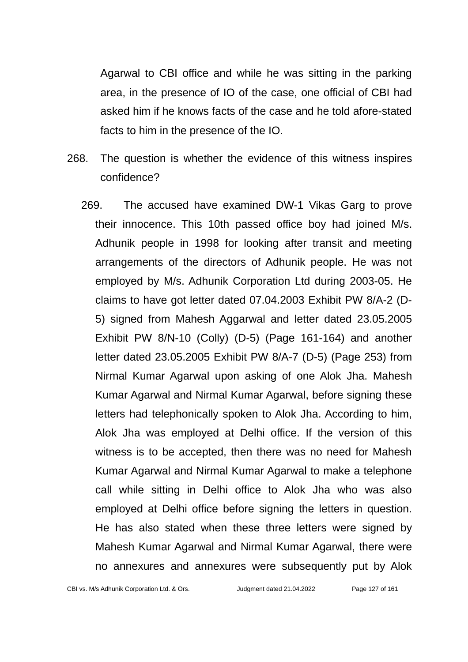Agarwal to CBI office and while he was sitting in the parking area, in the presence of IO of the case, one official of CBI had asked him if he knows facts of the case and he told afore-stated facts to him in the presence of the IO.

- 268. The question is whether the evidence of this witness inspires confidence?
	- 269. The accused have examined DW-1 Vikas Garg to prove their innocence. This 10th passed office boy had joined M/s. Adhunik people in 1998 for looking after transit and meeting arrangements of the directors of Adhunik people. He was not employed by M/s. Adhunik Corporation Ltd during 2003-05. He claims to have got letter dated 07.04.2003 Exhibit PW 8/A-2 (D-5) signed from Mahesh Aggarwal and letter dated 23.05.2005 Exhibit PW 8/N-10 (Colly) (D-5) (Page 161-164) and another letter dated 23.05.2005 Exhibit PW 8/A-7 (D-5) (Page 253) from Nirmal Kumar Agarwal upon asking of one Alok Jha. Mahesh Kumar Agarwal and Nirmal Kumar Agarwal, before signing these letters had telephonically spoken to Alok Jha. According to him, Alok Jha was employed at Delhi office. If the version of this witness is to be accepted, then there was no need for Mahesh Kumar Agarwal and Nirmal Kumar Agarwal to make a telephone call while sitting in Delhi office to Alok Jha who was also employed at Delhi office before signing the letters in question. He has also stated when these three letters were signed by Mahesh Kumar Agarwal and Nirmal Kumar Agarwal, there were no annexures and annexures were subsequently put by Alok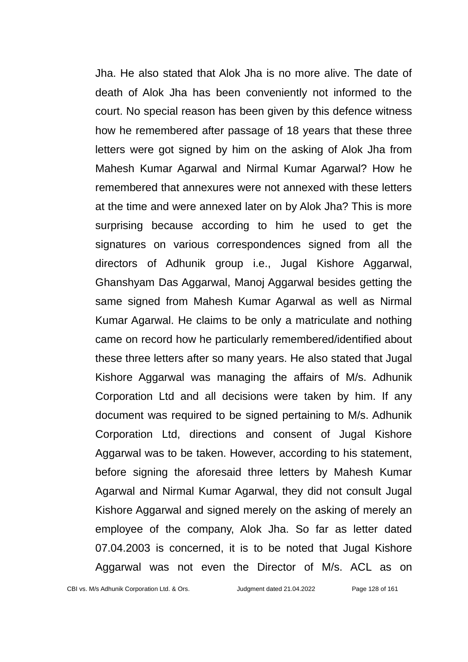Jha. He also stated that Alok Jha is no more alive. The date of death of Alok Jha has been conveniently not informed to the court. No special reason has been given by this defence witness how he remembered after passage of 18 years that these three letters were got signed by him on the asking of Alok Jha from Mahesh Kumar Agarwal and Nirmal Kumar Agarwal? How he remembered that annexures were not annexed with these letters at the time and were annexed later on by Alok Jha? This is more surprising because according to him he used to get the signatures on various correspondences signed from all the directors of Adhunik group i.e., Jugal Kishore Aggarwal, Ghanshyam Das Aggarwal, Manoj Aggarwal besides getting the same signed from Mahesh Kumar Agarwal as well as Nirmal Kumar Agarwal. He claims to be only a matriculate and nothing came on record how he particularly remembered/identified about these three letters after so many years. He also stated that Jugal Kishore Aggarwal was managing the affairs of M/s. Adhunik Corporation Ltd and all decisions were taken by him. If any document was required to be signed pertaining to M/s. Adhunik Corporation Ltd, directions and consent of Jugal Kishore Aggarwal was to be taken. However, according to his statement, before signing the aforesaid three letters by Mahesh Kumar Agarwal and Nirmal Kumar Agarwal, they did not consult Jugal Kishore Aggarwal and signed merely on the asking of merely an employee of the company, Alok Jha. So far as letter dated 07.04.2003 is concerned, it is to be noted that Jugal Kishore Aggarwal was not even the Director of M/s. ACL as on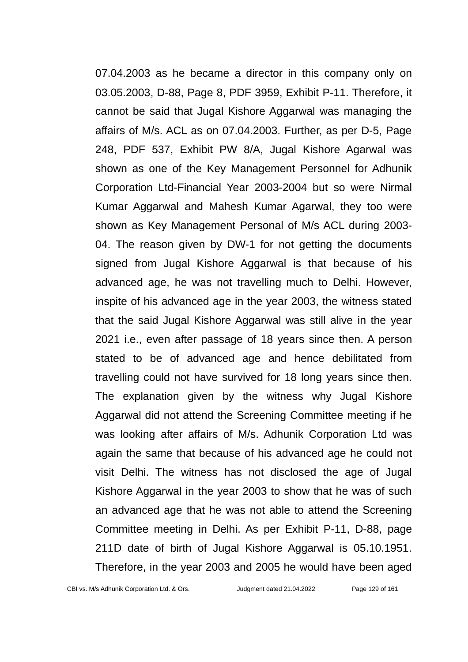07.04.2003 as he became a director in this company only on 03.05.2003, D-88, Page 8, PDF 3959, Exhibit P-11. Therefore, it cannot be said that Jugal Kishore Aggarwal was managing the affairs of M/s. ACL as on 07.04.2003. Further, as per D-5, Page 248, PDF 537, Exhibit PW 8/A, Jugal Kishore Agarwal was shown as one of the Key Management Personnel for Adhunik Corporation Ltd-Financial Year 2003-2004 but so were Nirmal Kumar Aggarwal and Mahesh Kumar Agarwal, they too were shown as Key Management Personal of M/s ACL during 2003- 04. The reason given by DW-1 for not getting the documents signed from Jugal Kishore Aggarwal is that because of his advanced age, he was not travelling much to Delhi. However, inspite of his advanced age in the year 2003, the witness stated that the said Jugal Kishore Aggarwal was still alive in the year 2021 i.e., even after passage of 18 years since then. A person stated to be of advanced age and hence debilitated from travelling could not have survived for 18 long years since then. The explanation given by the witness why Jugal Kishore Aggarwal did not attend the Screening Committee meeting if he was looking after affairs of M/s. Adhunik Corporation Ltd was again the same that because of his advanced age he could not visit Delhi. The witness has not disclosed the age of Jugal Kishore Aggarwal in the year 2003 to show that he was of such an advanced age that he was not able to attend the Screening Committee meeting in Delhi. As per Exhibit P-11, D-88, page 211D date of birth of Jugal Kishore Aggarwal is 05.10.1951. Therefore, in the year 2003 and 2005 he would have been aged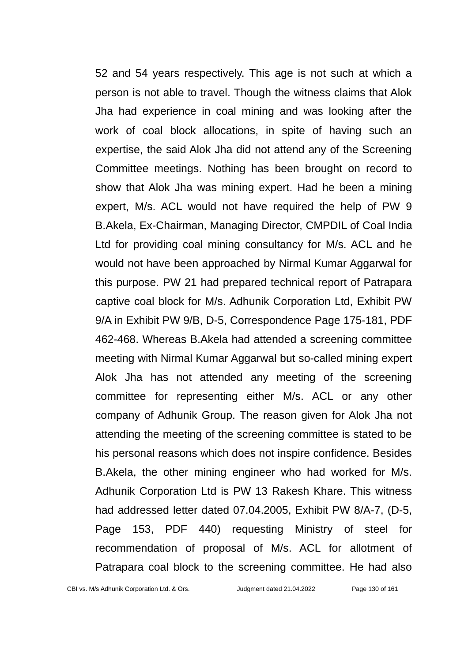52 and 54 years respectively. This age is not such at which a person is not able to travel. Though the witness claims that Alok Jha had experience in coal mining and was looking after the work of coal block allocations, in spite of having such an expertise, the said Alok Jha did not attend any of the Screening Committee meetings. Nothing has been brought on record to show that Alok Jha was mining expert. Had he been a mining expert, M/s. ACL would not have required the help of PW 9 B.Akela, Ex-Chairman, Managing Director, CMPDIL of Coal India Ltd for providing coal mining consultancy for M/s. ACL and he would not have been approached by Nirmal Kumar Aggarwal for this purpose. PW 21 had prepared technical report of Patrapara captive coal block for M/s. Adhunik Corporation Ltd, Exhibit PW 9/A in Exhibit PW 9/B, D-5, Correspondence Page 175-181, PDF 462-468. Whereas B.Akela had attended a screening committee meeting with Nirmal Kumar Aggarwal but so-called mining expert Alok Jha has not attended any meeting of the screening committee for representing either M/s. ACL or any other company of Adhunik Group. The reason given for Alok Jha not attending the meeting of the screening committee is stated to be his personal reasons which does not inspire confidence. Besides B.Akela, the other mining engineer who had worked for M/s. Adhunik Corporation Ltd is PW 13 Rakesh Khare. This witness had addressed letter dated 07.04.2005, Exhibit PW 8/A-7, (D-5, Page 153, PDF 440) requesting Ministry of steel for recommendation of proposal of M/s. ACL for allotment of Patrapara coal block to the screening committee. He had also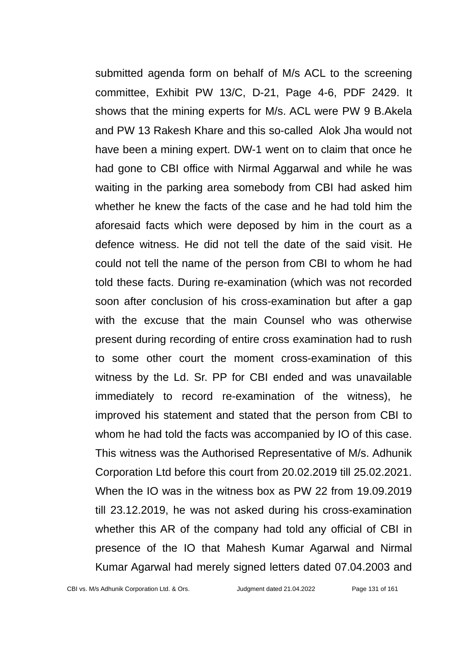submitted agenda form on behalf of M/s ACL to the screening committee, Exhibit PW 13/C, D-21, Page 4-6, PDF 2429. It shows that the mining experts for M/s. ACL were PW 9 B.Akela and PW 13 Rakesh Khare and this so-called Alok Jha would not have been a mining expert. DW-1 went on to claim that once he had gone to CBI office with Nirmal Aggarwal and while he was waiting in the parking area somebody from CBI had asked him whether he knew the facts of the case and he had told him the aforesaid facts which were deposed by him in the court as a defence witness. He did not tell the date of the said visit. He could not tell the name of the person from CBI to whom he had told these facts. During re-examination (which was not recorded soon after conclusion of his cross-examination but after a gap with the excuse that the main Counsel who was otherwise present during recording of entire cross examination had to rush to some other court the moment cross-examination of this witness by the Ld. Sr. PP for CBI ended and was unavailable immediately to record re-examination of the witness), he improved his statement and stated that the person from CBI to whom he had told the facts was accompanied by IO of this case. This witness was the Authorised Representative of M/s. Adhunik Corporation Ltd before this court from 20.02.2019 till 25.02.2021. When the IO was in the witness box as PW 22 from 19.09.2019 till 23.12.2019, he was not asked during his cross-examination whether this AR of the company had told any official of CBI in presence of the IO that Mahesh Kumar Agarwal and Nirmal Kumar Agarwal had merely signed letters dated 07.04.2003 and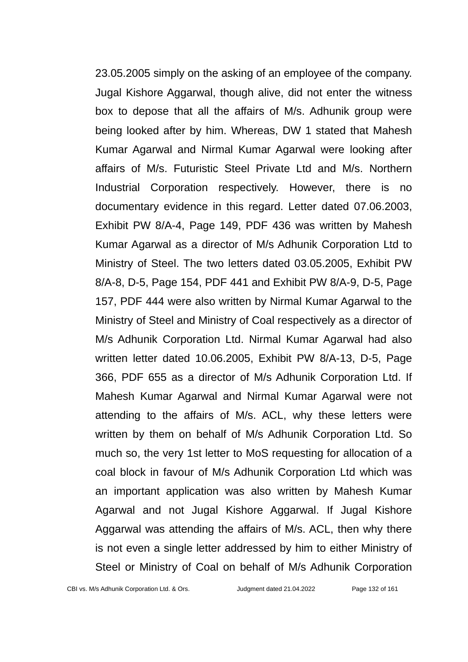23.05.2005 simply on the asking of an employee of the company. Jugal Kishore Aggarwal, though alive, did not enter the witness box to depose that all the affairs of M/s. Adhunik group were being looked after by him. Whereas, DW 1 stated that Mahesh Kumar Agarwal and Nirmal Kumar Agarwal were looking after affairs of M/s. Futuristic Steel Private Ltd and M/s. Northern Industrial Corporation respectively. However, there is no documentary evidence in this regard. Letter dated 07.06.2003, Exhibit PW 8/A-4, Page 149, PDF 436 was written by Mahesh Kumar Agarwal as a director of M/s Adhunik Corporation Ltd to Ministry of Steel. The two letters dated 03.05.2005, Exhibit PW 8/A-8, D-5, Page 154, PDF 441 and Exhibit PW 8/A-9, D-5, Page 157, PDF 444 were also written by Nirmal Kumar Agarwal to the Ministry of Steel and Ministry of Coal respectively as a director of M/s Adhunik Corporation Ltd. Nirmal Kumar Agarwal had also written letter dated 10.06.2005, Exhibit PW 8/A-13, D-5, Page 366, PDF 655 as a director of M/s Adhunik Corporation Ltd. If Mahesh Kumar Agarwal and Nirmal Kumar Agarwal were not attending to the affairs of M/s. ACL, why these letters were written by them on behalf of M/s Adhunik Corporation Ltd. So much so, the very 1st letter to MoS requesting for allocation of a coal block in favour of M/s Adhunik Corporation Ltd which was an important application was also written by Mahesh Kumar Agarwal and not Jugal Kishore Aggarwal. If Jugal Kishore Aggarwal was attending the affairs of M/s. ACL, then why there is not even a single letter addressed by him to either Ministry of Steel or Ministry of Coal on behalf of M/s Adhunik Corporation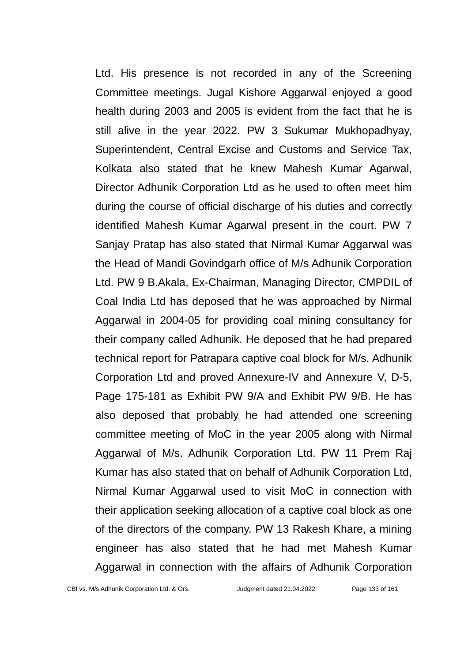Ltd. His presence is not recorded in any of the Screening Committee meetings. Jugal Kishore Aggarwal enjoyed a good health during 2003 and 2005 is evident from the fact that he is still alive in the year 2022. PW 3 Sukumar Mukhopadhyay, Superintendent, Central Excise and Customs and Service Tax, Kolkata also stated that he knew Mahesh Kumar Agarwal, Director Adhunik Corporation Ltd as he used to often meet him during the course of official discharge of his duties and correctly identified Mahesh Kumar Agarwal present in the court. PW 7 Sanjay Pratap has also stated that Nirmal Kumar Aggarwal was the Head of Mandi Govindgarh office of M/s Adhunik Corporation Ltd. PW 9 B.Akala, Ex-Chairman, Managing Director, CMPDIL of Coal India Ltd has deposed that he was approached by Nirmal Aggarwal in 2004-05 for providing coal mining consultancy for their company called Adhunik. He deposed that he had prepared technical report for Patrapara captive coal block for M/s. Adhunik Corporation Ltd and proved Annexure-IV and Annexure V, D-5, Page 175-181 as Exhibit PW 9/A and Exhibit PW 9/B. He has also deposed that probably he had attended one screening committee meeting of MoC in the year 2005 along with Nirmal Aggarwal of M/s. Adhunik Corporation Ltd. PW 11 Prem Raj Kumar has also stated that on behalf of Adhunik Corporation Ltd, Nirmal Kumar Aggarwal used to visit MoC in connection with their application seeking allocation of a captive coal block as one of the directors of the company. PW 13 Rakesh Khare, a mining engineer has also stated that he had met Mahesh Kumar Aggarwal in connection with the affairs of Adhunik Corporation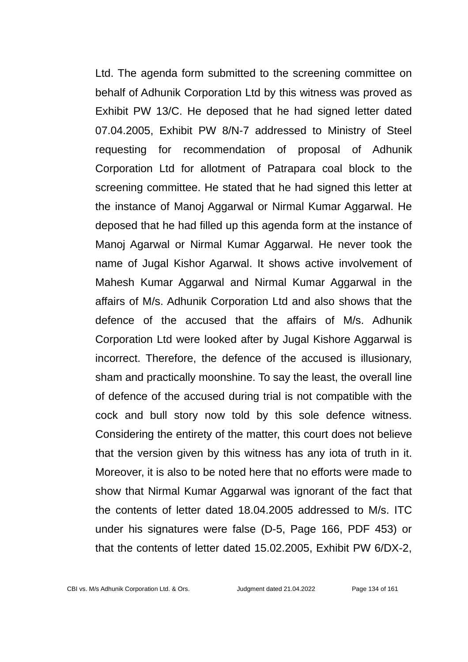Ltd. The agenda form submitted to the screening committee on behalf of Adhunik Corporation Ltd by this witness was proved as Exhibit PW 13/C. He deposed that he had signed letter dated 07.04.2005, Exhibit PW 8/N-7 addressed to Ministry of Steel requesting for recommendation of proposal of Adhunik Corporation Ltd for allotment of Patrapara coal block to the screening committee. He stated that he had signed this letter at the instance of Manoj Aggarwal or Nirmal Kumar Aggarwal. He deposed that he had filled up this agenda form at the instance of Manoj Agarwal or Nirmal Kumar Aggarwal. He never took the name of Jugal Kishor Agarwal. It shows active involvement of Mahesh Kumar Aggarwal and Nirmal Kumar Aggarwal in the affairs of M/s. Adhunik Corporation Ltd and also shows that the defence of the accused that the affairs of M/s. Adhunik Corporation Ltd were looked after by Jugal Kishore Aggarwal is incorrect. Therefore, the defence of the accused is illusionary, sham and practically moonshine. To say the least, the overall line of defence of the accused during trial is not compatible with the cock and bull story now told by this sole defence witness. Considering the entirety of the matter, this court does not believe that the version given by this witness has any iota of truth in it. Moreover, it is also to be noted here that no efforts were made to show that Nirmal Kumar Aggarwal was ignorant of the fact that the contents of letter dated 18.04.2005 addressed to M/s. ITC under his signatures were false (D-5, Page 166, PDF 453) or that the contents of letter dated 15.02.2005, Exhibit PW 6/DX-2,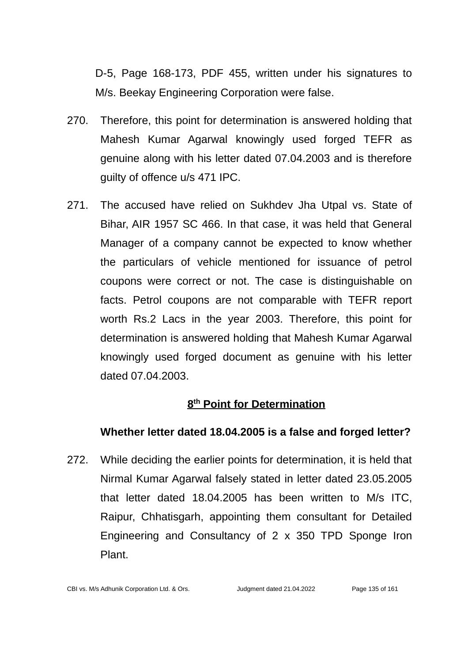D-5, Page 168-173, PDF 455, written under his signatures to M/s. Beekay Engineering Corporation were false.

- 270. Therefore, this point for determination is answered holding that Mahesh Kumar Agarwal knowingly used forged TEFR as genuine along with his letter dated 07.04.2003 and is therefore guilty of offence u/s 471 IPC.
- 271. The accused have relied on Sukhdev Jha Utpal vs. State of Bihar, AIR 1957 SC 466. In that case, it was held that General Manager of a company cannot be expected to know whether the particulars of vehicle mentioned for issuance of petrol coupons were correct or not. The case is distinguishable on facts. Petrol coupons are not comparable with TEFR report worth Rs.2 Lacs in the year 2003. Therefore, this point for determination is answered holding that Mahesh Kumar Agarwal knowingly used forged document as genuine with his letter dated 07.04.2003.

# **8 th Point for Determination**

# **Whether letter dated 18.04.2005 is a false and forged letter?**

272. While deciding the earlier points for determination, it is held that Nirmal Kumar Agarwal falsely stated in letter dated 23.05.2005 that letter dated 18.04.2005 has been written to M/s ITC, Raipur, Chhatisgarh, appointing them consultant for Detailed Engineering and Consultancy of 2 x 350 TPD Sponge Iron Plant.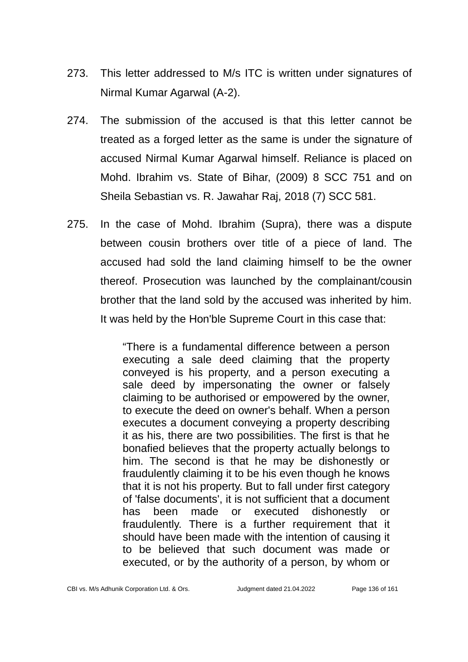- 273. This letter addressed to M/s ITC is written under signatures of Nirmal Kumar Agarwal (A-2).
- 274. The submission of the accused is that this letter cannot be treated as a forged letter as the same is under the signature of accused Nirmal Kumar Agarwal himself. Reliance is placed on Mohd. Ibrahim vs. State of Bihar, (2009) 8 SCC 751 and on Sheila Sebastian vs. R. Jawahar Raj, 2018 (7) SCC 581.
- 275. In the case of Mohd. Ibrahim (Supra), there was a dispute between cousin brothers over title of a piece of land. The accused had sold the land claiming himself to be the owner thereof. Prosecution was launched by the complainant/cousin brother that the land sold by the accused was inherited by him. It was held by the Hon'ble Supreme Court in this case that:

"There is a fundamental difference between a person executing a sale deed claiming that the property conveyed is his property, and a person executing a sale deed by impersonating the owner or falsely claiming to be authorised or empowered by the owner, to execute the deed on owner's behalf. When a person executes a document conveying a property describing it as his, there are two possibilities. The first is that he bonafied believes that the property actually belongs to him. The second is that he may be dishonestly or fraudulently claiming it to be his even though he knows that it is not his property. But to fall under first category of 'false documents', it is not sufficient that a document has been made or executed dishonestly or fraudulently. There is a further requirement that it should have been made with the intention of causing it to be believed that such document was made or executed, or by the authority of a person, by whom or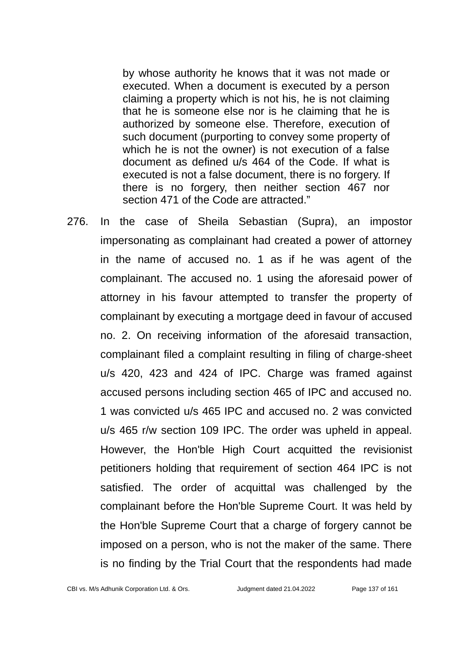by whose authority he knows that it was not made or executed. When a document is executed by a person claiming a property which is not his, he is not claiming that he is someone else nor is he claiming that he is authorized by someone else. Therefore, execution of such document (purporting to convey some property of which he is not the owner) is not execution of a false document as defined u/s 464 of the Code. If what is executed is not a false document, there is no forgery. If there is no forgery, then neither section 467 nor section 471 of the Code are attracted."

276. In the case of Sheila Sebastian (Supra), an impostor impersonating as complainant had created a power of attorney in the name of accused no. 1 as if he was agent of the complainant. The accused no. 1 using the aforesaid power of attorney in his favour attempted to transfer the property of complainant by executing a mortgage deed in favour of accused no. 2. On receiving information of the aforesaid transaction, complainant filed a complaint resulting in filing of charge-sheet u/s 420, 423 and 424 of IPC. Charge was framed against accused persons including section 465 of IPC and accused no. 1 was convicted u/s 465 IPC and accused no. 2 was convicted u/s 465 r/w section 109 IPC. The order was upheld in appeal. However, the Hon'ble High Court acquitted the revisionist petitioners holding that requirement of section 464 IPC is not satisfied. The order of acquittal was challenged by the complainant before the Hon'ble Supreme Court. It was held by the Hon'ble Supreme Court that a charge of forgery cannot be imposed on a person, who is not the maker of the same. There is no finding by the Trial Court that the respondents had made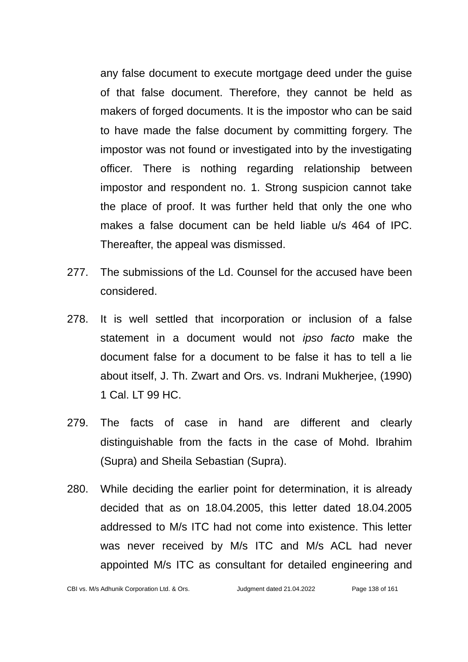any false document to execute mortgage deed under the guise of that false document. Therefore, they cannot be held as makers of forged documents. It is the impostor who can be said to have made the false document by committing forgery. The impostor was not found or investigated into by the investigating officer. There is nothing regarding relationship between impostor and respondent no. 1. Strong suspicion cannot take the place of proof. It was further held that only the one who makes a false document can be held liable u/s 464 of IPC. Thereafter, the appeal was dismissed.

- 277. The submissions of the Ld. Counsel for the accused have been considered.
- 278. It is well settled that incorporation or inclusion of a false statement in a document would not *ipso facto* make the document false for a document to be false it has to tell a lie about itself, J. Th. Zwart and Ors. vs. Indrani Mukherjee, (1990) 1 Cal. LT 99 HC.
- 279. The facts of case in hand are different and clearly distinguishable from the facts in the case of Mohd. Ibrahim (Supra) and Sheila Sebastian (Supra).
- 280. While deciding the earlier point for determination, it is already decided that as on 18.04.2005, this letter dated 18.04.2005 addressed to M/s ITC had not come into existence. This letter was never received by M/s ITC and M/s ACL had never appointed M/s ITC as consultant for detailed engineering and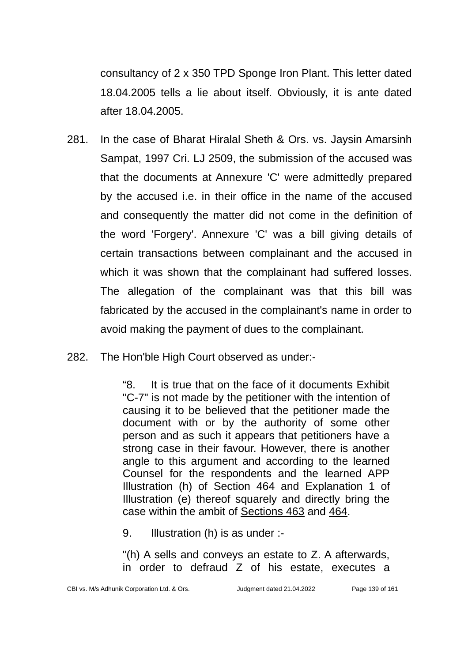consultancy of 2 x 350 TPD Sponge Iron Plant. This letter dated 18.04.2005 tells a lie about itself. Obviously, it is ante dated after 18.04.2005.

- 281. In the case of Bharat Hiralal Sheth & Ors. vs. Jaysin Amarsinh Sampat, 1997 Cri. LJ 2509, the submission of the accused was that the documents at Annexure 'C' were admittedly prepared by the accused i.e. in their office in the name of the accused and consequently the matter did not come in the definition of the word 'Forgery'. Annexure 'C' was a bill giving details of certain transactions between complainant and the accused in which it was shown that the complainant had suffered losses. The allegation of the complainant was that this bill was fabricated by the accused in the complainant's name in order to avoid making the payment of dues to the complainant.
- 282. The Hon'ble High Court observed as under:-

"8. It is true that on the face of it documents Exhibit "C-7" is not made by the petitioner with the intention of causing it to be believed that the petitioner made the document with or by the authority of some other person and as such it appears that petitioners have a strong case in their favour. However, there is another angle to this argument and according to the learned Counsel for the respondents and the learned APP Illustration (h) of Section 464 and Explanation 1 of Illustration (e) thereof squarely and directly bring the case within the ambit of Sections 463 and 464.

9. Illustration (h) is as under :-

"(h) A sells and conveys an estate to Z. A afterwards, in order to defraud Z of his estate, executes a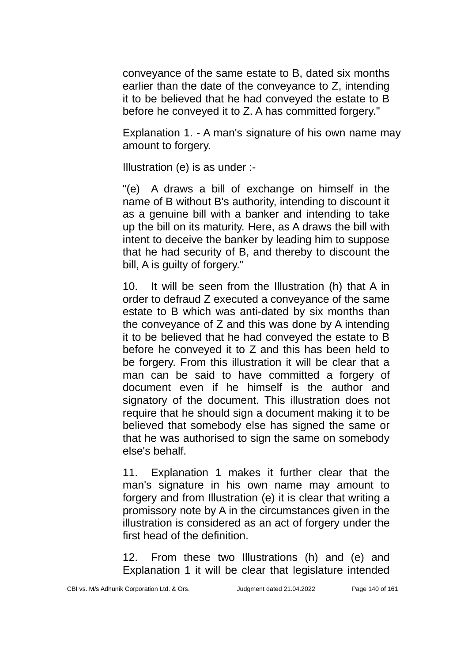conveyance of the same estate to B, dated six months earlier than the date of the conveyance to Z, intending it to be believed that he had conveyed the estate to B before he conveyed it to Z. A has committed forgery."

Explanation 1. - A man's signature of his own name may amount to forgery.

Illustration (e) is as under :-

"(e) A draws a bill of exchange on himself in the name of B without B's authority, intending to discount it as a genuine bill with a banker and intending to take up the bill on its maturity. Here, as A draws the bill with intent to deceive the banker by leading him to suppose that he had security of B, and thereby to discount the bill, A is guilty of forgery."

10. It will be seen from the Illustration (h) that A in order to defraud Z executed a conveyance of the same estate to B which was anti-dated by six months than the conveyance of Z and this was done by A intending it to be believed that he had conveyed the estate to B before he conveyed it to Z and this has been held to be forgery. From this illustration it will be clear that a man can be said to have committed a forgery of document even if he himself is the author and signatory of the document. This illustration does not require that he should sign a document making it to be believed that somebody else has signed the same or that he was authorised to sign the same on somebody else's behalf.

11. Explanation 1 makes it further clear that the man's signature in his own name may amount to forgery and from Illustration (e) it is clear that writing a promissory note by A in the circumstances given in the illustration is considered as an act of forgery under the first head of the definition.

12. From these two Illustrations (h) and (e) and Explanation 1 it will be clear that legislature intended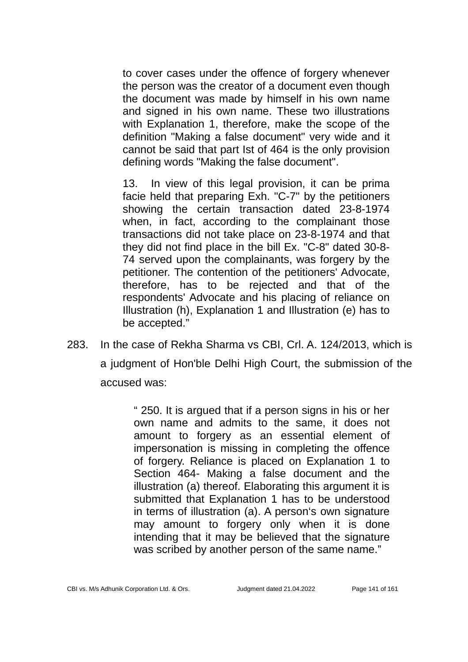to cover cases under the offence of forgery whenever the person was the creator of a document even though the document was made by himself in his own name and signed in his own name. These two illustrations with Explanation 1, therefore, make the scope of the definition "Making a false document" very wide and it cannot be said that part Ist of 464 is the only provision defining words "Making the false document".

13. In view of this legal provision, it can be prima facie held that preparing Exh. "C-7" by the petitioners showing the certain transaction dated 23-8-1974 when, in fact, according to the complainant those transactions did not take place on 23-8-1974 and that they did not find place in the bill Ex. "C-8" dated 30-8- 74 served upon the complainants, was forgery by the petitioner. The contention of the petitioners' Advocate, therefore, has to be rejected and that of the respondents' Advocate and his placing of reliance on Illustration (h), Explanation 1 and Illustration (e) has to be accepted."

283. In the case of Rekha Sharma vs CBI, Crl. A. 124/2013, which is a judgment of Hon'ble Delhi High Court, the submission of the accused was:

> " 250. It is argued that if a person signs in his or her own name and admits to the same, it does not amount to forgery as an essential element of impersonation is missing in completing the offence of forgery. Reliance is placed on Explanation 1 to Section 464- Making a false document and the illustration (a) thereof. Elaborating this argument it is submitted that Explanation 1 has to be understood in terms of illustration (a). A person's own signature may amount to forgery only when it is done intending that it may be believed that the signature was scribed by another person of the same name."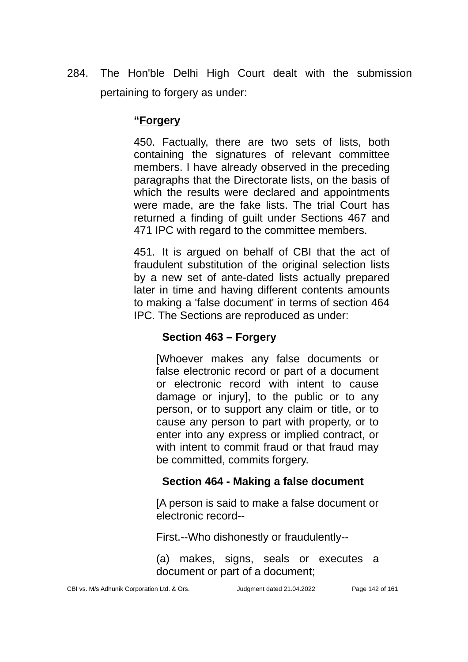284. The Hon'ble Delhi High Court dealt with the submission pertaining to forgery as under:

### **"Forgery**

450. Factually, there are two sets of lists, both containing the signatures of relevant committee members. I have already observed in the preceding paragraphs that the Directorate lists, on the basis of which the results were declared and appointments were made, are the fake lists. The trial Court has returned a finding of guilt under Sections 467 and 471 IPC with regard to the committee members.

451. It is argued on behalf of CBI that the act of fraudulent substitution of the original selection lists by a new set of ante-dated lists actually prepared later in time and having different contents amounts to making a 'false document' in terms of section 464 IPC. The Sections are reproduced as under:

# **Section 463 – Forgery**

[Whoever makes any false documents or false electronic record or part of a document or electronic record with intent to cause damage or injury], to the public or to any person, or to support any claim or title, or to cause any person to part with property, or to enter into any express or implied contract, or with intent to commit fraud or that fraud may be committed, commits forgery.

# **Section 464 - Making a false document**

[A person is said to make a false document or electronic record--

First.--Who dishonestly or fraudulently--

(a) makes, signs, seals or executes a document or part of a document;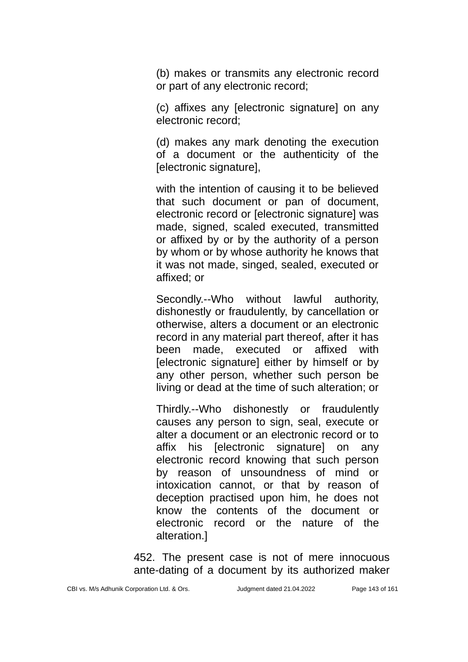(b) makes or transmits any electronic record or part of any electronic record;

(c) affixes any [electronic signature] on any electronic record;

(d) makes any mark denoting the execution of a document or the authenticity of the [electronic signature],

with the intention of causing it to be believed that such document or pan of document, electronic record or [electronic signature] was made, signed, scaled executed, transmitted or affixed by or by the authority of a person by whom or by whose authority he knows that it was not made, singed, sealed, executed or affixed; or

Secondly.--Who without lawful authority, dishonestly or fraudulently, by cancellation or otherwise, alters a document or an electronic record in any material part thereof, after it has been made, executed or affixed with [electronic signature] either by himself or by any other person, whether such person be living or dead at the time of such alteration; or

Thirdly.--Who dishonestly or fraudulently causes any person to sign, seal, execute or alter a document or an electronic record or to affix his [electronic signature] on any electronic record knowing that such person by reason of unsoundness of mind or intoxication cannot, or that by reason of deception practised upon him, he does not know the contents of the document or electronic record or the nature of the alteration.]

452. The present case is not of mere innocuous ante-dating of a document by its authorized maker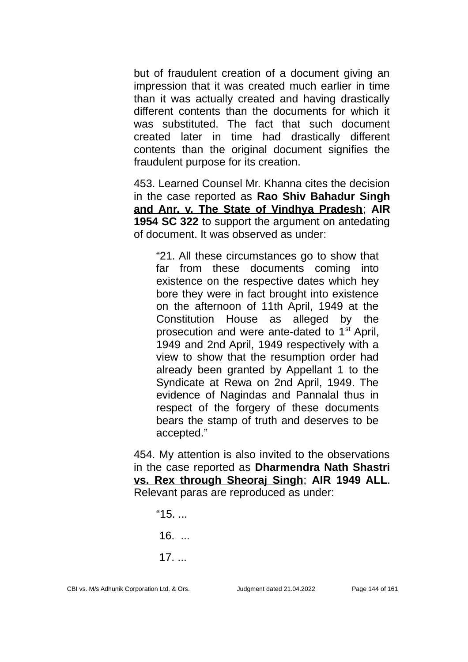but of fraudulent creation of a document giving an impression that it was created much earlier in time than it was actually created and having drastically different contents than the documents for which it was substituted. The fact that such document created later in time had drastically different contents than the original document signifies the fraudulent purpose for its creation.

453. Learned Counsel Mr. Khanna cites the decision in the case reported as **Rao Shiv Bahadur Singh and Anr. v. The State of Vindhya Pradesh**; **AIR 1954 SC 322** to support the argument on antedating of document. It was observed as under:

"21. All these circumstances go to show that far from these documents coming into existence on the respective dates which hey bore they were in fact brought into existence on the afternoon of 11th April, 1949 at the Constitution House as alleged by the prosecution and were ante-dated to  $1<sup>st</sup>$  April, 1949 and 2nd April, 1949 respectively with a view to show that the resumption order had already been granted by Appellant 1 to the Syndicate at Rewa on 2nd April, 1949. The evidence of Nagindas and Pannalal thus in respect of the forgery of these documents bears the stamp of truth and deserves to be accepted."

454. My attention is also invited to the observations in the case reported as **Dharmendra Nath Shastri vs. Rex through Sheoraj Singh**; **AIR 1949 ALL**. Relevant paras are reproduced as under:

 $"15.$  16. ... 17. ...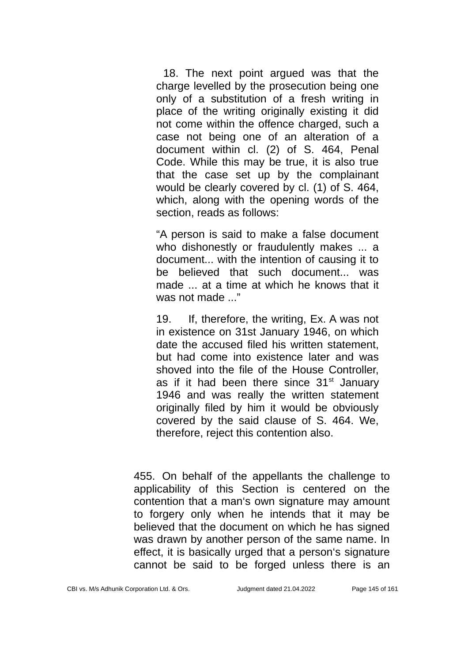18. The next point argued was that the charge levelled by the prosecution being one only of a substitution of a fresh writing in place of the writing originally existing it did not come within the offence charged, such a case not being one of an alteration of a document within cl. (2) of S. 464, Penal Code. While this may be true, it is also true that the case set up by the complainant would be clearly covered by cl. (1) of S. 464, which, along with the opening words of the section, reads as follows:

"A person is said to make a false document who dishonestly or fraudulently makes ... a document... with the intention of causing it to be believed that such document... was made ... at a time at which he knows that it was not made ..."

19. If, therefore, the writing, Ex. A was not in existence on 31st January 1946, on which date the accused filed his written statement, but had come into existence later and was shoved into the file of the House Controller, as if it had been there since  $31<sup>st</sup>$  January 1946 and was really the written statement originally filed by him it would be obviously covered by the said clause of S. 464. We, therefore, reject this contention also.

455. On behalf of the appellants the challenge to applicability of this Section is centered on the contention that a man's own signature may amount to forgery only when he intends that it may be believed that the document on which he has signed was drawn by another person of the same name. In effect, it is basically urged that a person's signature cannot be said to be forged unless there is an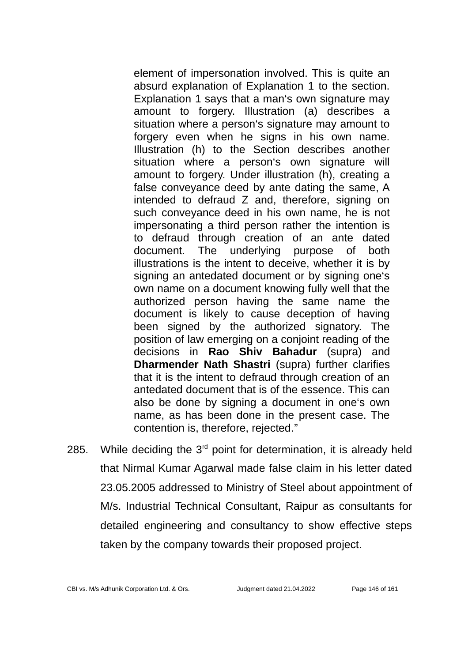element of impersonation involved. This is quite an absurd explanation of Explanation 1 to the section. Explanation 1 says that a man's own signature may amount to forgery. Illustration (a) describes a situation where a person's signature may amount to forgery even when he signs in his own name. Illustration (h) to the Section describes another situation where a person's own signature will amount to forgery. Under illustration (h), creating a false conveyance deed by ante dating the same, A intended to defraud Z and, therefore, signing on such conveyance deed in his own name, he is not impersonating a third person rather the intention is to defraud through creation of an ante dated document. The underlying purpose of both illustrations is the intent to deceive, whether it is by signing an antedated document or by signing one's own name on a document knowing fully well that the authorized person having the same name the document is likely to cause deception of having been signed by the authorized signatory. The position of law emerging on a conjoint reading of the decisions in **Rao Shiv Bahadur** (supra) and **Dharmender Nath Shastri** (supra) further clarifies that it is the intent to defraud through creation of an antedated document that is of the essence. This can also be done by signing a document in one's own name, as has been done in the present case. The contention is, therefore, rejected."

285. While deciding the  $3<sup>rd</sup>$  point for determination, it is already held that Nirmal Kumar Agarwal made false claim in his letter dated 23.05.2005 addressed to Ministry of Steel about appointment of M/s. Industrial Technical Consultant, Raipur as consultants for detailed engineering and consultancy to show effective steps taken by the company towards their proposed project.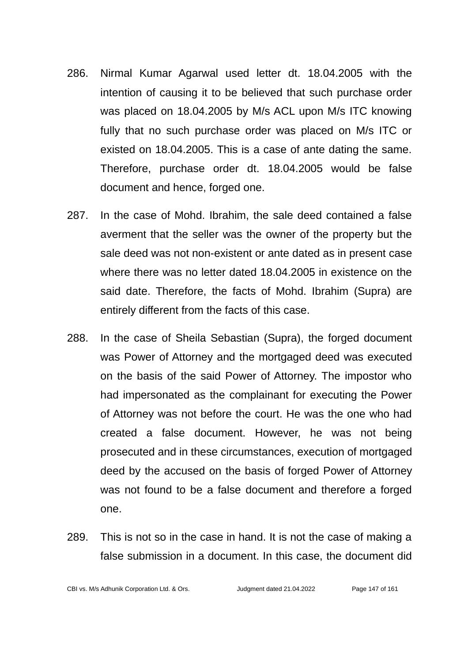- 286. Nirmal Kumar Agarwal used letter dt. 18.04.2005 with the intention of causing it to be believed that such purchase order was placed on 18.04.2005 by M/s ACL upon M/s ITC knowing fully that no such purchase order was placed on M/s ITC or existed on 18.04.2005. This is a case of ante dating the same. Therefore, purchase order dt. 18.04.2005 would be false document and hence, forged one.
- 287. In the case of Mohd. Ibrahim, the sale deed contained a false averment that the seller was the owner of the property but the sale deed was not non-existent or ante dated as in present case where there was no letter dated 18.04.2005 in existence on the said date. Therefore, the facts of Mohd. Ibrahim (Supra) are entirely different from the facts of this case.
- 288. In the case of Sheila Sebastian (Supra), the forged document was Power of Attorney and the mortgaged deed was executed on the basis of the said Power of Attorney. The impostor who had impersonated as the complainant for executing the Power of Attorney was not before the court. He was the one who had created a false document. However, he was not being prosecuted and in these circumstances, execution of mortgaged deed by the accused on the basis of forged Power of Attorney was not found to be a false document and therefore a forged one.
- 289. This is not so in the case in hand. It is not the case of making a false submission in a document. In this case, the document did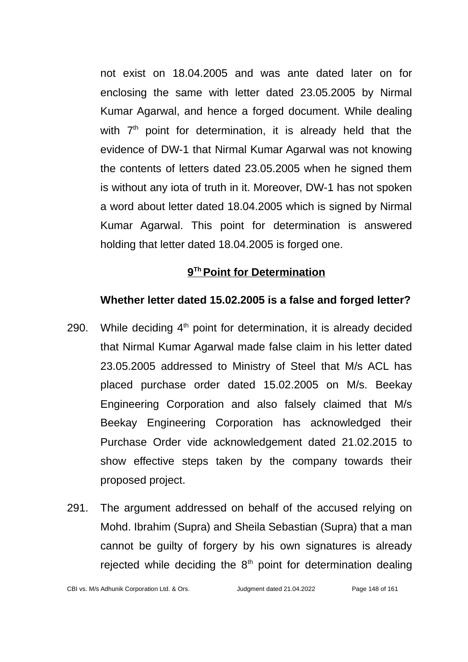not exist on 18.04.2005 and was ante dated later on for enclosing the same with letter dated 23.05.2005 by Nirmal Kumar Agarwal, and hence a forged document. While dealing with  $7<sup>th</sup>$  point for determination, it is already held that the evidence of DW-1 that Nirmal Kumar Agarwal was not knowing the contents of letters dated 23.05.2005 when he signed them is without any iota of truth in it. Moreover, DW-1 has not spoken a word about letter dated 18.04.2005 which is signed by Nirmal Kumar Agarwal. This point for determination is answered holding that letter dated 18.04.2005 is forged one.

# **9 Th Point for Determination**

# **Whether letter dated 15.02.2005 is a false and forged letter?**

- 290. While deciding  $4<sup>th</sup>$  point for determination, it is already decided that Nirmal Kumar Agarwal made false claim in his letter dated 23.05.2005 addressed to Ministry of Steel that M/s ACL has placed purchase order dated 15.02.2005 on M/s. Beekay Engineering Corporation and also falsely claimed that M/s Beekay Engineering Corporation has acknowledged their Purchase Order vide acknowledgement dated 21.02.2015 to show effective steps taken by the company towards their proposed project.
- 291. The argument addressed on behalf of the accused relying on Mohd. Ibrahim (Supra) and Sheila Sebastian (Supra) that a man cannot be guilty of forgery by his own signatures is already rejected while deciding the  $8<sup>th</sup>$  point for determination dealing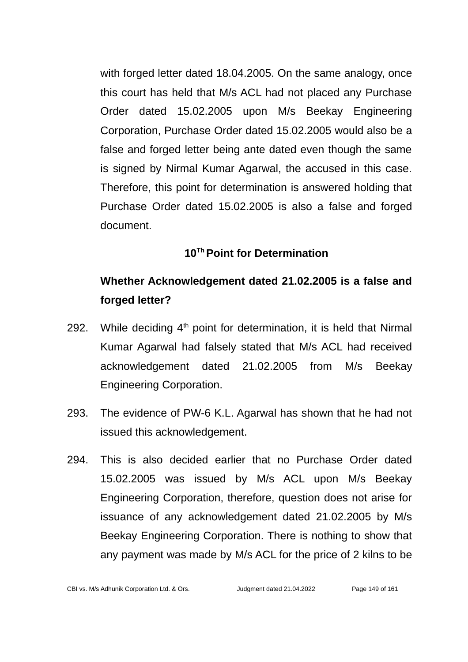with forged letter dated 18.04.2005. On the same analogy, once this court has held that M/s ACL had not placed any Purchase Order dated 15.02.2005 upon M/s Beekay Engineering Corporation, Purchase Order dated 15.02.2005 would also be a false and forged letter being ante dated even though the same is signed by Nirmal Kumar Agarwal, the accused in this case. Therefore, this point for determination is answered holding that Purchase Order dated 15.02.2005 is also a false and forged document.

# **10Th Point for Determination**

# **Whether Acknowledgement dated 21.02.2005 is a false and forged letter?**

- 292. While deciding  $4<sup>th</sup>$  point for determination, it is held that Nirmal Kumar Agarwal had falsely stated that M/s ACL had received acknowledgement dated 21.02.2005 from M/s Beekay Engineering Corporation.
- 293. The evidence of PW-6 K.L. Agarwal has shown that he had not issued this acknowledgement.
- 294. This is also decided earlier that no Purchase Order dated 15.02.2005 was issued by M/s ACL upon M/s Beekay Engineering Corporation, therefore, question does not arise for issuance of any acknowledgement dated 21.02.2005 by M/s Beekay Engineering Corporation. There is nothing to show that any payment was made by M/s ACL for the price of 2 kilns to be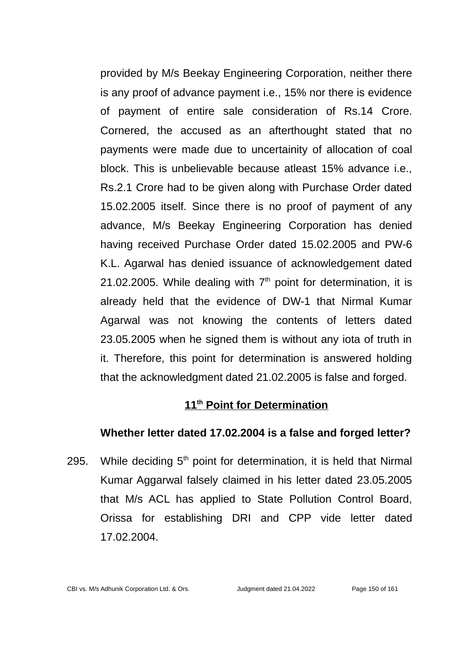provided by M/s Beekay Engineering Corporation, neither there is any proof of advance payment i.e., 15% nor there is evidence of payment of entire sale consideration of Rs.14 Crore. Cornered, the accused as an afterthought stated that no payments were made due to uncertainity of allocation of coal block. This is unbelievable because atleast 15% advance i.e., Rs.2.1 Crore had to be given along with Purchase Order dated 15.02.2005 itself. Since there is no proof of payment of any advance, M/s Beekay Engineering Corporation has denied having received Purchase Order dated 15.02.2005 and PW-6 K.L. Agarwal has denied issuance of acknowledgement dated 21.02.2005. While dealing with  $7<sup>th</sup>$  point for determination, it is already held that the evidence of DW-1 that Nirmal Kumar Agarwal was not knowing the contents of letters dated 23.05.2005 when he signed them is without any iota of truth in it. Therefore, this point for determination is answered holding that the acknowledgment dated 21.02.2005 is false and forged.

# **11th Point for Determination**

#### **Whether letter dated 17.02.2004 is a false and forged letter?**

295. While deciding  $5<sup>th</sup>$  point for determination, it is held that Nirmal Kumar Aggarwal falsely claimed in his letter dated 23.05.2005 that M/s ACL has applied to State Pollution Control Board, Orissa for establishing DRI and CPP vide letter dated 17.02.2004.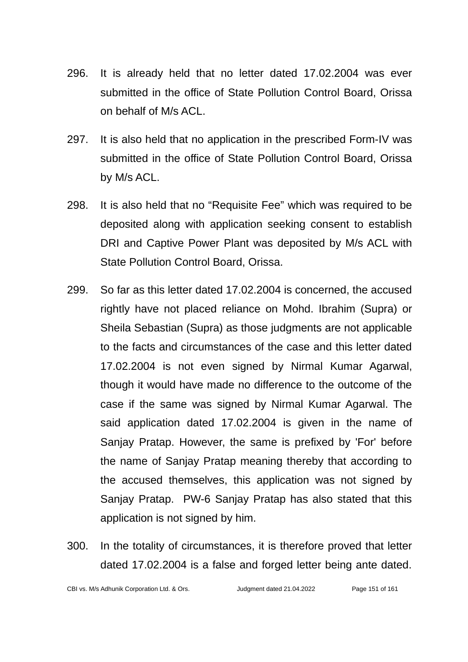- 296. It is already held that no letter dated 17.02.2004 was ever submitted in the office of State Pollution Control Board, Orissa on behalf of M/s ACL.
- 297. It is also held that no application in the prescribed Form-IV was submitted in the office of State Pollution Control Board, Orissa by M/s ACL.
- 298. It is also held that no "Requisite Fee" which was required to be deposited along with application seeking consent to establish DRI and Captive Power Plant was deposited by M/s ACL with State Pollution Control Board, Orissa.
- 299. So far as this letter dated 17.02.2004 is concerned, the accused rightly have not placed reliance on Mohd. Ibrahim (Supra) or Sheila Sebastian (Supra) as those judgments are not applicable to the facts and circumstances of the case and this letter dated 17.02.2004 is not even signed by Nirmal Kumar Agarwal, though it would have made no difference to the outcome of the case if the same was signed by Nirmal Kumar Agarwal. The said application dated 17.02.2004 is given in the name of Sanjay Pratap. However, the same is prefixed by 'For' before the name of Sanjay Pratap meaning thereby that according to the accused themselves, this application was not signed by Sanjay Pratap. PW-6 Sanjay Pratap has also stated that this application is not signed by him.
- 300. In the totality of circumstances, it is therefore proved that letter dated 17.02.2004 is a false and forged letter being ante dated.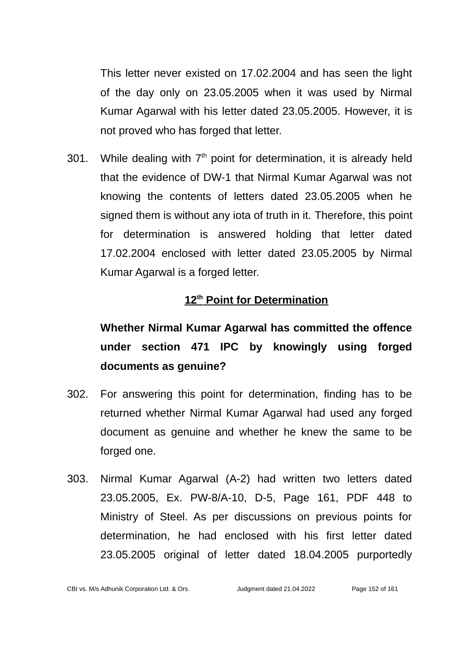This letter never existed on 17.02.2004 and has seen the light of the day only on 23.05.2005 when it was used by Nirmal Kumar Agarwal with his letter dated 23.05.2005. However, it is not proved who has forged that letter.

301. While dealing with  $7<sup>th</sup>$  point for determination, it is already held that the evidence of DW-1 that Nirmal Kumar Agarwal was not knowing the contents of letters dated 23.05.2005 when he signed them is without any iota of truth in it. Therefore, this point for determination is answered holding that letter dated 17.02.2004 enclosed with letter dated 23.05.2005 by Nirmal Kumar Agarwal is a forged letter.

# **12th Point for Determination**

# **Whether Nirmal Kumar Agarwal has committed the offence under section 471 IPC by knowingly using forged documents as genuine?**

- 302. For answering this point for determination, finding has to be returned whether Nirmal Kumar Agarwal had used any forged document as genuine and whether he knew the same to be forged one.
- 303. Nirmal Kumar Agarwal (A-2) had written two letters dated 23.05.2005, Ex. PW-8/A-10, D-5, Page 161, PDF 448 to Ministry of Steel. As per discussions on previous points for determination, he had enclosed with his first letter dated 23.05.2005 original of letter dated 18.04.2005 purportedly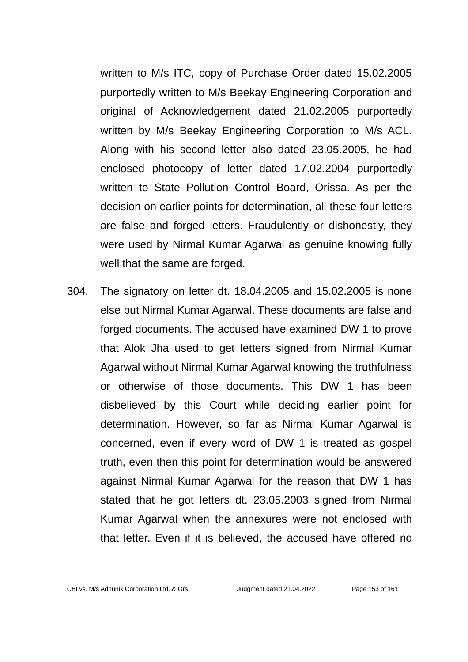written to M/s ITC, copy of Purchase Order dated 15.02.2005 purportedly written to M/s Beekay Engineering Corporation and original of Acknowledgement dated 21.02.2005 purportedly written by M/s Beekay Engineering Corporation to M/s ACL. Along with his second letter also dated 23.05.2005, he had enclosed photocopy of letter dated 17.02.2004 purportedly written to State Pollution Control Board, Orissa. As per the decision on earlier points for determination, all these four letters are false and forged letters. Fraudulently or dishonestly, they were used by Nirmal Kumar Agarwal as genuine knowing fully well that the same are forged.

304. The signatory on letter dt. 18.04.2005 and 15.02.2005 is none else but Nirmal Kumar Agarwal. These documents are false and forged documents. The accused have examined DW 1 to prove that Alok Jha used to get letters signed from Nirmal Kumar Agarwal without Nirmal Kumar Agarwal knowing the truthfulness or otherwise of those documents. This DW 1 has been disbelieved by this Court while deciding earlier point for determination. However, so far as Nirmal Kumar Agarwal is concerned, even if every word of DW 1 is treated as gospel truth, even then this point for determination would be answered against Nirmal Kumar Agarwal for the reason that DW 1 has stated that he got letters dt. 23.05.2003 signed from Nirmal Kumar Agarwal when the annexures were not enclosed with that letter. Even if it is believed, the accused have offered no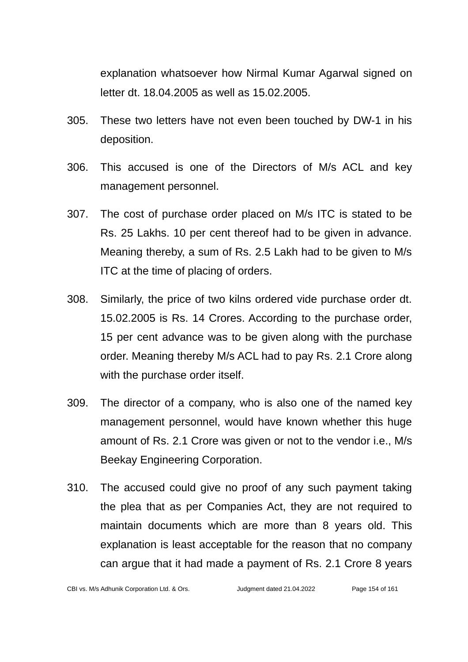explanation whatsoever how Nirmal Kumar Agarwal signed on letter dt. 18.04.2005 as well as 15.02.2005.

- 305. These two letters have not even been touched by DW-1 in his deposition.
- 306. This accused is one of the Directors of M/s ACL and key management personnel.
- 307. The cost of purchase order placed on M/s ITC is stated to be Rs. 25 Lakhs. 10 per cent thereof had to be given in advance. Meaning thereby, a sum of Rs. 2.5 Lakh had to be given to M/s ITC at the time of placing of orders.
- 308. Similarly, the price of two kilns ordered vide purchase order dt. 15.02.2005 is Rs. 14 Crores. According to the purchase order, 15 per cent advance was to be given along with the purchase order. Meaning thereby M/s ACL had to pay Rs. 2.1 Crore along with the purchase order itself.
- 309. The director of a company, who is also one of the named key management personnel, would have known whether this huge amount of Rs. 2.1 Crore was given or not to the vendor i.e., M/s Beekay Engineering Corporation.
- 310. The accused could give no proof of any such payment taking the plea that as per Companies Act, they are not required to maintain documents which are more than 8 years old. This explanation is least acceptable for the reason that no company can argue that it had made a payment of Rs. 2.1 Crore 8 years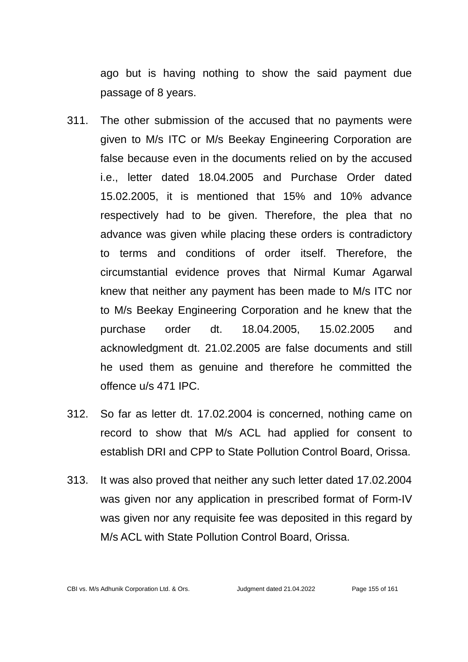ago but is having nothing to show the said payment due passage of 8 years.

- 311. The other submission of the accused that no payments were given to M/s ITC or M/s Beekay Engineering Corporation are false because even in the documents relied on by the accused i.e., letter dated 18.04.2005 and Purchase Order dated 15.02.2005, it is mentioned that 15% and 10% advance respectively had to be given. Therefore, the plea that no advance was given while placing these orders is contradictory to terms and conditions of order itself. Therefore, the circumstantial evidence proves that Nirmal Kumar Agarwal knew that neither any payment has been made to M/s ITC nor to M/s Beekay Engineering Corporation and he knew that the purchase order dt. 18.04.2005, 15.02.2005 and acknowledgment dt. 21.02.2005 are false documents and still he used them as genuine and therefore he committed the offence u/s 471 IPC.
- 312. So far as letter dt. 17.02.2004 is concerned, nothing came on record to show that M/s ACL had applied for consent to establish DRI and CPP to State Pollution Control Board, Orissa.
- 313. It was also proved that neither any such letter dated 17.02.2004 was given nor any application in prescribed format of Form-IV was given nor any requisite fee was deposited in this regard by M/s ACL with State Pollution Control Board, Orissa.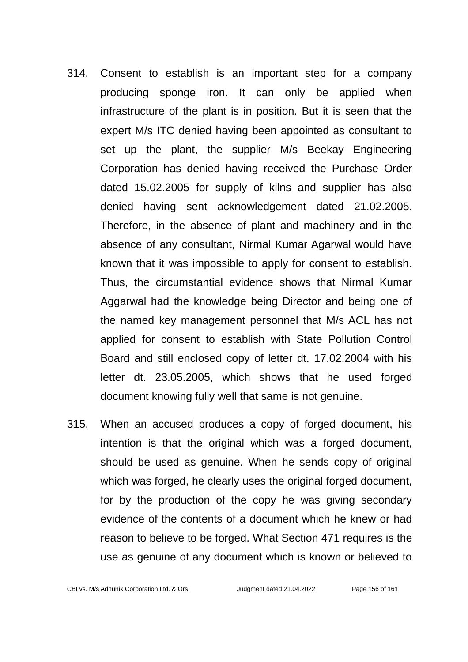- 314. Consent to establish is an important step for a company producing sponge iron. It can only be applied when infrastructure of the plant is in position. But it is seen that the expert M/s ITC denied having been appointed as consultant to set up the plant, the supplier M/s Beekay Engineering Corporation has denied having received the Purchase Order dated 15.02.2005 for supply of kilns and supplier has also denied having sent acknowledgement dated 21.02.2005. Therefore, in the absence of plant and machinery and in the absence of any consultant, Nirmal Kumar Agarwal would have known that it was impossible to apply for consent to establish. Thus, the circumstantial evidence shows that Nirmal Kumar Aggarwal had the knowledge being Director and being one of the named key management personnel that M/s ACL has not applied for consent to establish with State Pollution Control Board and still enclosed copy of letter dt. 17.02.2004 with his letter dt. 23.05.2005, which shows that he used forged document knowing fully well that same is not genuine.
- 315. When an accused produces a copy of forged document, his intention is that the original which was a forged document, should be used as genuine. When he sends copy of original which was forged, he clearly uses the original forged document, for by the production of the copy he was giving secondary evidence of the contents of a document which he knew or had reason to believe to be forged. What Section 471 requires is the use as genuine of any document which is known or believed to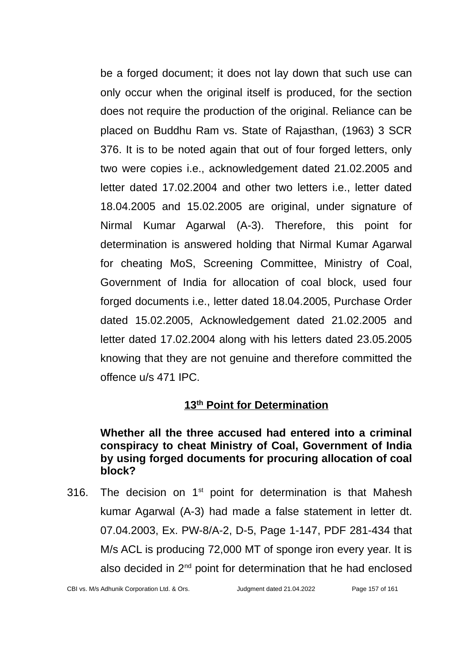be a forged document; it does not lay down that such use can only occur when the original itself is produced, for the section does not require the production of the original. Reliance can be placed on Buddhu Ram vs. State of Rajasthan, (1963) 3 SCR 376. It is to be noted again that out of four forged letters, only two were copies i.e., acknowledgement dated 21.02.2005 and letter dated 17.02.2004 and other two letters i.e., letter dated 18.04.2005 and 15.02.2005 are original, under signature of Nirmal Kumar Agarwal (A-3). Therefore, this point for determination is answered holding that Nirmal Kumar Agarwal for cheating MoS, Screening Committee, Ministry of Coal, Government of India for allocation of coal block, used four forged documents i.e., letter dated 18.04.2005, Purchase Order dated 15.02.2005, Acknowledgement dated 21.02.2005 and letter dated 17.02.2004 along with his letters dated 23.05.2005 knowing that they are not genuine and therefore committed the offence u/s 471 IPC.

# **13th Point for Determination**

#### **Whether all the three accused had entered into a criminal conspiracy to cheat Ministry of Coal, Government of India by using forged documents for procuring allocation of coal block?**

316. The decision on  $1<sup>st</sup>$  point for determination is that Mahesh kumar Agarwal (A-3) had made a false statement in letter dt. 07.04.2003, Ex. PW-8/A-2, D-5, Page 1-147, PDF 281-434 that M/s ACL is producing 72,000 MT of sponge iron every year. It is also decided in  $2<sup>nd</sup>$  point for determination that he had enclosed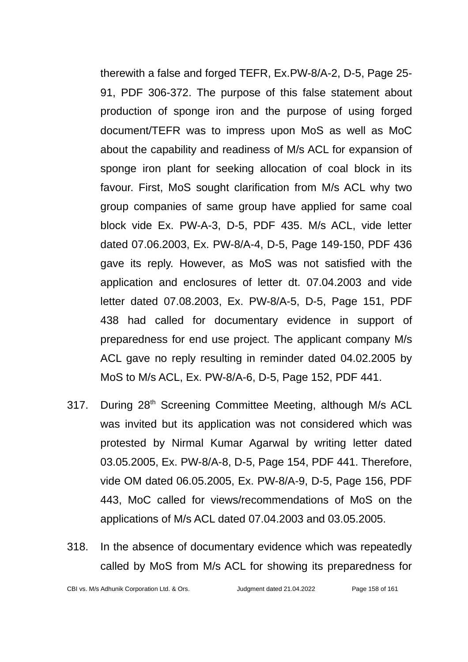therewith a false and forged TEFR, Ex.PW-8/A-2, D-5, Page 25- 91, PDF 306-372. The purpose of this false statement about production of sponge iron and the purpose of using forged document/TEFR was to impress upon MoS as well as MoC about the capability and readiness of M/s ACL for expansion of sponge iron plant for seeking allocation of coal block in its favour. First, MoS sought clarification from M/s ACL why two group companies of same group have applied for same coal block vide Ex. PW-A-3, D-5, PDF 435. M/s ACL, vide letter dated 07.06.2003, Ex. PW-8/A-4, D-5, Page 149-150, PDF 436 gave its reply. However, as MoS was not satisfied with the application and enclosures of letter dt. 07.04.2003 and vide letter dated 07.08.2003, Ex. PW-8/A-5, D-5, Page 151, PDF 438 had called for documentary evidence in support of preparedness for end use project. The applicant company M/s ACL gave no reply resulting in reminder dated 04.02.2005 by MoS to M/s ACL, Ex. PW-8/A-6, D-5, Page 152, PDF 441.

- 317. During 28<sup>th</sup> Screening Committee Meeting, although M/s ACL was invited but its application was not considered which was protested by Nirmal Kumar Agarwal by writing letter dated 03.05.2005, Ex. PW-8/A-8, D-5, Page 154, PDF 441. Therefore, vide OM dated 06.05.2005, Ex. PW-8/A-9, D-5, Page 156, PDF 443, MoC called for views/recommendations of MoS on the applications of M/s ACL dated 07.04.2003 and 03.05.2005.
- 318. In the absence of documentary evidence which was repeatedly called by MoS from M/s ACL for showing its preparedness for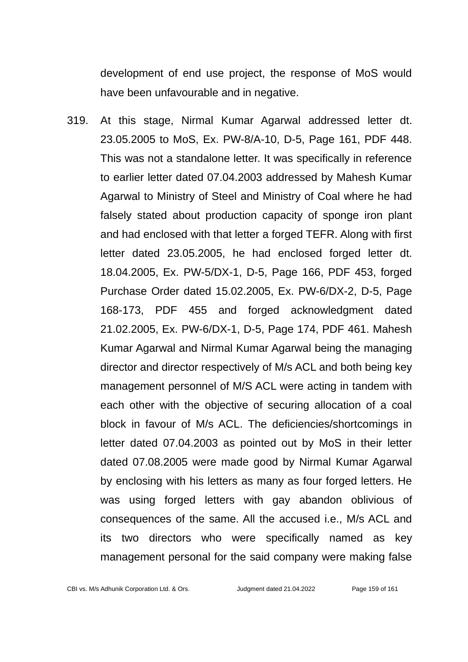development of end use project, the response of MoS would have been unfavourable and in negative.

319. At this stage, Nirmal Kumar Agarwal addressed letter dt. 23.05.2005 to MoS, Ex. PW-8/A-10, D-5, Page 161, PDF 448. This was not a standalone letter. It was specifically in reference to earlier letter dated 07.04.2003 addressed by Mahesh Kumar Agarwal to Ministry of Steel and Ministry of Coal where he had falsely stated about production capacity of sponge iron plant and had enclosed with that letter a forged TEFR. Along with first letter dated 23.05.2005, he had enclosed forged letter dt. 18.04.2005, Ex. PW-5/DX-1, D-5, Page 166, PDF 453, forged Purchase Order dated 15.02.2005, Ex. PW-6/DX-2, D-5, Page 168-173, PDF 455 and forged acknowledgment dated 21.02.2005, Ex. PW-6/DX-1, D-5, Page 174, PDF 461. Mahesh Kumar Agarwal and Nirmal Kumar Agarwal being the managing director and director respectively of M/s ACL and both being key management personnel of M/S ACL were acting in tandem with each other with the objective of securing allocation of a coal block in favour of M/s ACL. The deficiencies/shortcomings in letter dated 07.04.2003 as pointed out by MoS in their letter dated 07.08.2005 were made good by Nirmal Kumar Agarwal by enclosing with his letters as many as four forged letters. He was using forged letters with gay abandon oblivious of consequences of the same. All the accused i.e., M/s ACL and its two directors who were specifically named as key management personal for the said company were making false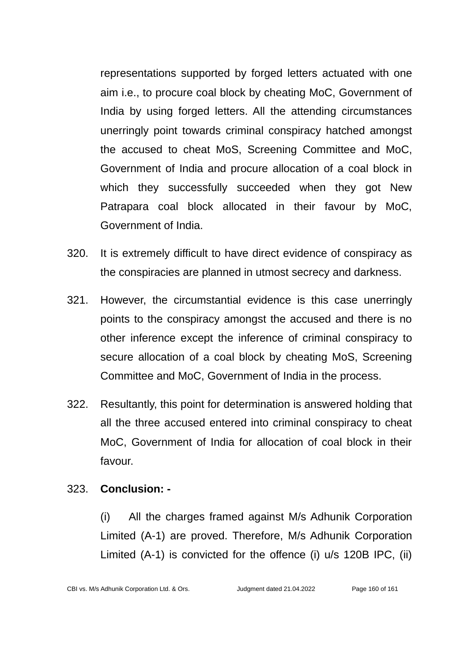representations supported by forged letters actuated with one aim i.e., to procure coal block by cheating MoC, Government of India by using forged letters. All the attending circumstances unerringly point towards criminal conspiracy hatched amongst the accused to cheat MoS, Screening Committee and MoC, Government of India and procure allocation of a coal block in which they successfully succeeded when they got New Patrapara coal block allocated in their favour by MoC, Government of India.

- 320. It is extremely difficult to have direct evidence of conspiracy as the conspiracies are planned in utmost secrecy and darkness.
- 321. However, the circumstantial evidence is this case unerringly points to the conspiracy amongst the accused and there is no other inference except the inference of criminal conspiracy to secure allocation of a coal block by cheating MoS, Screening Committee and MoC, Government of India in the process.
- 322. Resultantly, this point for determination is answered holding that all the three accused entered into criminal conspiracy to cheat MoC, Government of India for allocation of coal block in their favour.

# 323. **Conclusion: -**

(i) All the charges framed against M/s Adhunik Corporation Limited (A-1) are proved. Therefore, M/s Adhunik Corporation Limited (A-1) is convicted for the offence (i) u/s 120B IPC, (ii)